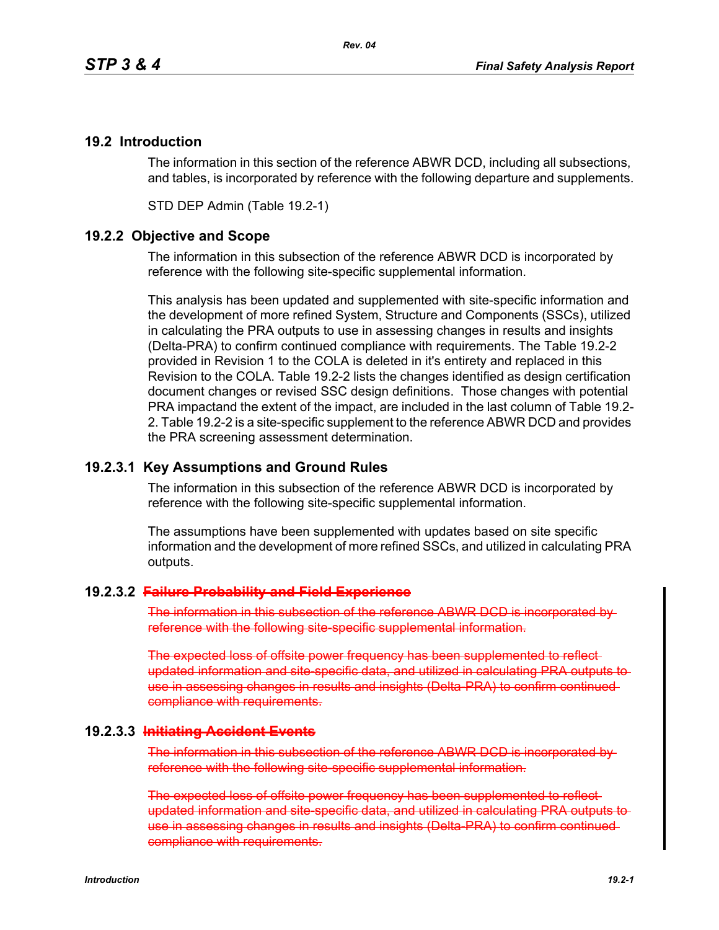## **19.2 Introduction**

The information in this section of the reference ABWR DCD, including all subsections, and tables, is incorporated by reference with the following departure and supplements.

STD DEP Admin (Table 19.2-1)

## **19.2.2 Objective and Scope**

The information in this subsection of the reference ABWR DCD is incorporated by reference with the following site-specific supplemental information.

This analysis has been updated and supplemented with site-specific information and the development of more refined System, Structure and Components (SSCs), utilized in calculating the PRA outputs to use in assessing changes in results and insights (Delta-PRA) to confirm continued compliance with requirements. The Table 19.2-2 provided in Revision 1 to the COLA is deleted in it's entirety and replaced in this Revision to the COLA. Table 19.2-2 lists the changes identified as design certification document changes or revised SSC design definitions. Those changes with potential PRA impactand the extent of the impact, are included in the last column of Table 19.2- 2. Table 19.2-2 is a site-specific supplement to the reference ABWR DCD and provides the PRA screening assessment determination.

## **19.2.3.1 Key Assumptions and Ground Rules**

The information in this subsection of the reference ABWR DCD is incorporated by reference with the following site-specific supplemental information.

The assumptions have been supplemented with updates based on site specific information and the development of more refined SSCs, and utilized in calculating PRA outputs.

## **19.2.3.2 Failure Probability and Field Experience**

The information in this subsection of the reference ABWR DCD is incorporated by reference with the following site-specific supplemental information.

The expected loss of offsite power frequency has been supplemented to reflect updated information and site-specific data, and utilized in calculating PRA outputs use in assessing changes in results and insights (Delta-PRA) to confirm continued compliance with requirements.

## **19.2.3.3 Initiating Accident Events**

The information in this subsection of the reference ABWR DCD is incorporated by reference with the following site-specific supplemental information.

The expected loss of offsite power frequency has been supplemented to reflect updated information and site-specific data, and utilized in calculating PRA outputs to use in assessing changes in results and insights (Delta-PRA) to confirm continued compliance with requirements.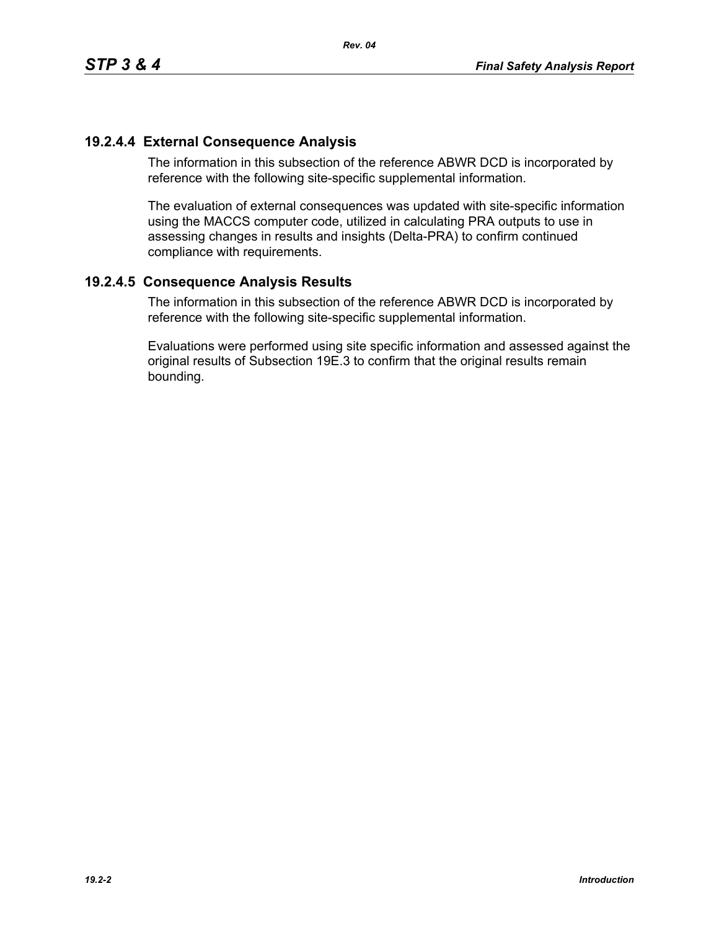## **19.2.4.4 External Consequence Analysis**

The information in this subsection of the reference ABWR DCD is incorporated by reference with the following site-specific supplemental information.

*Rev. 04*

The evaluation of external consequences was updated with site-specific information using the MACCS computer code, utilized in calculating PRA outputs to use in assessing changes in results and insights (Delta-PRA) to confirm continued compliance with requirements.

## **19.2.4.5 Consequence Analysis Results**

The information in this subsection of the reference ABWR DCD is incorporated by reference with the following site-specific supplemental information.

Evaluations were performed using site specific information and assessed against the original results of Subsection 19E.3 to confirm that the original results remain bounding.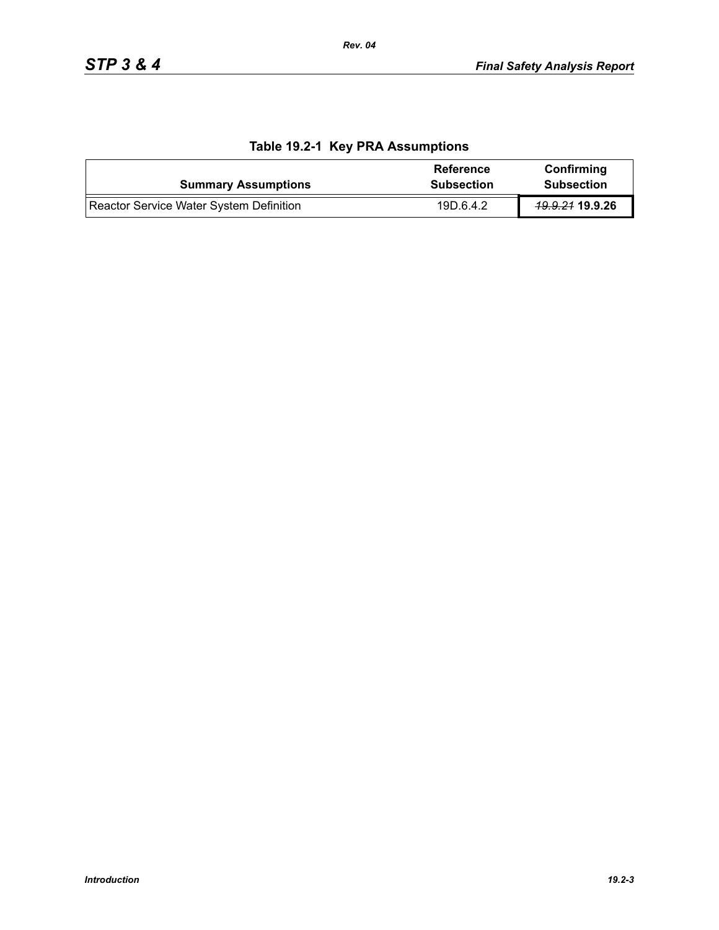| <b>Summary Assumptions</b>              | <b>Reference</b><br><b>Subsection</b> | Confirming<br><b>Subsection</b> |
|-----------------------------------------|---------------------------------------|---------------------------------|
| Reactor Service Water System Definition | 19D.6.4.2                             | <del>19.9.21</del> 19.9.26      |

## **Table 19.2-1 Key PRA Assumptions**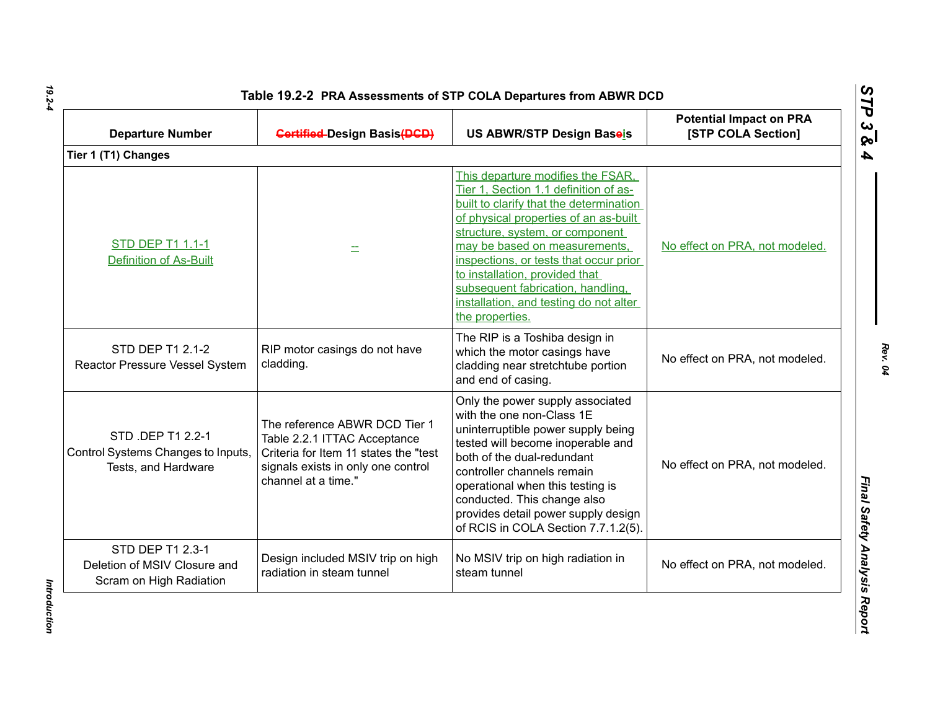| <b>Departure Number</b>                                                        | <b>Gertified-Design Basis (DGD)</b>                                                                                                                                 | US ABWR/STP Design Baseis                                                                                                                                                                                                                                                                                                                                                                                        | <b>Potential Impact on PRA</b><br>[STP COLA Section] |
|--------------------------------------------------------------------------------|---------------------------------------------------------------------------------------------------------------------------------------------------------------------|------------------------------------------------------------------------------------------------------------------------------------------------------------------------------------------------------------------------------------------------------------------------------------------------------------------------------------------------------------------------------------------------------------------|------------------------------------------------------|
| Tier 1 (T1) Changes                                                            |                                                                                                                                                                     |                                                                                                                                                                                                                                                                                                                                                                                                                  |                                                      |
| STD DEP T1 1.1-1<br><b>Definition of As-Built</b>                              |                                                                                                                                                                     | This departure modifies the FSAR,<br>Tier 1, Section 1.1 definition of as-<br>built to clarify that the determination<br>of physical properties of an as-built<br>structure, system, or component<br>may be based on measurements,<br>inspections, or tests that occur prior<br>to installation, provided that<br>subsequent fabrication, handling,<br>installation, and testing do not alter<br>the properties. | No effect on PRA, not modeled.                       |
| STD DEP T1 2.1-2<br>Reactor Pressure Vessel System                             | RIP motor casings do not have<br>cladding.                                                                                                                          | The RIP is a Toshiba design in<br>which the motor casings have<br>cladding near stretchtube portion<br>and end of casing.                                                                                                                                                                                                                                                                                        | No effect on PRA, not modeled.                       |
| STD .DEP T1 2.2-1<br>Control Systems Changes to Inputs,<br>Tests, and Hardware | The reference ABWR DCD Tier 1<br>Table 2.2.1 ITTAC Acceptance<br>Criteria for Item 11 states the "test<br>signals exists in only one control<br>channel at a time." | Only the power supply associated<br>with the one non-Class 1E<br>uninterruptible power supply being<br>tested will become inoperable and<br>both of the dual-redundant<br>controller channels remain<br>operational when this testing is<br>conducted. This change also<br>provides detail power supply design<br>of RCIS in COLA Section 7.7.1.2(5).                                                            | No effect on PRA, not modeled.                       |
| STD DEP T1 2.3-1<br>Deletion of MSIV Closure and<br>Scram on High Radiation    | Design included MSIV trip on high<br>radiation in steam tunnel                                                                                                      | No MSIV trip on high radiation in<br>steam tunnel                                                                                                                                                                                                                                                                                                                                                                | No effect on PRA, not modeled.                       |

*Rev. 04*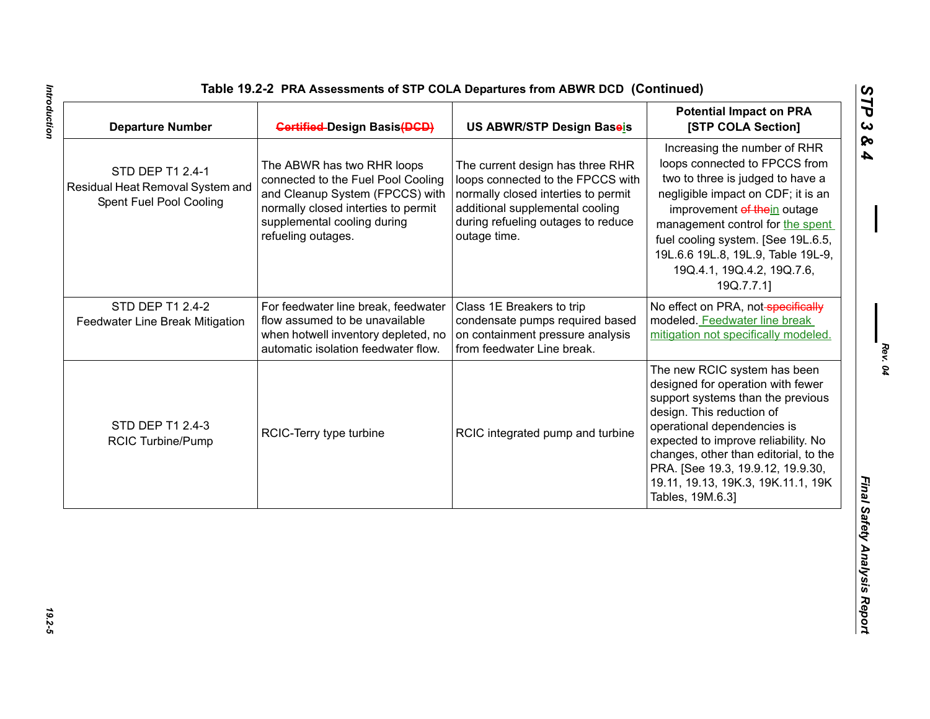| Table 19.2-2 PRA Assessments of STP COLA Departures from ABWR DCD (Continued) |  |
|-------------------------------------------------------------------------------|--|
|-------------------------------------------------------------------------------|--|

| <b>Departure Number</b>                                                         | <b>Gertified-Design Basis (DGD)</b>                                                                                                                                                             | US ABWR/STP Design Baseis                                                                                                                                                                             | <b>Potential Impact on PRA</b><br>[STP COLA Section]                                                                                                                                                                                                                                                                                              |
|---------------------------------------------------------------------------------|-------------------------------------------------------------------------------------------------------------------------------------------------------------------------------------------------|-------------------------------------------------------------------------------------------------------------------------------------------------------------------------------------------------------|---------------------------------------------------------------------------------------------------------------------------------------------------------------------------------------------------------------------------------------------------------------------------------------------------------------------------------------------------|
| STD DEP T1 2.4-1<br>Residual Heat Removal System and<br>Spent Fuel Pool Cooling | The ABWR has two RHR loops<br>connected to the Fuel Pool Cooling<br>and Cleanup System (FPCCS) with<br>normally closed interties to permit<br>supplemental cooling during<br>refueling outages. | The current design has three RHR<br>loops connected to the FPCCS with<br>normally closed interties to permit<br>additional supplemental cooling<br>during refueling outages to reduce<br>outage time. | Increasing the number of RHR<br>loops connected to FPCCS from<br>two to three is judged to have a<br>negligible impact on CDF; it is an<br>improvement of thein outage<br>management control for the spent<br>fuel cooling system. [See 19L.6.5,<br>19L.6.6 19L.8, 19L.9, Table 19L-9,<br>19Q.4.1, 19Q.4.2, 19Q.7.6,<br>19Q.7.7.1]                |
| STD DEP T1 2.4-2<br>Feedwater Line Break Mitigation                             | For feedwater line break, feedwater<br>flow assumed to be unavailable<br>when hotwell inventory depleted, no<br>automatic isolation feedwater flow.                                             | Class 1E Breakers to trip<br>condensate pumps required based<br>on containment pressure analysis<br>from feedwater Line break.                                                                        | No effect on PRA, not-specifically<br>modeled. Feedwater line break<br>mitigation not specifically modeled.                                                                                                                                                                                                                                       |
| STD DEP T1 2.4-3<br><b>RCIC Turbine/Pump</b>                                    | RCIC-Terry type turbine                                                                                                                                                                         | RCIC integrated pump and turbine                                                                                                                                                                      | The new RCIC system has been<br>designed for operation with fewer<br>support systems than the previous<br>design. This reduction of<br>operational dependencies is<br>expected to improve reliability. No<br>changes, other than editorial, to the<br>PRA. [See 19.3, 19.9.12, 19.9.30,<br>19.11, 19.13, 19K.3, 19K.11.1, 19K<br>Tables, 19M.6.3] |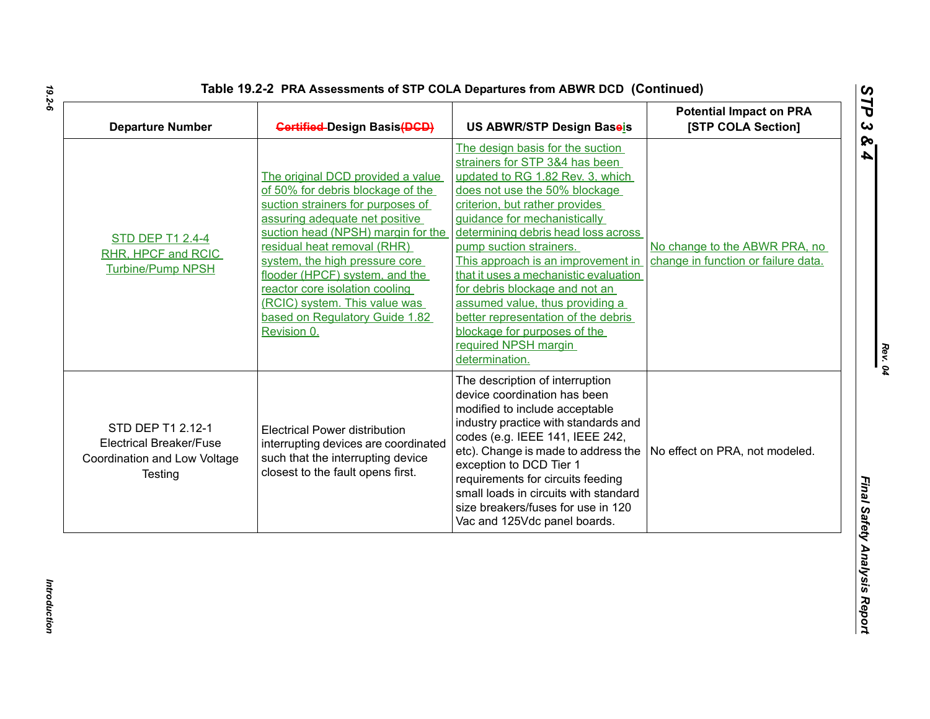| Table 19.2-2 PRA Assessments of STP COLA Departures from ABWR DCD (Continued) |  |
|-------------------------------------------------------------------------------|--|
|-------------------------------------------------------------------------------|--|

| <b>Departure Number</b>                                                                        | <b>Gertified-Design Basis(DGD)</b>                                                                                                                                                                                                                                                                                                                                                                         | <b>US ABWR/STP Design Baseis</b>                                                                                                                                                                                                                                                                                                                                                                                                                                                                                                                 | <b>Potential Impact on PRA</b><br>[STP COLA Section]                 |
|------------------------------------------------------------------------------------------------|------------------------------------------------------------------------------------------------------------------------------------------------------------------------------------------------------------------------------------------------------------------------------------------------------------------------------------------------------------------------------------------------------------|--------------------------------------------------------------------------------------------------------------------------------------------------------------------------------------------------------------------------------------------------------------------------------------------------------------------------------------------------------------------------------------------------------------------------------------------------------------------------------------------------------------------------------------------------|----------------------------------------------------------------------|
| <b>STD DEP T1 2.4-4</b><br>RHR, HPCF and RCIC<br><b>Turbine/Pump NPSH</b>                      | The original DCD provided a value<br>of 50% for debris blockage of the<br>suction strainers for purposes of<br>assuring adequate net positive<br>suction head (NPSH) margin for the<br>residual heat removal (RHR)<br>system, the high pressure core<br>flooder (HPCF) system, and the<br>reactor core isolation cooling<br>(RCIC) system. This value was<br>based on Regulatory Guide 1.82<br>Revision 0. | The design basis for the suction<br>strainers for STP 3&4 has been<br>updated to RG 1.82 Rev. 3, which<br>does not use the 50% blockage<br>criterion, but rather provides<br>guidance for mechanistically<br>determining debris head loss across<br>pump suction strainers.<br>This approach is an improvement in<br>that it uses a mechanistic evaluation<br>for debris blockage and not an<br>assumed value, thus providing a<br>better representation of the debris<br>blockage for purposes of the<br>required NPSH margin<br>determination. | No change to the ABWR PRA, no<br>change in function or failure data. |
| STD DEP T1 2.12-1<br><b>Electrical Breaker/Fuse</b><br>Coordination and Low Voltage<br>Testing | <b>Electrical Power distribution</b><br>interrupting devices are coordinated<br>such that the interrupting device<br>closest to the fault opens first.                                                                                                                                                                                                                                                     | The description of interruption<br>device coordination has been<br>modified to include acceptable<br>industry practice with standards and<br>codes (e.g. IEEE 141, IEEE 242,<br>etc). Change is made to address the $\vert$ No effect on PRA, not modeled.<br>exception to DCD Tier 1<br>requirements for circuits feeding<br>small loads in circuits with standard<br>size breakers/fuses for use in 120<br>Vac and 125Vdc panel boards.                                                                                                        |                                                                      |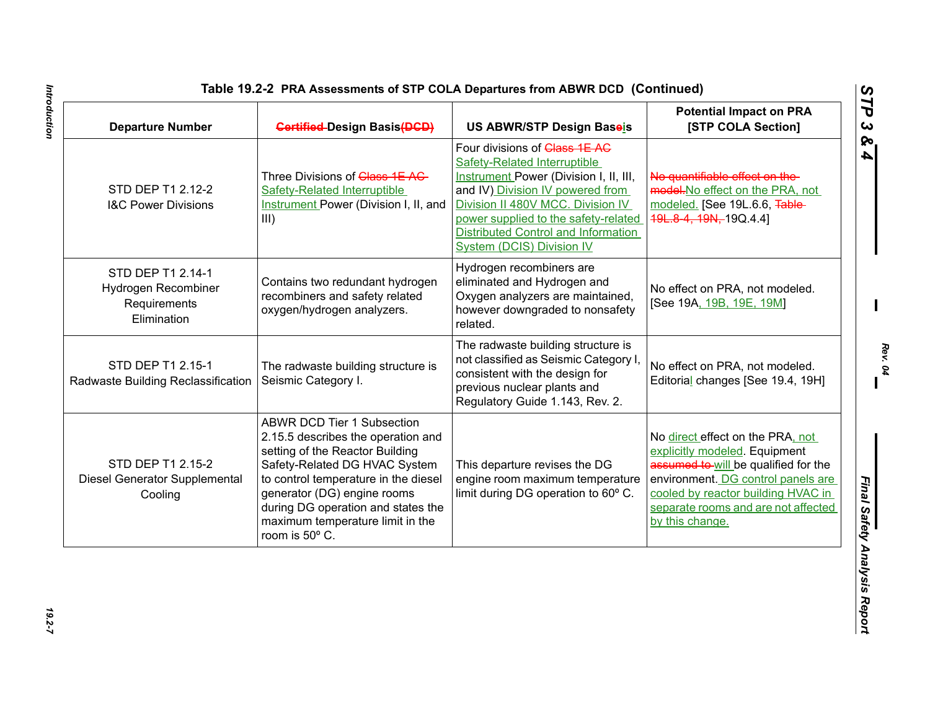| <b>Departure Number</b>                                                 | <b>Gertified-Design Basis (DGD)</b>                                                                                                                                                                                                                                                                            | US ABWR/STP Design Baseis                                                                                                                                                                                                                                                                                                | <b>Potential Impact on PRA</b><br>[STP COLA Section]                                                                                                                                                                                            |
|-------------------------------------------------------------------------|----------------------------------------------------------------------------------------------------------------------------------------------------------------------------------------------------------------------------------------------------------------------------------------------------------------|--------------------------------------------------------------------------------------------------------------------------------------------------------------------------------------------------------------------------------------------------------------------------------------------------------------------------|-------------------------------------------------------------------------------------------------------------------------------------------------------------------------------------------------------------------------------------------------|
| STD DEP T1 2.12-2<br><b>I&amp;C Power Divisions</b>                     | Three Divisions of Class 1E AC-<br><b>Safety-Related Interruptible</b><br><b>Instrument Power (Division I, II, and</b><br>III)                                                                                                                                                                                 | Four divisions of Class 1E AC<br><b>Safety-Related Interruptible</b><br><b>Instrument Power (Division I, II, III,</b><br>and IV) Division IV powered from<br>Division II 480V MCC. Division IV<br>power supplied to the safety-related<br><b>Distributed Control and Information</b><br><b>System (DCIS) Division IV</b> | No quantifiable effect on the-<br>model. No effect on the PRA, not<br>modeled. [See 19L.6.6, Table-<br>49L.8-4, 19N, 19Q.4.4]                                                                                                                   |
| STD DEP T1 2.14-1<br>Hydrogen Recombiner<br>Requirements<br>Elimination | Contains two redundant hydrogen<br>recombiners and safety related<br>oxygen/hydrogen analyzers.                                                                                                                                                                                                                | Hydrogen recombiners are<br>eliminated and Hydrogen and<br>Oxygen analyzers are maintained,<br>however downgraded to nonsafety<br>related.                                                                                                                                                                               | No effect on PRA, not modeled.<br>[See 19A, 19B, 19E, 19M]                                                                                                                                                                                      |
| STD DEP T1 2.15-1<br>Radwaste Building Reclassification                 | The radwaste building structure is<br>Seismic Category I.                                                                                                                                                                                                                                                      | The radwaste building structure is<br>not classified as Seismic Category I<br>consistent with the design for<br>previous nuclear plants and<br>Regulatory Guide 1.143, Rev. 2.                                                                                                                                           | No effect on PRA, not modeled.<br>Editorial changes [See 19.4, 19H]                                                                                                                                                                             |
| STD DEP T1 2.15-2<br>Diesel Generator Supplemental<br>Cooling           | <b>ABWR DCD Tier 1 Subsection</b><br>2.15.5 describes the operation and<br>setting of the Reactor Building<br>Safety-Related DG HVAC System<br>to control temperature in the diesel<br>generator (DG) engine rooms<br>during DG operation and states the<br>maximum temperature limit in the<br>room is 50° C. | This departure revises the DG<br>engine room maximum temperature<br>limit during DG operation to 60° C.                                                                                                                                                                                                                  | No direct effect on the PRA, not<br>explicitly modeled. Equipment<br>assumed to will be qualified for the<br>environment. DG control panels are<br>cooled by reactor building HVAC in<br>separate rooms and are not affected<br>by this change. |

Introduction *Introduction 19.2-7*

*Rev. 04*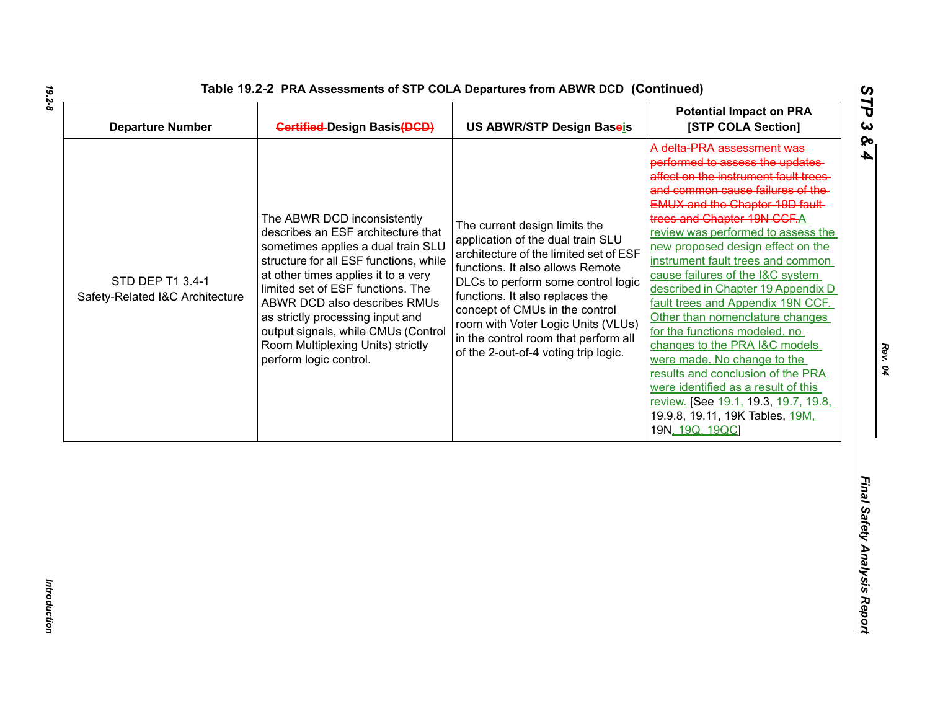| <b>Departure Number</b>                             | <b>Gertified-Design Basis(DGD)</b>                                                                                                                                                                                                                                                                                                                                                                      | US ABWR/STP Design Baseis                                                                                                                                                                                                                                                                                                                                                         | <b>Potential Impact on PRA</b><br>[STP COLA Section]                                                                                                                                                                                                                                                                                                                                                                                                                                                                                                                                                                                                                                                                                                                          |
|-----------------------------------------------------|---------------------------------------------------------------------------------------------------------------------------------------------------------------------------------------------------------------------------------------------------------------------------------------------------------------------------------------------------------------------------------------------------------|-----------------------------------------------------------------------------------------------------------------------------------------------------------------------------------------------------------------------------------------------------------------------------------------------------------------------------------------------------------------------------------|-------------------------------------------------------------------------------------------------------------------------------------------------------------------------------------------------------------------------------------------------------------------------------------------------------------------------------------------------------------------------------------------------------------------------------------------------------------------------------------------------------------------------------------------------------------------------------------------------------------------------------------------------------------------------------------------------------------------------------------------------------------------------------|
| STD DEP T1 3.4-1<br>Safety-Related I&C Architecture | The ABWR DCD inconsistently<br>describes an ESF architecture that<br>sometimes applies a dual train SLU<br>structure for all ESF functions, while<br>at other times applies it to a very<br>limited set of ESF functions. The<br>ABWR DCD also describes RMUs<br>as strictly processing input and<br>output signals, while CMUs (Control<br>Room Multiplexing Units) strictly<br>perform logic control. | The current design limits the<br>application of the dual train SLU<br>architecture of the limited set of ESF<br>functions. It also allows Remote<br>DLCs to perform some control logic<br>functions. It also replaces the<br>concept of CMUs in the control<br>room with Voter Logic Units (VLUs)<br>in the control room that perform all<br>of the 2-out-of-4 voting trip logic. | A delta PRA assessment was<br>performed to assess the updates<br>affect on the instrument fault trees-<br>and common cause failures of the<br><b>EMUX and the Chapter 19D fault-</b><br>trees and Chapter 19N CCF.A<br>review was performed to assess the<br>new proposed design effect on the<br>instrument fault trees and common<br>cause failures of the I&C system<br>described in Chapter 19 Appendix D<br>fault trees and Appendix 19N CCF.<br>Other than nomenclature changes<br>for the functions modeled, no<br>changes to the PRA I&C models<br>were made. No change to the<br>results and conclusion of the PRA<br>were identified as a result of this<br><u>review.</u> [See 19.1, 19.3, <u>19.7, 19.8,</u><br>19.9.8, 19.11, 19K Tables, 19M,<br>19N, 19Q, 19QC |
|                                                     |                                                                                                                                                                                                                                                                                                                                                                                                         |                                                                                                                                                                                                                                                                                                                                                                                   |                                                                                                                                                                                                                                                                                                                                                                                                                                                                                                                                                                                                                                                                                                                                                                               |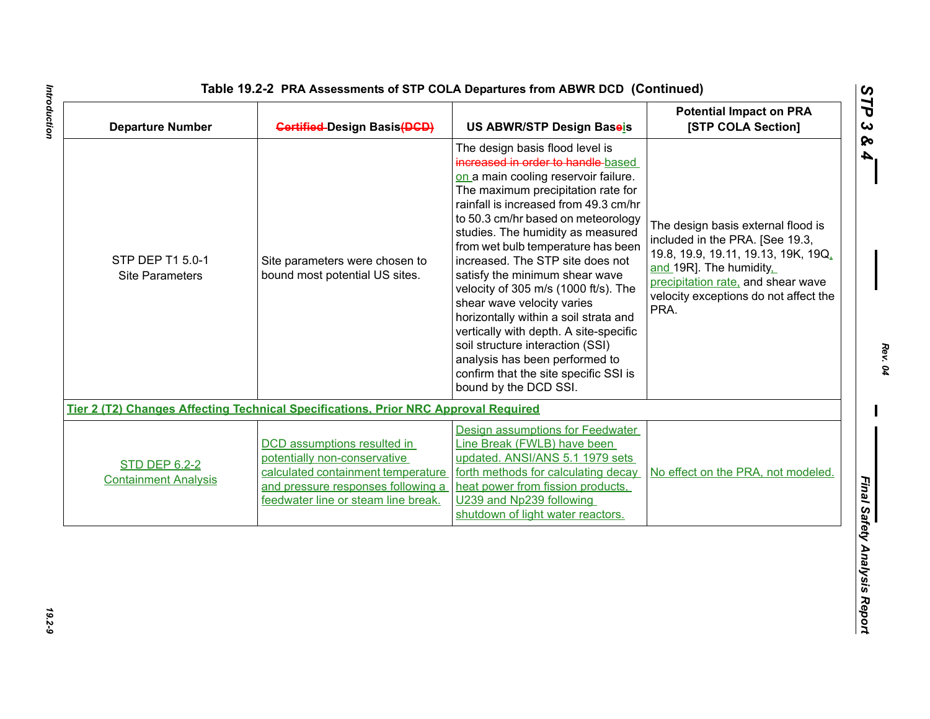| <b>Gertified-Design Basis(DGD)</b>                                                                                                                                                    | US ABWR/STP Design Baseis                                                                                                                                                                                                                                                                                                                                                                                                                                                                                                                                                                                                                                                            | <b>Potential Impact on PRA</b><br>[STP COLA Section]                                                                                                                                                                           |
|---------------------------------------------------------------------------------------------------------------------------------------------------------------------------------------|--------------------------------------------------------------------------------------------------------------------------------------------------------------------------------------------------------------------------------------------------------------------------------------------------------------------------------------------------------------------------------------------------------------------------------------------------------------------------------------------------------------------------------------------------------------------------------------------------------------------------------------------------------------------------------------|--------------------------------------------------------------------------------------------------------------------------------------------------------------------------------------------------------------------------------|
| Site parameters were chosen to<br>bound most potential US sites.                                                                                                                      | The design basis flood level is<br>increased in order to handle based<br>on a main cooling reservoir failure.<br>The maximum precipitation rate for<br>rainfall is increased from 49.3 cm/hr<br>to 50.3 cm/hr based on meteorology<br>studies. The humidity as measured<br>from wet bulb temperature has been<br>increased. The STP site does not<br>satisfy the minimum shear wave<br>velocity of 305 m/s (1000 ft/s). The<br>shear wave velocity varies<br>horizontally within a soil strata and<br>vertically with depth. A site-specific<br>soil structure interaction (SSI)<br>analysis has been performed to<br>confirm that the site specific SSI is<br>bound by the DCD SSI. | The design basis external flood is<br>included in the PRA. [See 19.3,<br>19.8, 19.9, 19.11, 19.13, 19K, 19Q,<br>and 19R]. The humidity.<br>precipitation rate, and shear wave<br>velocity exceptions do not affect the<br>PRA. |
|                                                                                                                                                                                       |                                                                                                                                                                                                                                                                                                                                                                                                                                                                                                                                                                                                                                                                                      |                                                                                                                                                                                                                                |
| <b>DCD</b> assumptions resulted in<br>potentially non-conservative<br>calculated containment temperature<br>and pressure responses following a<br>feedwater line or steam line break. | <b>Design assumptions for Feedwater</b><br>Line Break (FWLB) have been<br>updated. ANSI/ANS 5.1 1979 sets<br>forth methods for calculating decay<br>heat power from fission products,<br>U239 and Np239 following<br>shutdown of light water reactors.                                                                                                                                                                                                                                                                                                                                                                                                                               | No effect on the PRA, not modeled.                                                                                                                                                                                             |
|                                                                                                                                                                                       |                                                                                                                                                                                                                                                                                                                                                                                                                                                                                                                                                                                                                                                                                      | Tier 2 (T2) Changes Affecting Technical Specifications, Prior NRC Approval Required                                                                                                                                            |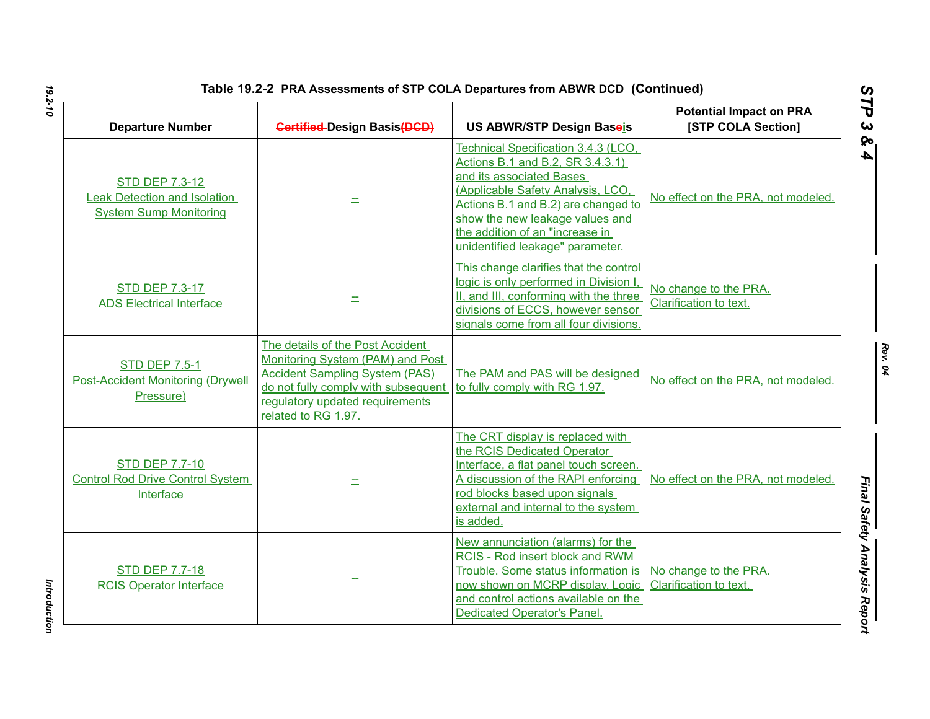| <b>Departure Number</b>                                                               | <b>Gertified-Design Basis(DGD)</b>                                                                                                                                                                             | US ABWR/STP Design Baseis                                                                                                                                                                                                                                                                 | <b>Potential Impact on PRA</b><br>[STP COLA Section] |
|---------------------------------------------------------------------------------------|----------------------------------------------------------------------------------------------------------------------------------------------------------------------------------------------------------------|-------------------------------------------------------------------------------------------------------------------------------------------------------------------------------------------------------------------------------------------------------------------------------------------|------------------------------------------------------|
| <b>STD DEP 7.3-12</b><br>eak Detection and Isolation<br><b>System Sump Monitoring</b> |                                                                                                                                                                                                                | Technical Specification 3.4.3 (LCO,<br>Actions B.1 and B.2, SR 3.4.3.1)<br>and its associated Bases<br>(Applicable Safety Analysis, LCO,<br>Actions B.1 and B.2) are changed to<br>show the new leakage values and<br>the addition of an "increase in<br>unidentified leakage" parameter. | No effect on the PRA, not modeled.                   |
| <b>STD DEP 7.3-17</b><br><b>ADS Electrical Interface</b>                              |                                                                                                                                                                                                                | This change clarifies that the control<br>logic is only performed in Division I,<br>II, and III, conforming with the three<br>divisions of ECCS, however sensor<br>signals come from all four divisions.                                                                                  | No change to the PRA.<br>Clarification to text.      |
| <b>STD DEP 7.5-1</b><br><b>Post-Accident Monitoring (Drywell</b><br>Pressure)         | The details of the Post Accident<br>Monitoring System (PAM) and Post<br><b>Accident Sampling System (PAS)</b><br>do not fully comply with subsequent<br>regulatory updated requirements<br>related to RG 1.97. | The PAM and PAS will be designed<br>to fully comply with RG 1.97.                                                                                                                                                                                                                         | No effect on the PRA, not modeled.                   |
| <b>STD DEP 7.7-10</b><br><b>Control Rod Drive Control System</b><br>Interface         |                                                                                                                                                                                                                | The CRT display is replaced with<br>the RCIS Dedicated Operator<br>Interface, a flat panel touch screen.<br>A discussion of the RAPI enforcing<br>rod blocks based upon signals<br>external and internal to the system<br>is added.                                                       | No effect on the PRA, not modeled.                   |
| <b>STD DEP 7.7-18</b><br><b>RCIS Operator Interface</b>                               |                                                                                                                                                                                                                | New annunciation (alarms) for the<br>RCIS - Rod insert block and RWM<br>Trouble. Some status information is<br>now shown on MCRP display. Logic<br>and control actions available on the<br>Dedicated Operator's Panel.                                                                    | No change to the PRA.<br>Clarification to text.      |

*Rev. 04*

*STP 3 & 4*

Introduction *Introduction*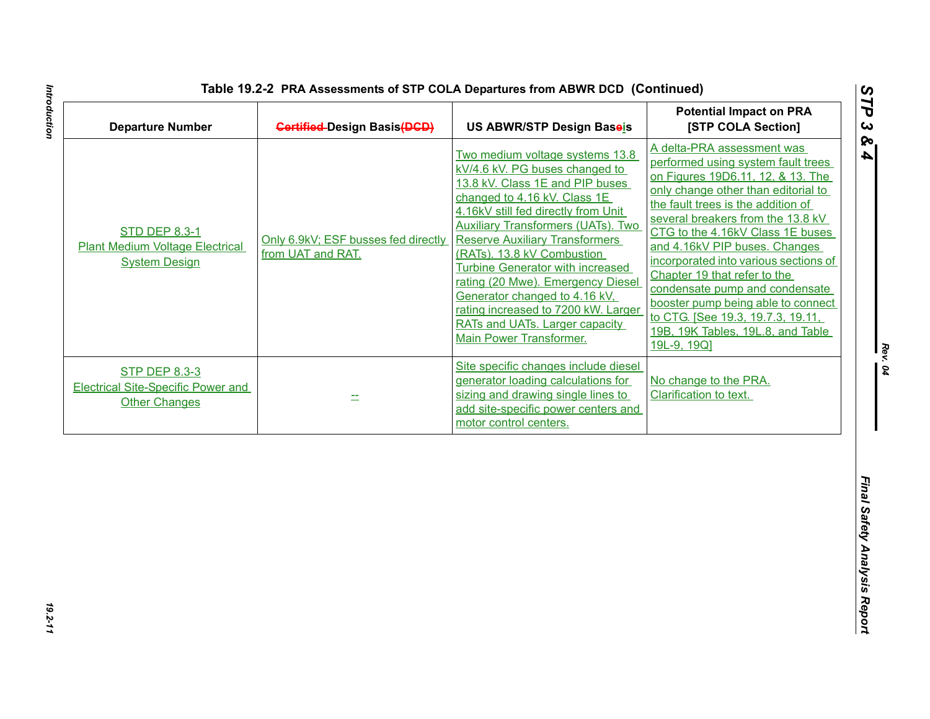| A delta-PRA assessment was<br>Two medium voltage systems 13.8<br>performed using system fault trees<br>kV/4.6 kV. PG buses changed to<br>on Figures 19D6.11, 12, & 13. The<br>13.8 kV. Class 1E and PIP buses<br>only change other than editorial to<br>changed to 4.16 kV. Class 1E<br>the fault trees is the addition of<br>4.16kV still fed directly from Unit<br>several breakers from the 13.8 kV<br><b>Auxiliary Transformers (UATs). Two</b><br><b>STD DEP 8.3-1</b><br>CTG to the 4.16kV Class 1E buses<br>Only 6.9kV; ESF busses fed directly<br><b>Reserve Auxiliary Transformers</b><br>and 4.16kV PIP buses. Changes<br><b>Plant Medium Voltage Electrical</b><br>from UAT and RAT.<br>(RATs). 13.8 kV Combustion<br>incorporated into various sections of<br><b>System Design</b><br><b>Turbine Generator with increased</b><br>Chapter 19 that refer to the<br>rating (20 Mwe). Emergency Diesel<br>condensate pump and condensate<br>Generator changed to 4.16 kV,<br>booster pump being able to connect<br>rating increased to 7200 kW. Larger<br>to CTG. [See 19.3, 19.7.3, 19.11,<br>RATs and UATs. Larger capacity<br>19B, 19K Tables, 19L.8, and Table<br><b>Main Power Transformer.</b><br>19L-9, 19Q]<br>Site specific changes include diesel<br><b>STP DEP 8.3-3</b><br>generator loading calculations for<br>No change to the PRA.<br>sizing and drawing single lines to<br>Clarification to text.<br>÷.<br><b>Other Changes</b><br>add site-specific power centers and |
|-------------------------------------------------------------------------------------------------------------------------------------------------------------------------------------------------------------------------------------------------------------------------------------------------------------------------------------------------------------------------------------------------------------------------------------------------------------------------------------------------------------------------------------------------------------------------------------------------------------------------------------------------------------------------------------------------------------------------------------------------------------------------------------------------------------------------------------------------------------------------------------------------------------------------------------------------------------------------------------------------------------------------------------------------------------------------------------------------------------------------------------------------------------------------------------------------------------------------------------------------------------------------------------------------------------------------------------------------------------------------------------------------------------------------------------------------------------------------------------------------|
| <b>Electrical Site-Specific Power and</b>                                                                                                                                                                                                                                                                                                                                                                                                                                                                                                                                                                                                                                                                                                                                                                                                                                                                                                                                                                                                                                                                                                                                                                                                                                                                                                                                                                                                                                                       |
| motor control centers.                                                                                                                                                                                                                                                                                                                                                                                                                                                                                                                                                                                                                                                                                                                                                                                                                                                                                                                                                                                                                                                                                                                                                                                                                                                                                                                                                                                                                                                                          |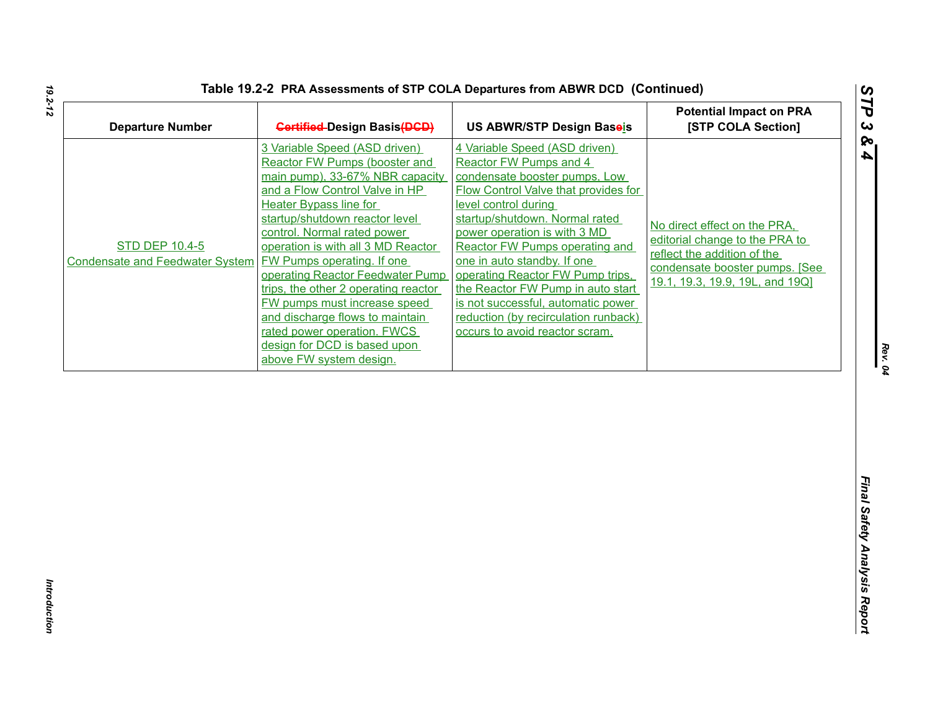| Table 19.2-2 PRA Assessments of STP COLA Departures from ABWR DCD (Continued) |  |
|-------------------------------------------------------------------------------|--|
|-------------------------------------------------------------------------------|--|

| <b>Departure Number</b>                                         | <b>Gertified-Design Basis(DGD)</b>                                                                                                                                                                                                                                                                                                                                                                                                                                                                                                                        | US ABWR/STP Design Baseis                                                                                                                                                                                                                                                                                                                                                                                                                                                                   | <b>Potential Impact on PRA</b><br>[STP COLA Section]                                                                                                               |
|-----------------------------------------------------------------|-----------------------------------------------------------------------------------------------------------------------------------------------------------------------------------------------------------------------------------------------------------------------------------------------------------------------------------------------------------------------------------------------------------------------------------------------------------------------------------------------------------------------------------------------------------|---------------------------------------------------------------------------------------------------------------------------------------------------------------------------------------------------------------------------------------------------------------------------------------------------------------------------------------------------------------------------------------------------------------------------------------------------------------------------------------------|--------------------------------------------------------------------------------------------------------------------------------------------------------------------|
| <b>STD DEP 10.4-5</b><br><b>Condensate and Feedwater System</b> | 3 Variable Speed (ASD driven)<br>Reactor FW Pumps (booster and<br>main pump), 33-67% NBR capacity<br>and a Flow Control Valve in HP<br><b>Heater Bypass line for</b><br>startup/shutdown reactor level<br>control. Normal rated power<br>operation is with all 3 MD Reactor<br><b>FW Pumps operating. If one</b><br>operating Reactor Feedwater Pump<br>trips, the other 2 operating reactor<br>FW pumps must increase speed<br>and discharge flows to maintain<br>rated power operation. FWCS<br>design for DCD is based upon<br>above FW system design. | 4 Variable Speed (ASD driven)<br>Reactor FW Pumps and 4<br>condensate booster pumps, Low<br><b>Flow Control Valve that provides for</b><br>level control during<br>startup/shutdown. Normal rated<br>power operation is with 3 MD<br>Reactor FW Pumps operating and<br>one in auto standby. If one<br>operating Reactor FW Pump trips,<br>the Reactor FW Pump in auto start<br>is not successful, automatic power<br>reduction (by recirculation runback)<br>occurs to avoid reactor scram. | No direct effect on the PRA.<br>editorial change to the PRA to<br>reflect the addition of the<br>condensate booster pumps. [See<br>19.1, 19.3, 19.9, 19L, and 19Q] |
|                                                                 |                                                                                                                                                                                                                                                                                                                                                                                                                                                                                                                                                           |                                                                                                                                                                                                                                                                                                                                                                                                                                                                                             |                                                                                                                                                                    |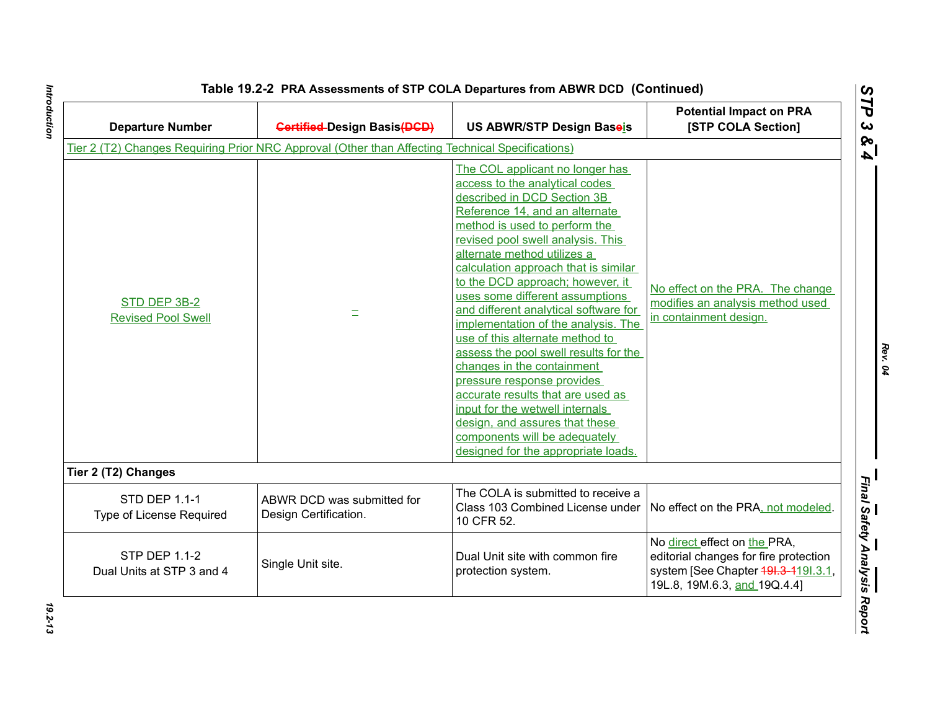| <b>Departure Number</b>                           | <b>Gertified-Design Basis(DGD)</b>                                                               | <b>US ABWR/STP Design Baseis</b>                                                                                                                                                                                                                                                                                                                                                                                                                                                                                                                                                                                                                                                                                                                                 | <b>Potential Impact on PRA</b><br>[STP COLA Section]                                                                                         |
|---------------------------------------------------|--------------------------------------------------------------------------------------------------|------------------------------------------------------------------------------------------------------------------------------------------------------------------------------------------------------------------------------------------------------------------------------------------------------------------------------------------------------------------------------------------------------------------------------------------------------------------------------------------------------------------------------------------------------------------------------------------------------------------------------------------------------------------------------------------------------------------------------------------------------------------|----------------------------------------------------------------------------------------------------------------------------------------------|
|                                                   | Tier 2 (T2) Changes Requiring Prior NRC Approval (Other than Affecting Technical Specifications) |                                                                                                                                                                                                                                                                                                                                                                                                                                                                                                                                                                                                                                                                                                                                                                  |                                                                                                                                              |
| STD DEP 3B-2<br><b>Revised Pool Swell</b>         | Ξ                                                                                                | The COL applicant no longer has<br>access to the analytical codes<br>described in DCD Section 3B<br>Reference 14, and an alternate<br>method is used to perform the<br>revised pool swell analysis. This<br>alternate method utilizes a<br>calculation approach that is similar<br>to the DCD approach; however, it<br>uses some different assumptions<br>and different analytical software for<br>implementation of the analysis. The<br>use of this alternate method to<br>assess the pool swell results for the<br>changes in the containment<br>pressure response provides<br>accurate results that are used as<br>input for the wetwell internals<br>design, and assures that these<br>components will be adequately<br>designed for the appropriate loads. | No effect on the PRA. The change<br>modifies an analysis method used<br>in containment design.                                               |
| Tier 2 (T2) Changes                               |                                                                                                  |                                                                                                                                                                                                                                                                                                                                                                                                                                                                                                                                                                                                                                                                                                                                                                  |                                                                                                                                              |
| <b>STD DEP 1.1-1</b><br>Type of License Required  | ABWR DCD was submitted for<br>Design Certification.                                              | The COLA is submitted to receive a<br>Class 103 Combined License under<br>10 CFR 52.                                                                                                                                                                                                                                                                                                                                                                                                                                                                                                                                                                                                                                                                             | No effect on the PRA, not modeled.                                                                                                           |
| <b>STP DEP 1.1-2</b><br>Dual Units at STP 3 and 4 | Single Unit site.                                                                                | Dual Unit site with common fire<br>protection system.                                                                                                                                                                                                                                                                                                                                                                                                                                                                                                                                                                                                                                                                                                            | No direct effect on the PRA,<br>editorial changes for fire protection<br>system [See Chapter 491.3-4191.3.1,<br>19L.8, 19M.6.3, and 19Q.4.4] |

Introduction

*Rev. 04*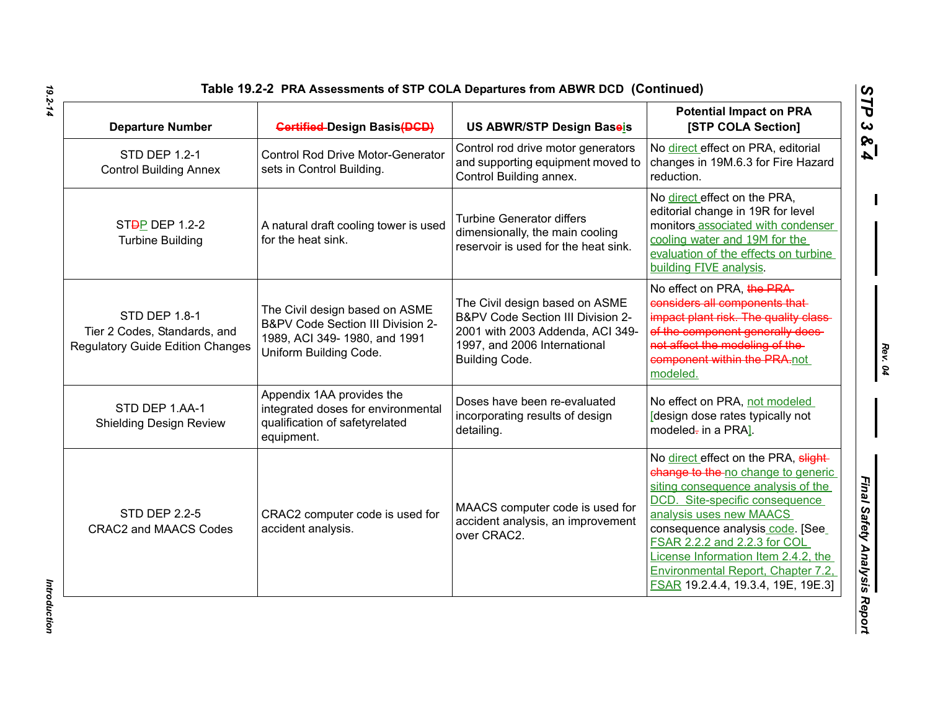| Table 19.2-2 PRA Assessments of STP COLA Departures from ABWR DCD (Continued) |  |
|-------------------------------------------------------------------------------|--|
|-------------------------------------------------------------------------------|--|

| <b>Departure Number</b>                                                                         | <b>Gertified-Design Basis(DGD)</b>                                                                                            | <b>US ABWR/STP Design Baseis</b>                                                                                                                          | <b>Potential Impact on PRA</b><br>[STP COLA Section]                                                                                                                                                                                                                                                                                                                 |
|-------------------------------------------------------------------------------------------------|-------------------------------------------------------------------------------------------------------------------------------|-----------------------------------------------------------------------------------------------------------------------------------------------------------|----------------------------------------------------------------------------------------------------------------------------------------------------------------------------------------------------------------------------------------------------------------------------------------------------------------------------------------------------------------------|
| <b>STD DEP 1.2-1</b><br><b>Control Building Annex</b>                                           | <b>Control Rod Drive Motor-Generator</b><br>sets in Control Building.                                                         | Control rod drive motor generators<br>and supporting equipment moved to<br>Control Building annex.                                                        | No direct effect on PRA, editorial<br>changes in 19M.6.3 for Fire Hazard<br>reduction.                                                                                                                                                                                                                                                                               |
| ST <sub>D</sub> P DEP 1.2-2<br><b>Turbine Building</b>                                          | A natural draft cooling tower is used<br>for the heat sink.                                                                   | <b>Turbine Generator differs</b><br>dimensionally, the main cooling<br>reservoir is used for the heat sink.                                               | No direct effect on the PRA,<br>editorial change in 19R for level<br>monitors associated with condenser<br>cooling water and 19M for the<br>evaluation of the effects on turbine<br>building FIVE analysis.                                                                                                                                                          |
| <b>STD DEP 1.8-1</b><br>Tier 2 Codes, Standards, and<br><b>Regulatory Guide Edition Changes</b> | The Civil design based on ASME<br>B&PV Code Section III Division 2-<br>1989, ACI 349-1980, and 1991<br>Uniform Building Code. | The Civil design based on ASME<br>B&PV Code Section III Division 2-<br>2001 with 2003 Addenda, ACI 349-<br>1997, and 2006 International<br>Building Code. | No effect on PRA, the PRA-<br>considers all components that-<br>impact plant risk. The quality class-<br>of the component generally does-<br>not affect the modeling of the-<br>component within the PRA-not<br>modeled.                                                                                                                                             |
| STD DEP 1.AA-1<br><b>Shielding Design Review</b>                                                | Appendix 1AA provides the<br>integrated doses for environmental<br>qualification of safetyrelated<br>equipment.               | Doses have been re-evaluated<br>incorporating results of design<br>detailing.                                                                             | No effect on PRA, not modeled<br>[design dose rates typically not<br>modeled- in a PRA].                                                                                                                                                                                                                                                                             |
| <b>STD DEP 2.2-5</b><br><b>CRAC2 and MAACS Codes</b>                                            | CRAC2 computer code is used for<br>accident analysis.                                                                         | MAACS computer code is used for<br>accident analysis, an improvement<br>over CRAC2.                                                                       | No direct effect on the PRA, slight-<br>change to the no change to generic<br>siting consequence analysis of the<br>DCD. Site-specific consequence<br>analysis uses new MAACS<br>consequence analysis_code. [See_<br>FSAR 2.2.2 and 2.2.3 for COL<br>License Information Item 2.4.2, the<br>Environmental Report, Chapter 7.2,<br>FSAR 19.2.4.4, 19.3.4, 19E, 19E.3] |

*Rev. 04*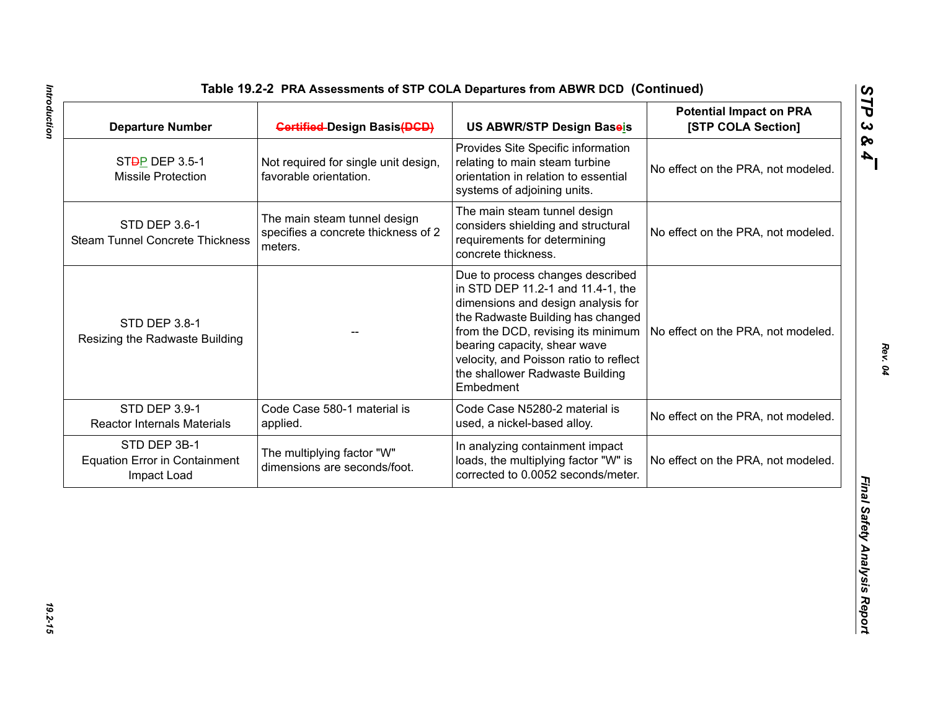| <b>Departure Number</b>                                             | <b>Gertified-Design Basis(DGD)</b>                                             | US ABWR/STP Design Baseis                                                                                                                                                                                                                                                                                                                             | <b>Potential Impact on PRA</b><br>[STP COLA Section] |
|---------------------------------------------------------------------|--------------------------------------------------------------------------------|-------------------------------------------------------------------------------------------------------------------------------------------------------------------------------------------------------------------------------------------------------------------------------------------------------------------------------------------------------|------------------------------------------------------|
| ST <sub>D</sub> P DEP 3.5-1<br><b>Missile Protection</b>            | Not required for single unit design,<br>favorable orientation.                 | Provides Site Specific information<br>relating to main steam turbine<br>orientation in relation to essential<br>systems of adjoining units.                                                                                                                                                                                                           | No effect on the PRA, not modeled.                   |
| STD DEP 3.6-1<br><b>Steam Tunnel Concrete Thickness</b>             | The main steam tunnel design<br>specifies a concrete thickness of 2<br>meters. | The main steam tunnel design<br>considers shielding and structural<br>requirements for determining<br>concrete thickness.                                                                                                                                                                                                                             | No effect on the PRA, not modeled.                   |
| <b>STD DEP 3.8-1</b><br>Resizing the Radwaste Building              |                                                                                | Due to process changes described<br>in STD DEP 11.2-1 and 11.4-1, the<br>dimensions and design analysis for<br>the Radwaste Building has changed<br>from the DCD, revising its minimum   No effect on the PRA, not modeled.<br>bearing capacity, shear wave<br>velocity, and Poisson ratio to reflect<br>the shallower Radwaste Building<br>Embedment |                                                      |
| STD DEP 3.9-1<br><b>Reactor Internals Materials</b>                 | Code Case 580-1 material is<br>applied.                                        | Code Case N5280-2 material is<br>used, a nickel-based alloy.                                                                                                                                                                                                                                                                                          | No effect on the PRA, not modeled.                   |
| STD DEP 3B-1<br><b>Equation Error in Containment</b><br>Impact Load | The multiplying factor "W"<br>dimensions are seconds/foot.                     | In analyzing containment impact<br>loads, the multiplying factor "W" is<br>corrected to 0.0052 seconds/meter.                                                                                                                                                                                                                                         | No effect on the PRA, not modeled.                   |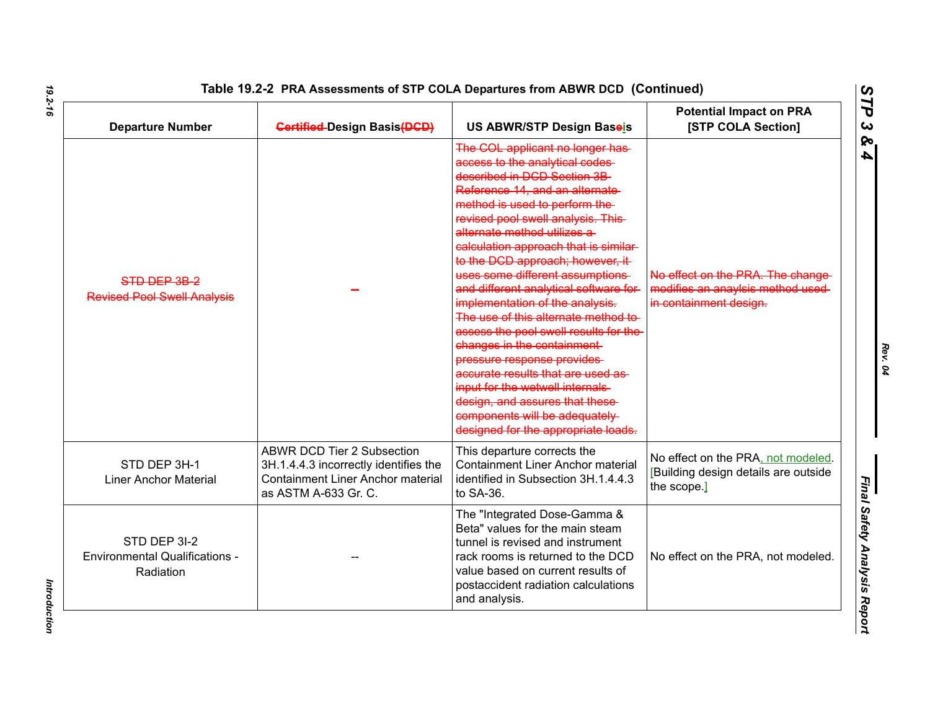| <b>Departure Number</b>                                            | <b>Gertified-Design Basis(DGD)</b>                                                                                                             | US ABWR/STP Design Baseis                                                                                                                                                                                                                                                                                                                                                                                                                                                                                                                                                                                                                                                                                                                                                   | <b>Potential Impact on PRA</b><br>[STP COLA Section]                                             |
|--------------------------------------------------------------------|------------------------------------------------------------------------------------------------------------------------------------------------|-----------------------------------------------------------------------------------------------------------------------------------------------------------------------------------------------------------------------------------------------------------------------------------------------------------------------------------------------------------------------------------------------------------------------------------------------------------------------------------------------------------------------------------------------------------------------------------------------------------------------------------------------------------------------------------------------------------------------------------------------------------------------------|--------------------------------------------------------------------------------------------------|
| STD DEP 3B-2<br><b>Revised Pool Swell Analysis</b>                 |                                                                                                                                                | The COL applicant no longer has-<br>access to the analytical codes-<br>described in DCD Section 3B<br>Reference 14, and an alternate-<br>method is used to perform the<br>revised pool swell analysis. This-<br>alternate method utilizes a<br>calculation approach that is similar-<br>to the DCD approach; however, it-<br>uses some different assumptions-<br>and different analytical software for-<br>implementation of the analysis.<br>The use of this alternate method to-<br>assess the pool swell results for the<br>changes in the containment-<br>pressure response provides<br>accurate results that are used as<br>input for the wetwell internals<br>design, and assures that these-<br>components will be adequately<br>designed for the appropriate loads. | No effect on the PRA. The change-<br>modifies an anaylsis method used-<br>in containment design. |
| STD DEP 3H-1<br><b>Liner Anchor Material</b>                       | <b>ABWR DCD Tier 2 Subsection</b><br>3H.1.4.4.3 incorrectly identifies the<br><b>Containment Liner Anchor material</b><br>as ASTM A-633 Gr. C. | This departure corrects the<br><b>Containment Liner Anchor material</b><br>identified in Subsection 3H.1.4.4.3<br>to SA-36.                                                                                                                                                                                                                                                                                                                                                                                                                                                                                                                                                                                                                                                 | No effect on the PRA, not modeled.<br>[Building design details are outside<br>the scope.]        |
| STD DEP 3I-2<br><b>Environmental Qualifications -</b><br>Radiation |                                                                                                                                                | The "Integrated Dose-Gamma &<br>Beta" values for the main steam<br>tunnel is revised and instrument<br>rack rooms is returned to the DCD<br>value based on current results of<br>postaccident radiation calculations<br>and analysis.                                                                                                                                                                                                                                                                                                                                                                                                                                                                                                                                       | No effect on the PRA, not modeled.                                                               |

*Rev. 04*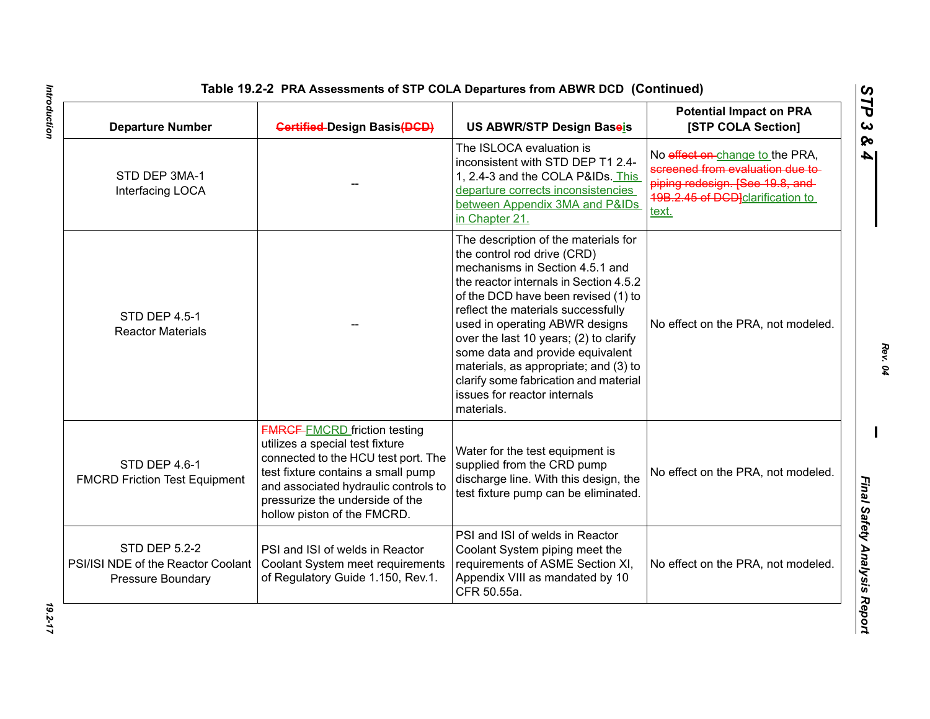| <b>Departure Number</b>                                                                | <b>Gertified-Design Basis(DGD)</b>                                                                                                                                                                                                                            | US ABWR/STP Design Baseis                                                                                                                                                                                                                                                                                                                                                                                                                                                     | <b>Potential Impact on PRA</b><br>[STP COLA Section]                                                                                                 |
|----------------------------------------------------------------------------------------|---------------------------------------------------------------------------------------------------------------------------------------------------------------------------------------------------------------------------------------------------------------|-------------------------------------------------------------------------------------------------------------------------------------------------------------------------------------------------------------------------------------------------------------------------------------------------------------------------------------------------------------------------------------------------------------------------------------------------------------------------------|------------------------------------------------------------------------------------------------------------------------------------------------------|
| STD DEP 3MA-1<br>Interfacing LOCA                                                      |                                                                                                                                                                                                                                                               | The ISLOCA evaluation is<br>inconsistent with STD DEP T1 2.4-<br>1, 2.4-3 and the COLA P&IDs. This<br>departure corrects inconsistencies<br>between Appendix 3MA and P&IDs<br>in Chapter 21.                                                                                                                                                                                                                                                                                  | No effect on change to the PRA,<br>screened from evaluation due to-<br>piping redesign. [See 19.8, and-<br>19B.2.45 of DCD clarification to<br>text. |
| <b>STD DEP 4.5-1</b><br><b>Reactor Materials</b>                                       |                                                                                                                                                                                                                                                               | The description of the materials for<br>the control rod drive (CRD)<br>mechanisms in Section 4.5.1 and<br>the reactor internals in Section 4.5.2<br>of the DCD have been revised (1) to<br>reflect the materials successfully<br>used in operating ABWR designs<br>over the last 10 years; (2) to clarify<br>some data and provide equivalent<br>materials, as appropriate; and (3) to<br>clarify some fabrication and material<br>issues for reactor internals<br>materials. | No effect on the PRA, not modeled.                                                                                                                   |
| STD DEP 4.6-1<br><b>FMCRD Friction Test Equipment</b>                                  | <b>FMRGF-FMCRD</b> friction testing<br>utilizes a special test fixture<br>connected to the HCU test port. The<br>test fixture contains a small pump<br>and associated hydraulic controls to<br>pressurize the underside of the<br>hollow piston of the FMCRD. | Water for the test equipment is<br>supplied from the CRD pump<br>discharge line. With this design, the<br>test fixture pump can be eliminated.                                                                                                                                                                                                                                                                                                                                | No effect on the PRA, not modeled.                                                                                                                   |
| <b>STD DEP 5.2-2</b><br>PSI/ISI NDE of the Reactor Coolant<br><b>Pressure Boundary</b> | PSI and ISI of welds in Reactor<br>Coolant System meet requirements<br>of Regulatory Guide 1.150, Rev.1.                                                                                                                                                      | PSI and ISI of welds in Reactor<br>Coolant System piping meet the<br>requirements of ASME Section XI,<br>Appendix VIII as mandated by 10<br>CFR 50.55a.                                                                                                                                                                                                                                                                                                                       | No effect on the PRA, not modeled.                                                                                                                   |

# Introduction

*Introduction 19.2-17* 19.2-17

*Rev. 04*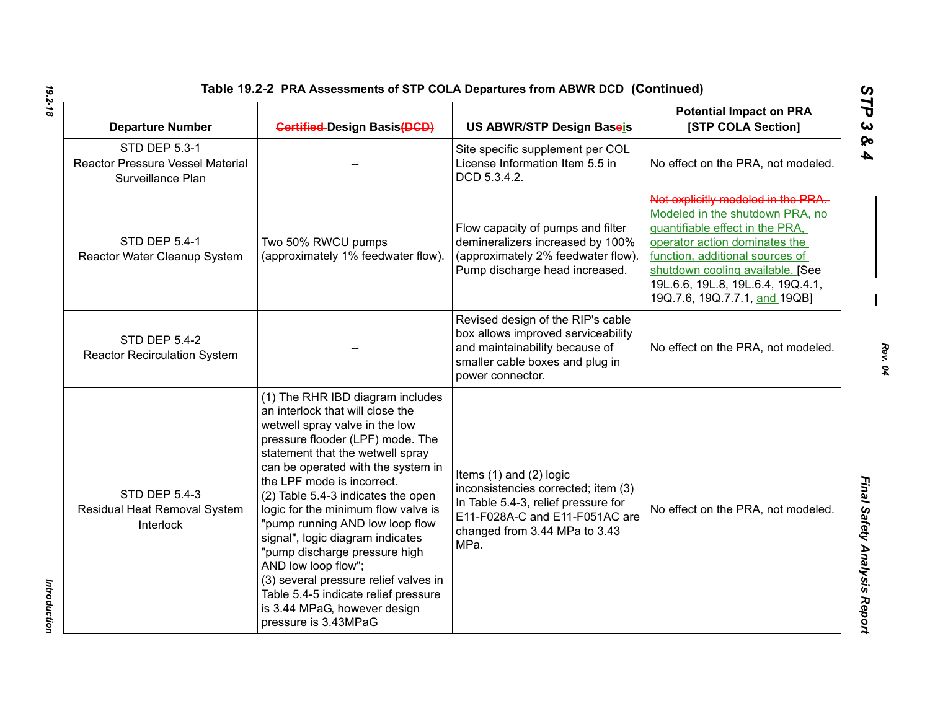| Table 19.2-2 PRA Assessments of STP COLA Departures from ABWR DCD (Continued)        |                                                                                                                                                                                                                                                                                                                                                                                                                                                                                                                                                                                                         |                                                                                                                                                                                      |                                                                                                                                                                                                                                                                                        |
|--------------------------------------------------------------------------------------|---------------------------------------------------------------------------------------------------------------------------------------------------------------------------------------------------------------------------------------------------------------------------------------------------------------------------------------------------------------------------------------------------------------------------------------------------------------------------------------------------------------------------------------------------------------------------------------------------------|--------------------------------------------------------------------------------------------------------------------------------------------------------------------------------------|----------------------------------------------------------------------------------------------------------------------------------------------------------------------------------------------------------------------------------------------------------------------------------------|
| <b>Departure Number</b>                                                              | <b>Gertified-Design Basis(DGD)</b>                                                                                                                                                                                                                                                                                                                                                                                                                                                                                                                                                                      | US ABWR/STP Design Baseis                                                                                                                                                            | <b>Potential Impact on PRA</b><br>[STP COLA Section]                                                                                                                                                                                                                                   |
| <b>STD DEP 5.3-1</b><br><b>Reactor Pressure Vessel Material</b><br>Surveillance Plan |                                                                                                                                                                                                                                                                                                                                                                                                                                                                                                                                                                                                         | Site specific supplement per COL<br>License Information Item 5.5 in<br>DCD 5.3.4.2.                                                                                                  | No effect on the PRA, not modeled.                                                                                                                                                                                                                                                     |
| <b>STD DEP 5.4-1</b><br>Reactor Water Cleanup System                                 | Two 50% RWCU pumps<br>(approximately 1% feedwater flow).                                                                                                                                                                                                                                                                                                                                                                                                                                                                                                                                                | Flow capacity of pumps and filter<br>demineralizers increased by 100%<br>(approximately 2% feedwater flow).<br>Pump discharge head increased.                                        | Not explicitly modeled in the PRA.<br>Modeled in the shutdown PRA, no<br>quantifiable effect in the PRA,<br>operator action dominates the<br>function, additional sources of<br>shutdown cooling available. [See<br>19L.6.6, 19L.8, 19L.6.4, 19Q.4.1,<br>19Q.7.6, 19Q.7.7.1, and 19QB] |
| <b>STD DEP 5.4-2</b><br><b>Reactor Recirculation System</b>                          |                                                                                                                                                                                                                                                                                                                                                                                                                                                                                                                                                                                                         | Revised design of the RIP's cable<br>box allows improved serviceability<br>and maintainability because of<br>smaller cable boxes and plug in<br>power connector.                     | No effect on the PRA, not modeled.                                                                                                                                                                                                                                                     |
| <b>STD DEP 5.4-3</b><br>Residual Heat Removal System<br><b>Interlock</b>             | (1) The RHR IBD diagram includes<br>an interlock that will close the<br>wetwell spray valve in the low<br>pressure flooder (LPF) mode. The<br>statement that the wetwell spray<br>can be operated with the system in<br>the LPF mode is incorrect.<br>(2) Table 5.4-3 indicates the open<br>logic for the minimum flow valve is<br>"pump running AND low loop flow<br>signal", logic diagram indicates<br>"pump discharge pressure high<br>AND low loop flow";<br>(3) several pressure relief valves in<br>Table 5.4-5 indicate relief pressure<br>is 3.44 MPaG, however design<br>pressure is 3.43MPaG | Items $(1)$ and $(2)$ logic<br>inconsistencies corrected; item (3)<br>In Table 5.4-3, relief pressure for<br>E11-F028A-C and E11-F051AC are<br>changed from 3.44 MPa to 3.43<br>MPa. | No effect on the PRA, not modeled.                                                                                                                                                                                                                                                     |

*Introduction* 

Introduction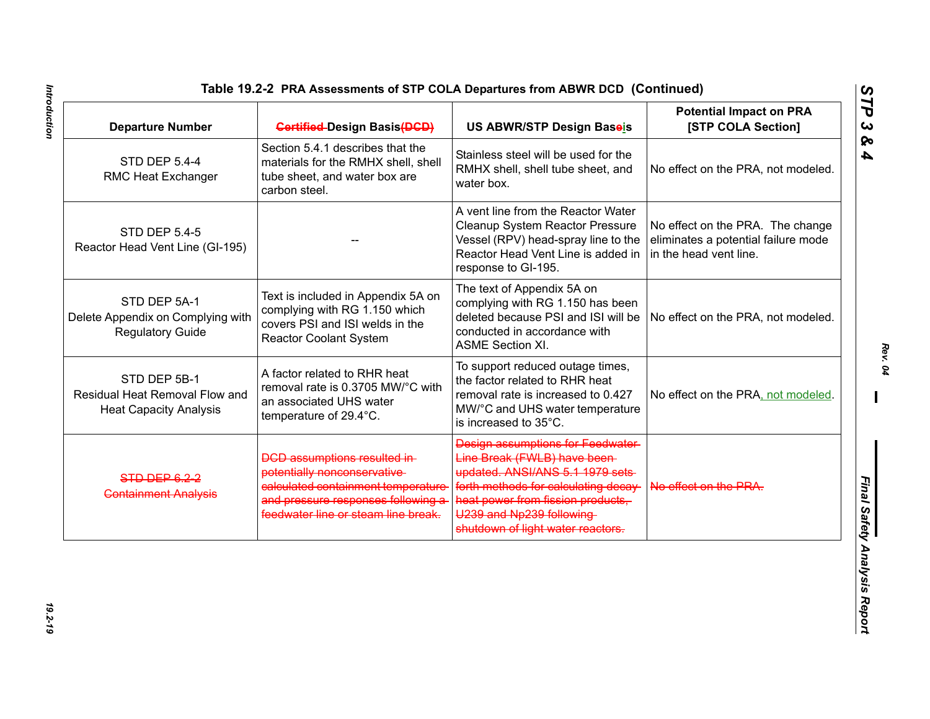| <b>Departure Number</b>                                                         | <b>Gertified-Design Basis(DGD)</b>                                                                                                                                                     | US ABWR/STP Design Baseis                                                                                                                                                                                                                         | <b>Potential Impact on PRA</b><br>[STP COLA Section]                                              |
|---------------------------------------------------------------------------------|----------------------------------------------------------------------------------------------------------------------------------------------------------------------------------------|---------------------------------------------------------------------------------------------------------------------------------------------------------------------------------------------------------------------------------------------------|---------------------------------------------------------------------------------------------------|
| <b>STD DEP 5.4-4</b><br>RMC Heat Exchanger                                      | Section 5.4.1 describes that the<br>materials for the RMHX shell, shell<br>tube sheet, and water box are<br>carbon steel.                                                              | Stainless steel will be used for the<br>RMHX shell, shell tube sheet, and<br>water box.                                                                                                                                                           | No effect on the PRA, not modeled.                                                                |
| <b>STD DEP 5.4-5</b><br>Reactor Head Vent Line (GI-195)                         |                                                                                                                                                                                        | A vent line from the Reactor Water<br>Cleanup System Reactor Pressure<br>Vessel (RPV) head-spray line to the<br>Reactor Head Vent Line is added in<br>response to GI-195.                                                                         | No effect on the PRA. The change<br>eliminates a potential failure mode<br>in the head vent line. |
| STD DEP 5A-1<br>Delete Appendix on Complying with<br><b>Regulatory Guide</b>    | Text is included in Appendix 5A on<br>complying with RG 1.150 which<br>covers PSI and ISI welds in the<br><b>Reactor Coolant System</b>                                                | The text of Appendix 5A on<br>complying with RG 1.150 has been<br>deleted because PSI and ISI will be<br>conducted in accordance with<br><b>ASME Section XI.</b>                                                                                  | No effect on the PRA, not modeled.                                                                |
| STD DEP 5B-1<br>Residual Heat Removal Flow and<br><b>Heat Capacity Analysis</b> | A factor related to RHR heat<br>removal rate is 0.3705 MW/°C with<br>an associated UHS water<br>temperature of 29.4°C.                                                                 | To support reduced outage times,<br>the factor related to RHR heat<br>removal rate is increased to 0.427<br>MW/°C and UHS water temperature<br>is increased to 35°C.                                                                              | No effect on the PRA, not modeled.                                                                |
| STD DEP 6.2-2<br><b>Containment Analysis</b>                                    | <b>DCD assumptions resulted in-</b><br>potentially nonconservative<br>calculated containment temperature<br>and pressure responses following a-<br>feedwater line or steam line break. | Design assumptions for Feedwater<br>Line Break (FWLB) have been-<br>updated. ANSI/ANS 5.1 1979 sets<br>forth methods for calculating decay-<br>heat power from fission products,<br>U239 and Np239 following<br>shutdown of light water reactors. | No effect on the PRA.                                                                             |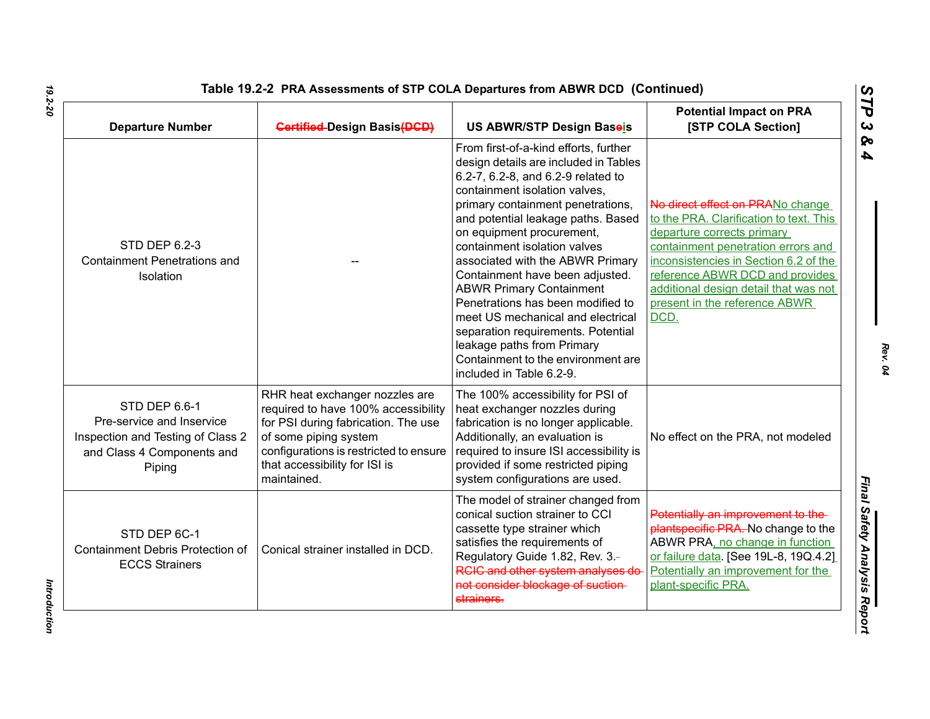| <b>Departure Number</b>                                                                                                 | <b>Gertified-Design Basis(DGD)</b>                                                                                                                                                                                              | US ABWR/STP Design Baseis                                                                                                                                                                                                                                                                                                                                                                                                                                                                                                                                                                                               | <b>Potential Impact on PRA</b><br>[STP COLA Section]                                                                                                                                                                                                                                                          |
|-------------------------------------------------------------------------------------------------------------------------|---------------------------------------------------------------------------------------------------------------------------------------------------------------------------------------------------------------------------------|-------------------------------------------------------------------------------------------------------------------------------------------------------------------------------------------------------------------------------------------------------------------------------------------------------------------------------------------------------------------------------------------------------------------------------------------------------------------------------------------------------------------------------------------------------------------------------------------------------------------------|---------------------------------------------------------------------------------------------------------------------------------------------------------------------------------------------------------------------------------------------------------------------------------------------------------------|
| <b>STD DEP 6.2-3</b><br><b>Containment Penetrations and</b><br>Isolation                                                |                                                                                                                                                                                                                                 | From first-of-a-kind efforts, further<br>design details are included in Tables<br>6.2-7, 6.2-8, and 6.2-9 related to<br>containment isolation valves,<br>primary containment penetrations,<br>and potential leakage paths. Based<br>on equipment procurement,<br>containment isolation valves<br>associated with the ABWR Primary<br>Containment have been adjusted.<br><b>ABWR Primary Containment</b><br>Penetrations has been modified to<br>meet US mechanical and electrical<br>separation requirements. Potential<br>leakage paths from Primary<br>Containment to the environment are<br>included in Table 6.2-9. | No direct effect on PRANo change<br>to the PRA. Clarification to text. This<br>departure corrects primary<br>containment penetration errors and<br>inconsistencies in Section 6.2 of the<br>reference ABWR DCD and provides<br>additional design detail that was not<br>present in the reference ABWR<br>DCD. |
| STD DEP 6.6-1<br>Pre-service and Inservice<br>Inspection and Testing of Class 2<br>and Class 4 Components and<br>Piping | RHR heat exchanger nozzles are<br>required to have 100% accessibility<br>for PSI during fabrication. The use<br>of some piping system<br>configurations is restricted to ensure<br>that accessibility for ISI is<br>maintained. | The 100% accessibility for PSI of<br>heat exchanger nozzles during<br>fabrication is no longer applicable.<br>Additionally, an evaluation is<br>required to insure ISI accessibility is<br>provided if some restricted piping<br>system configurations are used.                                                                                                                                                                                                                                                                                                                                                        | No effect on the PRA, not modeled                                                                                                                                                                                                                                                                             |
| STD DEP 6C-1<br>Containment Debris Protection of<br><b>ECCS Strainers</b>                                               | Conical strainer installed in DCD.                                                                                                                                                                                              | The model of strainer changed from<br>conical suction strainer to CCI<br>cassette type strainer which<br>satisfies the requirements of<br>Regulatory Guide 1.82, Rev. 3.-<br>RGIC and other system analyses do-<br>not consider blockage of suction-<br>strainers.                                                                                                                                                                                                                                                                                                                                                      | Potentially an improvement to the-<br>plantspecific PRA. No change to the<br>ABWR PRA, no change in function<br>or failure data. [See 19L-8, 19Q.4.2]<br>Potentially an improvement for the<br>plant-specific PRA.                                                                                            |

*STP 3 & 4*

Introduction *Introduction*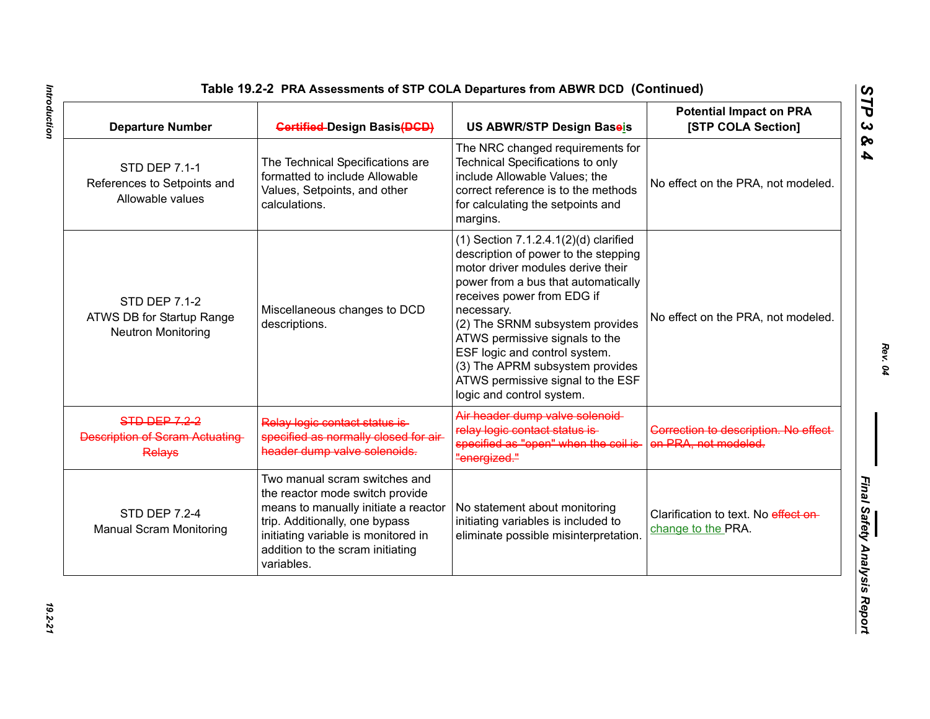| Table 19.2-2 PRA Assessments of STP COLA Departures from ABWR DCD (Continued) |  |
|-------------------------------------------------------------------------------|--|
|                                                                               |  |

| <b>Departure Number</b>                                                        | <b>Gertified-Design Basis(DGD)</b>                                                                                                                                                                                                  | US ABWR/STP Design Baseis                                                                                                                                                                                                                                                                                                                                                                                             | <b>Potential Impact on PRA</b><br>[STP COLA Section]          |
|--------------------------------------------------------------------------------|-------------------------------------------------------------------------------------------------------------------------------------------------------------------------------------------------------------------------------------|-----------------------------------------------------------------------------------------------------------------------------------------------------------------------------------------------------------------------------------------------------------------------------------------------------------------------------------------------------------------------------------------------------------------------|---------------------------------------------------------------|
| <b>STD DEP 7.1-1</b><br>References to Setpoints and<br>Allowable values        | The Technical Specifications are<br>formatted to include Allowable<br>Values, Setpoints, and other<br>calculations.                                                                                                                 | The NRC changed requirements for<br>Technical Specifications to only<br>include Allowable Values; the<br>correct reference is to the methods<br>for calculating the setpoints and<br>margins.                                                                                                                                                                                                                         | No effect on the PRA, not modeled.                            |
| <b>STD DEP 7.1-2</b><br>ATWS DB for Startup Range<br><b>Neutron Monitoring</b> | Miscellaneous changes to DCD<br>descriptions.                                                                                                                                                                                       | $(1)$ Section 7.1.2.4.1 $(2)(d)$ clarified<br>description of power to the stepping<br>motor driver modules derive their<br>power from a bus that automatically<br>receives power from EDG if<br>necessary.<br>(2) The SRNM subsystem provides<br>ATWS permissive signals to the<br>ESF logic and control system.<br>(3) The APRM subsystem provides<br>ATWS permissive signal to the ESF<br>logic and control system. | No effect on the PRA, not modeled.                            |
| <b>STD DEP 7.2-2</b><br><b>Description of Scram Actuating-</b><br>Relays       | Relay logic contact status is-<br>specified as normally closed for air<br>header dump valve solenoids.                                                                                                                              | Air header dump valve solenoid-<br>relay logic contact status is-<br>specified as "open" when the coil is<br>"energized."                                                                                                                                                                                                                                                                                             | Correction to description. No effect-<br>on PRA, not modeled. |
| <b>STD DEP 7.2-4</b><br><b>Manual Scram Monitoring</b>                         | Two manual scram switches and<br>the reactor mode switch provide<br>means to manually initiate a reactor<br>trip. Additionally, one bypass<br>initiating variable is monitored in<br>addition to the scram initiating<br>variables. | No statement about monitoring<br>initiating variables is included to<br>eliminate possible misinterpretation.                                                                                                                                                                                                                                                                                                         | Clarification to text. No effect on-<br>change to the PRA.    |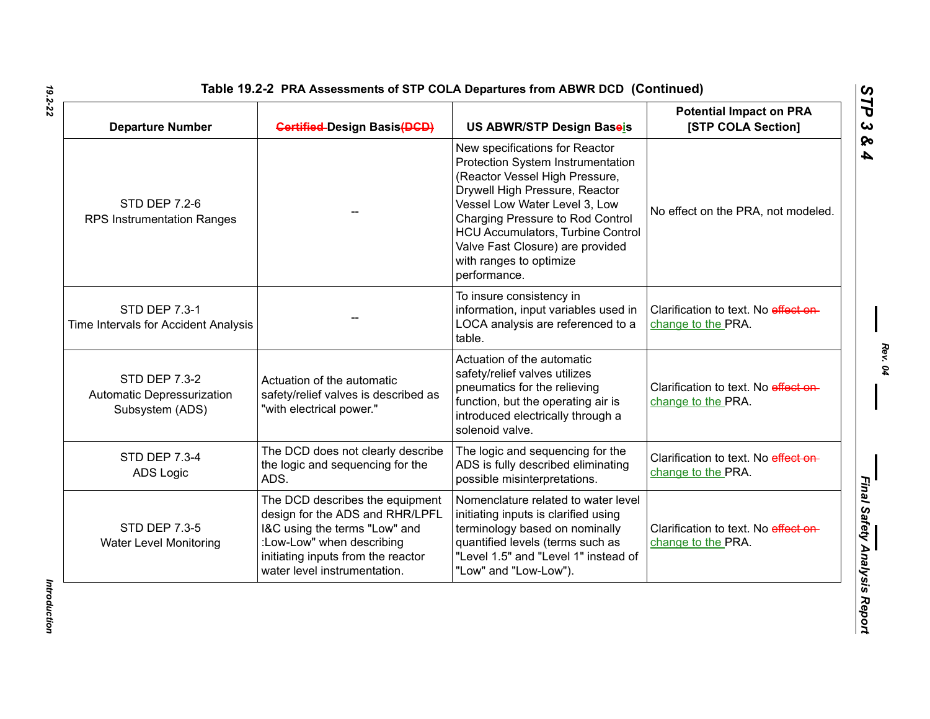| <b>Departure Number</b>                                               | <b>Gertified-Design Basis(DGD)</b>                                                                                                                                                                     | <b>US ABWR/STP Design Baseis</b>                                                                                                                                                                                                                                                                                                        | <b>Potential Impact on PRA</b><br>[STP COLA Section]       |
|-----------------------------------------------------------------------|--------------------------------------------------------------------------------------------------------------------------------------------------------------------------------------------------------|-----------------------------------------------------------------------------------------------------------------------------------------------------------------------------------------------------------------------------------------------------------------------------------------------------------------------------------------|------------------------------------------------------------|
| <b>STD DEP 7.2-6</b><br>RPS Instrumentation Ranges                    |                                                                                                                                                                                                        | New specifications for Reactor<br>Protection System Instrumentation<br>(Reactor Vessel High Pressure,<br>Drywell High Pressure, Reactor<br>Vessel Low Water Level 3, Low<br>Charging Pressure to Rod Control<br><b>HCU Accumulators, Turbine Control</b><br>Valve Fast Closure) are provided<br>with ranges to optimize<br>performance. | No effect on the PRA, not modeled.                         |
| <b>STD DEP 7.3-1</b><br>Time Intervals for Accident Analysis          |                                                                                                                                                                                                        | To insure consistency in<br>information, input variables used in<br>LOCA analysis are referenced to a<br>table.                                                                                                                                                                                                                         | Clarification to text. No effect on-<br>change to the PRA. |
| <b>STD DEP 7.3-2</b><br>Automatic Depressurization<br>Subsystem (ADS) | Actuation of the automatic<br>safety/relief valves is described as<br>"with electrical power."                                                                                                         | Actuation of the automatic<br>safety/relief valves utilizes<br>pneumatics for the relieving<br>function, but the operating air is<br>introduced electrically through a<br>solenoid valve.                                                                                                                                               | Clarification to text. No effect on-<br>change to the PRA. |
| STD DEP 7.3-4<br>ADS Logic                                            | The DCD does not clearly describe<br>the logic and sequencing for the<br>ADS.                                                                                                                          | The logic and sequencing for the<br>ADS is fully described eliminating<br>possible misinterpretations.                                                                                                                                                                                                                                  | Clarification to text. No effect on-<br>change to the PRA. |
| <b>STD DEP 7.3-5</b><br><b>Water Level Monitoring</b>                 | The DCD describes the equipment<br>design for the ADS and RHR/LPFL<br>I&C using the terms "Low" and<br>:Low-Low" when describing<br>initiating inputs from the reactor<br>water level instrumentation. | Nomenclature related to water level<br>initiating inputs is clarified using<br>terminology based on nominally<br>quantified levels (terms such as<br>"Level 1.5" and "Level 1" instead of<br>"Low" and "Low-Low").                                                                                                                      | Clarification to text. No effect on-<br>change to the PRA. |

Introduction *Introduction*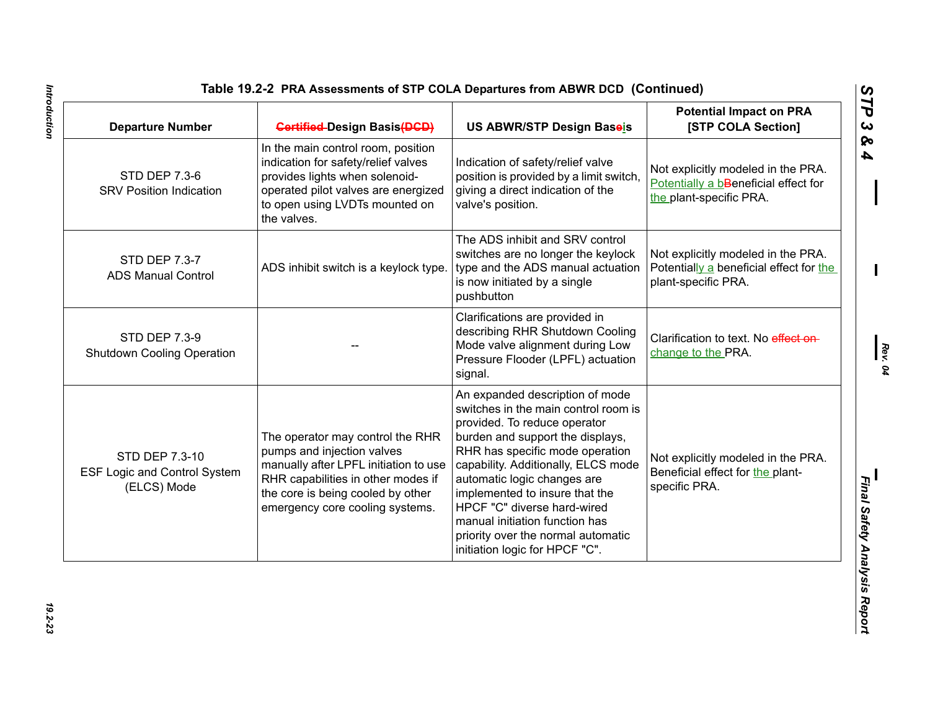| <b>Departure Number</b>                                              | <b>Gertified-Design Basis(DGD)</b>                                                                                                                                                                                    | US ABWR/STP Design Baseis                                                                                                                                                                                                                                                                                                                                                                                                       | <b>Potential Impact on PRA</b><br>[STP COLA Section]                                                  |
|----------------------------------------------------------------------|-----------------------------------------------------------------------------------------------------------------------------------------------------------------------------------------------------------------------|---------------------------------------------------------------------------------------------------------------------------------------------------------------------------------------------------------------------------------------------------------------------------------------------------------------------------------------------------------------------------------------------------------------------------------|-------------------------------------------------------------------------------------------------------|
| <b>STD DEP 7.3-6</b><br><b>SRV Position Indication</b>               | In the main control room, position<br>indication for safety/relief valves<br>provides lights when solenoid-<br>operated pilot valves are energized<br>to open using LVDTs mounted on<br>the valves.                   | Indication of safety/relief valve<br>position is provided by a limit switch,<br>giving a direct indication of the<br>valve's position.                                                                                                                                                                                                                                                                                          | Not explicitly modeled in the PRA.<br>Potentially a bBeneficial effect for<br>the plant-specific PRA. |
| <b>STD DEP 7.3-7</b><br><b>ADS Manual Control</b>                    | ADS inhibit switch is a keylock type.                                                                                                                                                                                 | The ADS inhibit and SRV control<br>switches are no longer the keylock<br>type and the ADS manual actuation<br>is now initiated by a single<br>pushbutton                                                                                                                                                                                                                                                                        | Not explicitly modeled in the PRA.<br>Potentially a beneficial effect for the<br>plant-specific PRA.  |
| STD DEP 7.3-9<br><b>Shutdown Cooling Operation</b>                   |                                                                                                                                                                                                                       | Clarifications are provided in<br>describing RHR Shutdown Cooling<br>Mode valve alignment during Low<br>Pressure Flooder (LPFL) actuation<br>signal.                                                                                                                                                                                                                                                                            | Clarification to text. No effect on-<br>change to the PRA.                                            |
| STD DEP 7.3-10<br><b>ESF Logic and Control System</b><br>(ELCS) Mode | The operator may control the RHR<br>pumps and injection valves<br>manually after LPFL initiation to use<br>RHR capabilities in other modes if<br>the core is being cooled by other<br>emergency core cooling systems. | An expanded description of mode<br>switches in the main control room is<br>provided. To reduce operator<br>burden and support the displays,<br>RHR has specific mode operation<br>capability. Additionally, ELCS mode<br>automatic logic changes are<br>implemented to insure that the<br>HPCF "C" diverse hard-wired<br>manual initiation function has<br>priority over the normal automatic<br>initiation logic for HPCF "C". | Not explicitly modeled in the PRA.<br>Beneficial effect for the plant-<br>specific PRA.               |

*Rev. 04*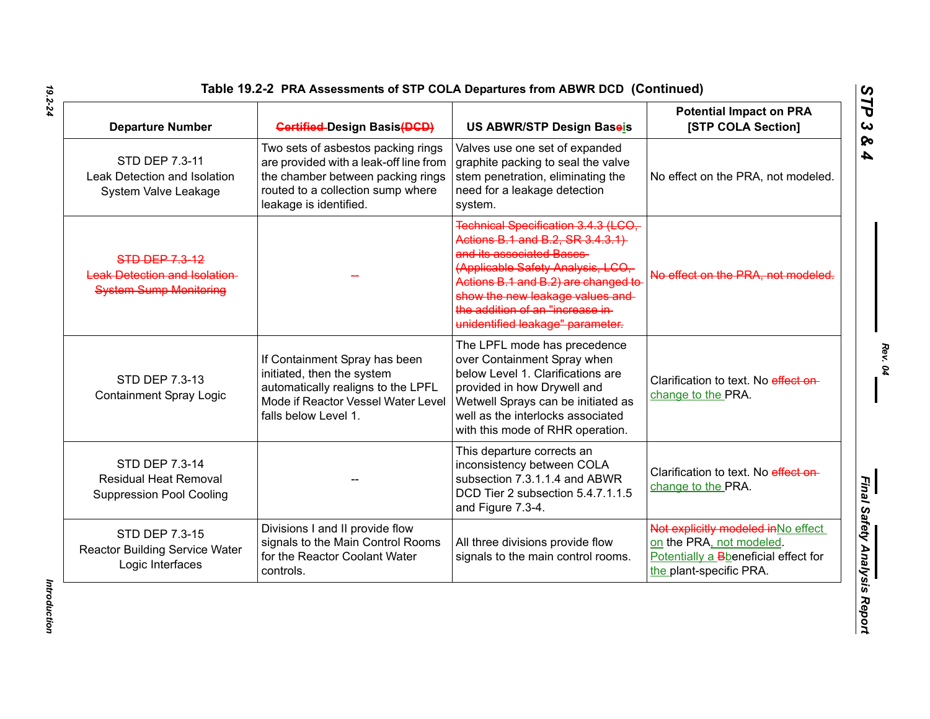## **Table 19.2-2 PRA Assessments of STP COLA Departures from ABWR DCD (Continued)**

| <b>Departure Number</b>                                                                       | <b>Gertified-Design Basis(DGD)</b>                                                                                                                                               | US ABWR/STP Design Baseis                                                                                                                                                                                                                                                                  | <b>Potential Impact on PRA</b><br>[STP COLA Section]                                                                               |
|-----------------------------------------------------------------------------------------------|----------------------------------------------------------------------------------------------------------------------------------------------------------------------------------|--------------------------------------------------------------------------------------------------------------------------------------------------------------------------------------------------------------------------------------------------------------------------------------------|------------------------------------------------------------------------------------------------------------------------------------|
| STD DEP 7.3-11<br>Leak Detection and Isolation<br>System Valve Leakage                        | Two sets of asbestos packing rings<br>are provided with a leak-off line from<br>the chamber between packing rings<br>routed to a collection sump where<br>leakage is identified. | Valves use one set of expanded<br>graphite packing to seal the valve<br>stem penetration, eliminating the<br>need for a leakage detection<br>system.                                                                                                                                       | No effect on the PRA, not modeled.                                                                                                 |
| <b>STD DEP 7.3-12</b><br><b>Leak Detection and Isolation</b><br><b>System Sump Monitoring</b> |                                                                                                                                                                                  | Technical Specification 3.4.3 (LCO,<br>Actions B.1 and B.2, SR 3.4.3.1)<br>and its associated Bases<br>(Applicable Safety Analysis, LCO,<br>Actions B.1 and B.2) are changed to<br>show the new leakage values and<br>the addition of an "increase in-<br>unidentified leakage" parameter. | No effect on the PRA, not modeled.                                                                                                 |
| STD DEP 7.3-13<br><b>Containment Spray Logic</b>                                              | If Containment Spray has been<br>initiated, then the system<br>automatically realigns to the LPFL<br>Mode if Reactor Vessel Water Level<br>falls below Level 1.                  | The LPFL mode has precedence<br>over Containment Spray when<br>below Level 1. Clarifications are<br>provided in how Drywell and<br>Wetwell Sprays can be initiated as<br>well as the interlocks associated<br>with this mode of RHR operation.                                             | Clarification to text. No effect on-<br>change to the PRA.                                                                         |
| STD DEP 7.3-14<br><b>Residual Heat Removal</b><br><b>Suppression Pool Cooling</b>             |                                                                                                                                                                                  | This departure corrects an<br>inconsistency between COLA<br>subsection 7.3.1.1.4 and ABWR<br>DCD Tier 2 subsection 5.4.7.1.1.5<br>and Figure 7.3-4.                                                                                                                                        | Clarification to text. No effect on-<br>change to the PRA.                                                                         |
| STD DEP 7.3-15<br><b>Reactor Building Service Water</b><br>Logic Interfaces                   | Divisions I and II provide flow<br>signals to the Main Control Rooms<br>for the Reactor Coolant Water<br>controls.                                                               | All three divisions provide flow<br>signals to the main control rooms.                                                                                                                                                                                                                     | Not explicitly modeled in No effect<br>on the PRA, not modeled.<br>Potentially a Bbeneficial effect for<br>the plant-specific PRA. |

*19.2-24*

*STP 3 & 4*

Introduction *Introduction*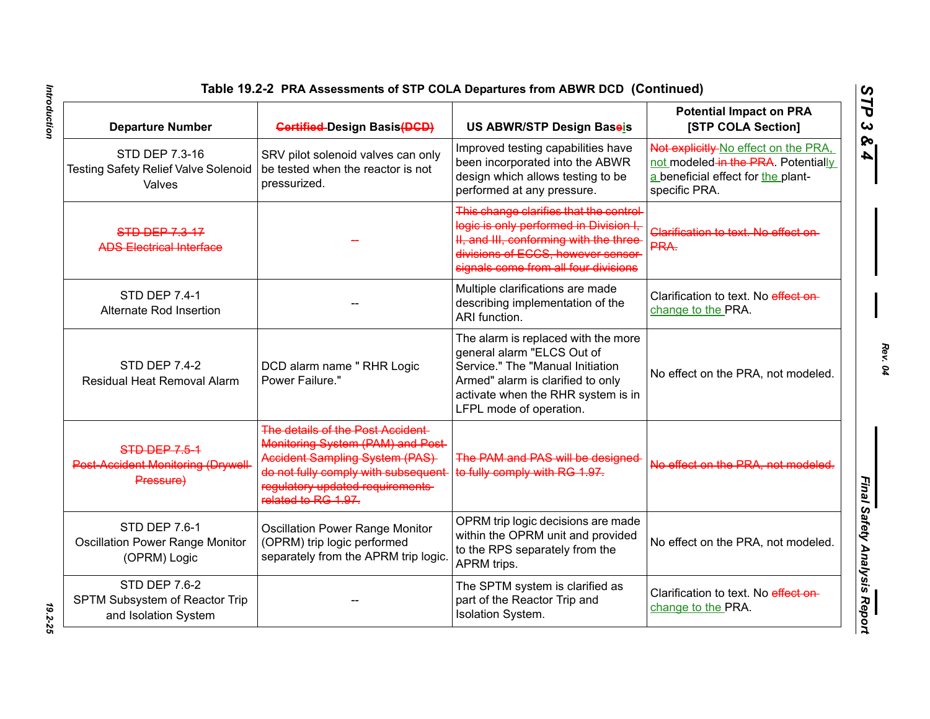| Table 19.2-2 PRA Assessments of STP COLA Departures from ABWR DCD(Continued)   |                                                                                                                                                                                                           |                                                                                                                                                                                                             |                                                                                                                                    |  |
|--------------------------------------------------------------------------------|-----------------------------------------------------------------------------------------------------------------------------------------------------------------------------------------------------------|-------------------------------------------------------------------------------------------------------------------------------------------------------------------------------------------------------------|------------------------------------------------------------------------------------------------------------------------------------|--|
| <b>Departure Number</b>                                                        | <b>Gertified-Design Basis (DGD)</b>                                                                                                                                                                       | US ABWR/STP Design Baseis                                                                                                                                                                                   | <b>Potential Impact on PRA</b><br>[STP COLA Section]                                                                               |  |
| STD DEP 7.3-16<br><b>Testing Safety Relief Valve Solenoid</b><br>Valves        | SRV pilot solenoid valves can only<br>be tested when the reactor is not<br>pressurized.                                                                                                                   | Improved testing capabilities have<br>been incorporated into the ABWR<br>design which allows testing to be<br>performed at any pressure.                                                                    | Not explicitly No effect on the PRA,<br>not modeled in the PRA. Potentially<br>a beneficial effect for the plant-<br>specific PRA. |  |
| <b>STD DEP 7.3-17</b><br><b>ADS Electrical Interface</b>                       |                                                                                                                                                                                                           | This change clarifies that the control-<br>logic is only performed in Division I,<br>II, and III, conforming with the three<br>divisions of ECCS, however sensor-<br>signals come from all four divisions   | Clarification to text. No effect on-<br>PRA.                                                                                       |  |
| <b>STD DEP 7.4-1</b><br>Alternate Rod Insertion                                |                                                                                                                                                                                                           | Multiple clarifications are made<br>describing implementation of the<br>ARI function.                                                                                                                       | Clarification to text. No effect on-<br>change to the PRA.                                                                         |  |
| <b>STD DEP 7.4-2</b><br>Residual Heat Removal Alarm                            | DCD alarm name " RHR Logic<br>Power Failure."                                                                                                                                                             | The alarm is replaced with the more<br>general alarm "ELCS Out of<br>Service." The "Manual Initiation<br>Armed" alarm is clarified to only<br>activate when the RHR system is in<br>LFPL mode of operation. | No effect on the PRA, not modeled.                                                                                                 |  |
| <b>STD-DEP-7.5-4</b><br>Post Accident Monitoring (Drywell<br>Pressure)         | The details of the Post Accident<br>Monitoring System (PAM) and Post-<br>Accident Sampling System (PAS)<br>do not fully comply with subsequent<br>regulatory updated requirements-<br>related to RG 1.97. | The PAM and PAS will be designed<br>to fully comply with RG 1.97.                                                                                                                                           | No effect on the PRA, not modeled.                                                                                                 |  |
| <b>STD DEP 7.6-1</b><br><b>Oscillation Power Range Monitor</b><br>(OPRM) Logic | <b>Oscillation Power Range Monitor</b><br>(OPRM) trip logic performed<br>separately from the APRM trip logic.                                                                                             | OPRM trip logic decisions are made<br>within the OPRM unit and provided<br>to the RPS separately from the<br>APRM trips.                                                                                    | No effect on the PRA, not modeled.                                                                                                 |  |
| <b>STD DEP 7.6-2</b><br>SPTM Subsystem of Reactor Trip<br>and Isolation System |                                                                                                                                                                                                           | The SPTM system is clarified as<br>part of the Reactor Trip and<br>Isolation System.                                                                                                                        | Clarification to text. No effect on-<br>change to the PRA.                                                                         |  |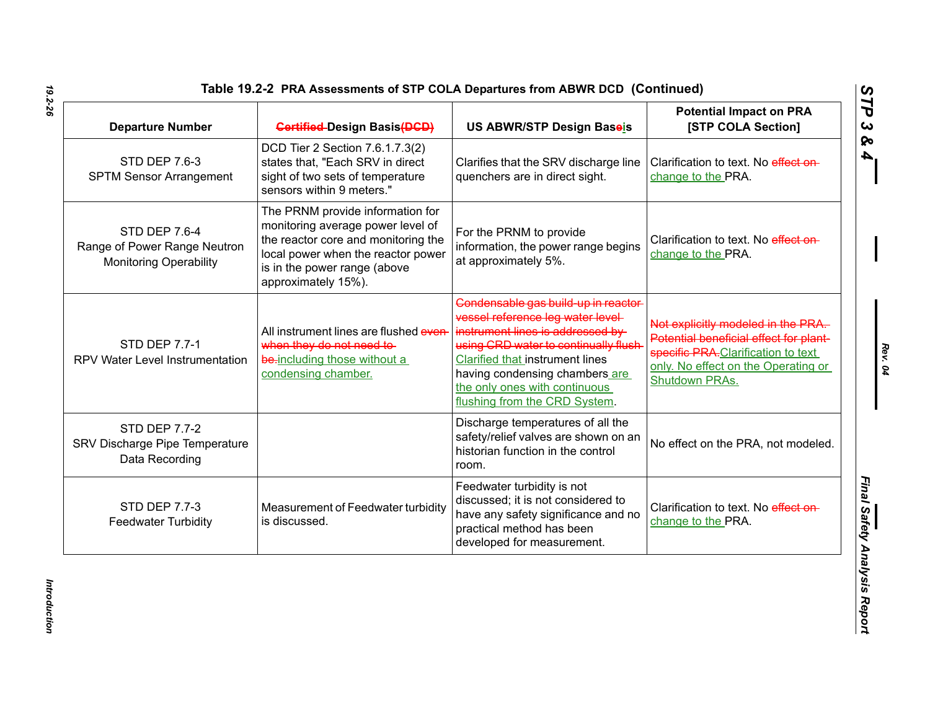| Table 19.2-2 PRA Assessments of STP COLA Departures from ABWR DCD (Continued |  |
|------------------------------------------------------------------------------|--|
|------------------------------------------------------------------------------|--|

| <b>Departure Number</b>                                                        | <b>Gertified-Design Basis(DGD)</b>                                                                                                                                                                        | US ABWR/STP Design Baseis                                                                                                                                                                                                                                                                     | <b>Potential Impact on PRA</b><br>[STP COLA Section]                                                                                                                               |
|--------------------------------------------------------------------------------|-----------------------------------------------------------------------------------------------------------------------------------------------------------------------------------------------------------|-----------------------------------------------------------------------------------------------------------------------------------------------------------------------------------------------------------------------------------------------------------------------------------------------|------------------------------------------------------------------------------------------------------------------------------------------------------------------------------------|
| <b>STD DEP 7.6-3</b><br><b>SPTM Sensor Arrangement</b>                         | DCD Tier 2 Section 7.6.1.7.3(2)<br>states that, "Each SRV in direct<br>sight of two sets of temperature<br>sensors within 9 meters."                                                                      | Clarifies that the SRV discharge line<br>quenchers are in direct sight.                                                                                                                                                                                                                       | Clarification to text. No effect on-<br>change to the PRA.                                                                                                                         |
| STD DEP 7.6-4<br>Range of Power Range Neutron<br><b>Monitoring Operability</b> | The PRNM provide information for<br>monitoring average power level of<br>the reactor core and monitoring the<br>local power when the reactor power<br>is in the power range (above<br>approximately 15%). | For the PRNM to provide<br>information, the power range begins<br>at approximately 5%.                                                                                                                                                                                                        | Clarification to text. No effect on-<br>change to the PRA.                                                                                                                         |
| <b>STD DEP 7.7-1</b><br>RPV Water Level Instrumentation                        | All instrument lines are flushed even-<br>when they do not need to-<br>be-including those without a<br>condensing chamber.                                                                                | Condensable gas build-up in reactor-<br>vessel reference leg water level-<br>instrument lines is addressed by<br>using CRD water to continually flush-<br>Clarified that instrument lines<br>having condensing chambers are<br>the only ones with continuous<br>flushing from the CRD System. | Not explicitly modeled in the PRA.<br>Potential beneficial effect for plant-<br>specific PRA-Clarification to text<br>only. No effect on the Operating or<br><b>Shutdown PRAs.</b> |
| <b>STD DEP 7.7-2</b><br>SRV Discharge Pipe Temperature<br>Data Recording       |                                                                                                                                                                                                           | Discharge temperatures of all the<br>safety/relief valves are shown on an<br>historian function in the control<br>room.                                                                                                                                                                       | No effect on the PRA, not modeled.                                                                                                                                                 |
| STD DEP 7.7-3<br><b>Feedwater Turbidity</b>                                    | Measurement of Feedwater turbidity<br>is discussed.                                                                                                                                                       | Feedwater turbidity is not<br>discussed; it is not considered to<br>have any safety significance and no<br>practical method has been<br>developed for measurement.                                                                                                                            | Clarification to text. No effect on-<br>change to the PRA.                                                                                                                         |

*Introduction* 

Introduction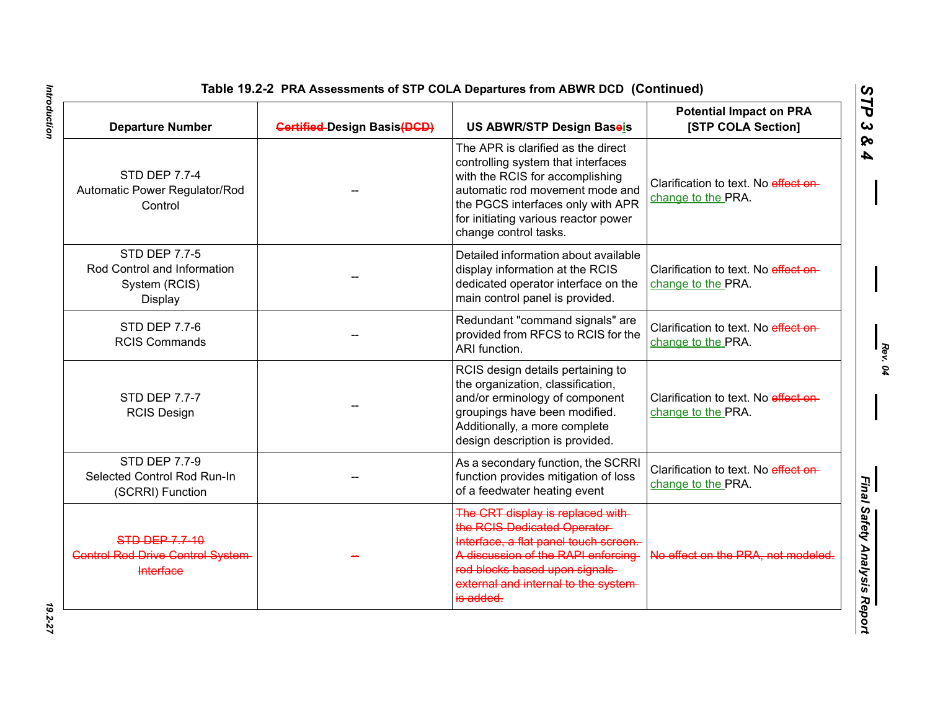*Rev. 04*

| <b>Departure Number</b>                                                               | <b>Gertified-Design Basis(DGD)</b> | US ABWR/STP Design Baseis                                                                                                                                                                                                                            | <b>Potential Impact on PRA</b><br>[STP COLA Section]       |
|---------------------------------------------------------------------------------------|------------------------------------|------------------------------------------------------------------------------------------------------------------------------------------------------------------------------------------------------------------------------------------------------|------------------------------------------------------------|
| <b>STD DEP 7.7-4</b><br>Automatic Power Regulator/Rod<br>Control                      |                                    | The APR is clarified as the direct<br>controlling system that interfaces<br>with the RCIS for accomplishing<br>automatic rod movement mode and<br>the PGCS interfaces only with APR<br>for initiating various reactor power<br>change control tasks. | Clarification to text. No effect on-<br>change to the PRA. |
| STD DEP 7.7-5<br>Rod Control and Information<br>System (RCIS)<br>Display              |                                    | Detailed information about available<br>display information at the RCIS<br>dedicated operator interface on the<br>main control panel is provided.                                                                                                    | Clarification to text. No effect on-<br>change to the PRA. |
| <b>STD DEP 7.7-6</b><br><b>RCIS Commands</b>                                          |                                    | Redundant "command signals" are<br>provided from RFCS to RCIS for the<br>ARI function.                                                                                                                                                               | Clarification to text. No effect on-<br>change to the PRA. |
| <b>STD DEP 7.7-7</b><br><b>RCIS Design</b>                                            |                                    | RCIS design details pertaining to<br>the organization, classification,<br>and/or erminology of component<br>groupings have been modified.<br>Additionally, a more complete<br>design description is provided.                                        | Clarification to text. No effect on-<br>change to the PRA. |
| <b>STD DEP 7.7-9</b><br>Selected Control Rod Run-In<br>(SCRRI) Function               |                                    | As a secondary function, the SCRRI<br>function provides mitigation of loss<br>of a feedwater heating event                                                                                                                                           | Clarification to text. No effect on-<br>change to the PRA. |
| <b>STD DEP 7.7-10</b><br><b>Control Rod Drive Control System-</b><br><b>Interface</b> |                                    | The CRT display is replaced with-<br>the RGIS Dedicated Operator-<br>Interface, a flat panel touch screen.<br>A discussion of the RAPI enforcing<br>rod blocks based upon signals<br>external and internal to the system-<br>is added.               | No effect on the PRA, not modeled.                         |

Introduction *Introduction 19.2-27*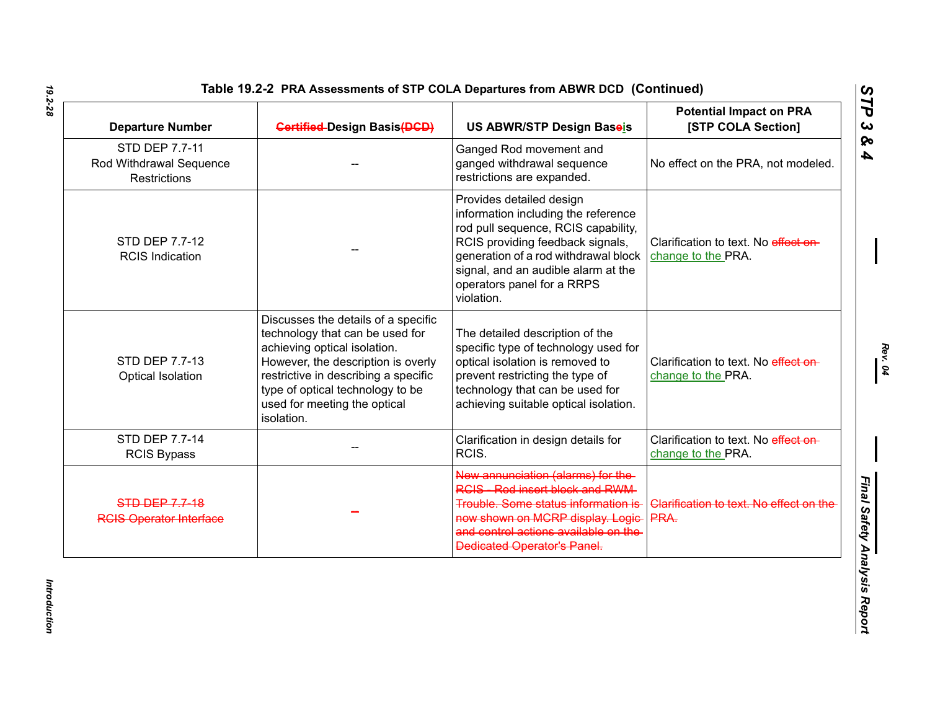| <b>Departure Number</b>                                                 | <b>Gertified-Design Basis(DGD)</b>                                                                                                                                                                                                                                     | <b>US ABWR/STP Design Baseis</b>                                                                                                                                                                                                                                      | <b>Potential Impact on PRA</b><br>[STP COLA Section]       |
|-------------------------------------------------------------------------|------------------------------------------------------------------------------------------------------------------------------------------------------------------------------------------------------------------------------------------------------------------------|-----------------------------------------------------------------------------------------------------------------------------------------------------------------------------------------------------------------------------------------------------------------------|------------------------------------------------------------|
| <b>STD DEP 7.7-11</b><br>Rod Withdrawal Sequence<br><b>Restrictions</b> |                                                                                                                                                                                                                                                                        | Ganged Rod movement and<br>ganged withdrawal sequence<br>restrictions are expanded.                                                                                                                                                                                   | No effect on the PRA, not modeled.                         |
| STD DEP 7.7-12<br><b>RCIS Indication</b>                                |                                                                                                                                                                                                                                                                        | Provides detailed design<br>information including the reference<br>rod pull sequence, RCIS capability,<br>RCIS providing feedback signals,<br>generation of a rod withdrawal block<br>signal, and an audible alarm at the<br>operators panel for a RRPS<br>violation. | Clarification to text. No effect on-<br>change to the PRA. |
| STD DEP 7.7-13<br>Optical Isolation                                     | Discusses the details of a specific<br>technology that can be used for<br>achieving optical isolation.<br>However, the description is overly<br>restrictive in describing a specific<br>type of optical technology to be<br>used for meeting the optical<br>isolation. | The detailed description of the<br>specific type of technology used for<br>optical isolation is removed to<br>prevent restricting the type of<br>technology that can be used for<br>achieving suitable optical isolation.                                             | Clarification to text. No effect on-<br>change to the PRA. |
| STD DEP 7.7-14<br><b>RCIS Bypass</b>                                    |                                                                                                                                                                                                                                                                        | Clarification in design details for<br>RCIS.                                                                                                                                                                                                                          | Clarification to text. No effect on-<br>change to the PRA. |
| <b>STD DEP 7.7-18</b><br><b>RGIS Operator Interface</b>                 |                                                                                                                                                                                                                                                                        | New annunciation (alarms) for the-<br><b>RCIS</b> Rod insert block and RWM<br>Trouble. Some status information is-<br>now shown on MCRP display. Logic-<br>and control actions available on the<br><b>Dedicated Operator's Panel.</b>                                 | Clarification to text. No effect on the<br>PRA.            |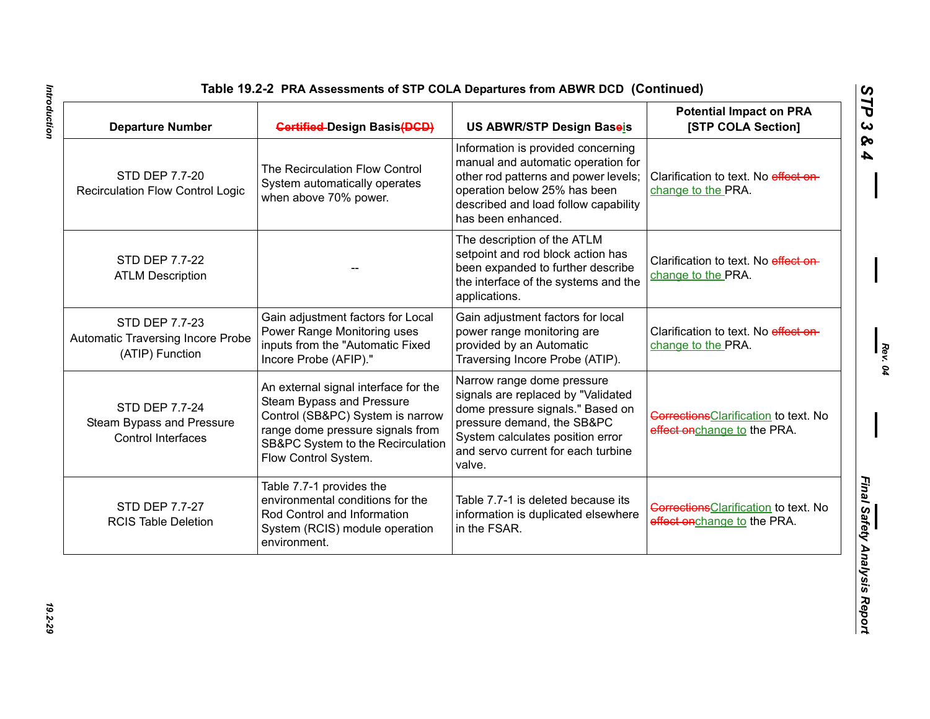| <b>Departure Number</b>                                                | <b>Gertified-Design Basis(DGD)</b>                                                                                                                                                                     | US ABWR/STP Design Baseis                                                                                                                                                                                              | <b>Potential Impact on PRA</b><br>[STP COLA Section]                        |
|------------------------------------------------------------------------|--------------------------------------------------------------------------------------------------------------------------------------------------------------------------------------------------------|------------------------------------------------------------------------------------------------------------------------------------------------------------------------------------------------------------------------|-----------------------------------------------------------------------------|
| STD DEP 7.7-20<br><b>Recirculation Flow Control Logic</b>              | The Recirculation Flow Control<br>System automatically operates<br>when above 70% power.                                                                                                               | Information is provided concerning<br>manual and automatic operation for<br>other rod patterns and power levels;<br>operation below 25% has been<br>described and load follow capability<br>has been enhanced.         | Clarification to text. No effect on-<br>change to the PRA.                  |
| STD DEP 7.7-22<br><b>ATLM Description</b>                              |                                                                                                                                                                                                        | The description of the ATLM<br>setpoint and rod block action has<br>been expanded to further describe<br>the interface of the systems and the<br>applications.                                                         | Clarification to text. No effect on-<br>change to the PRA.                  |
| STD DEP 7.7-23<br>Automatic Traversing Incore Probe<br>(ATIP) Function | Gain adjustment factors for Local<br>Power Range Monitoring uses<br>inputs from the "Automatic Fixed<br>Incore Probe (AFIP)."                                                                          | Gain adjustment factors for local<br>power range monitoring are<br>provided by an Automatic<br>Traversing Incore Probe (ATIP).                                                                                         | Clarification to text. No effect on-<br>change to the PRA.                  |
| STD DEP 7.7-24<br>Steam Bypass and Pressure<br>Control Interfaces      | An external signal interface for the<br>Steam Bypass and Pressure<br>Control (SB&PC) System is narrow<br>range dome pressure signals from<br>SB&PC System to the Recirculation<br>Flow Control System. | Narrow range dome pressure<br>signals are replaced by "Validated<br>dome pressure signals." Based on<br>pressure demand, the SB&PC<br>System calculates position error<br>and servo current for each turbine<br>valve. | <b>Corrections</b> Clarification to text. No<br>effect onchange to the PRA. |
| STD DEP 7.7-27<br><b>RCIS Table Deletion</b>                           | Table 7.7-1 provides the<br>environmental conditions for the<br>Rod Control and Information<br>System (RCIS) module operation<br>environment.                                                          | Table 7.7-1 is deleted because its<br>information is duplicated elsewhere<br>in the FSAR.                                                                                                                              | <b>Corrections</b> Clarification to text. No<br>effect onchange to the PRA. |

*Rev. 04*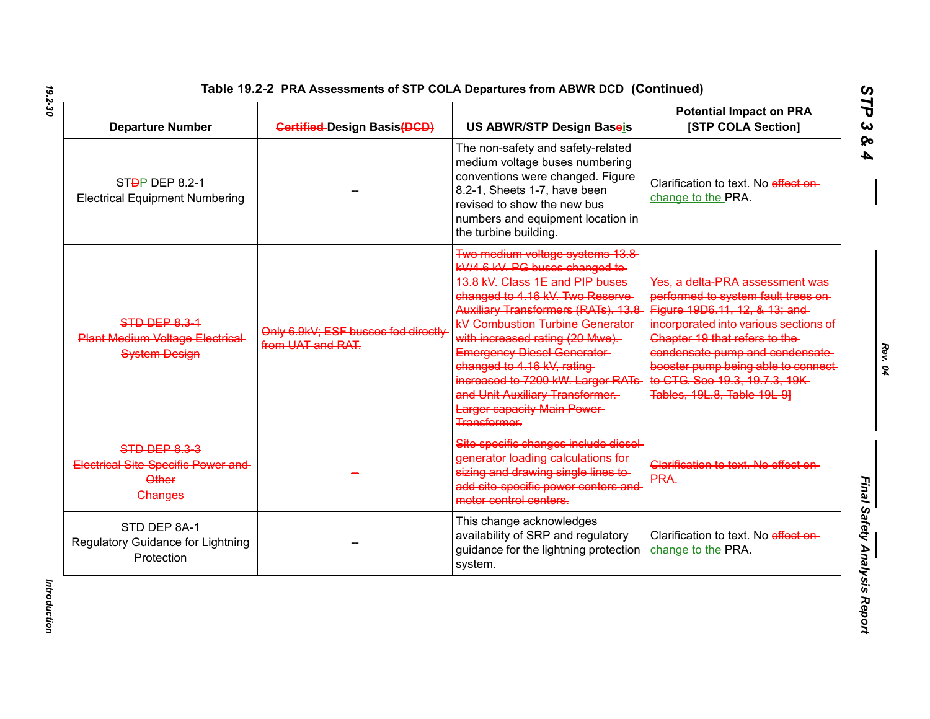| <b>Departure Number</b>                                                                      | <b>Gertified-Design Basis(DGD)</b>                       | US ABWR/STP Design Baseis                                                                                                                                                                                                                                                                                                                                                                                                                                               | <b>Potential Impact on PRA</b><br>[STP COLA Section]                                                                                                                                                                                                                                                                         |
|----------------------------------------------------------------------------------------------|----------------------------------------------------------|-------------------------------------------------------------------------------------------------------------------------------------------------------------------------------------------------------------------------------------------------------------------------------------------------------------------------------------------------------------------------------------------------------------------------------------------------------------------------|------------------------------------------------------------------------------------------------------------------------------------------------------------------------------------------------------------------------------------------------------------------------------------------------------------------------------|
| ST <sub>D</sub> P DEP 8.2-1<br><b>Electrical Equipment Numbering</b>                         |                                                          | The non-safety and safety-related<br>medium voltage buses numbering<br>conventions were changed. Figure<br>8.2-1, Sheets 1-7, have been<br>revised to show the new bus<br>numbers and equipment location in<br>the turbine building.                                                                                                                                                                                                                                    | Clarification to text. No effect on-<br>change to the PRA.                                                                                                                                                                                                                                                                   |
| STD DEP 8.3-1<br><b>Plant Medium Voltage Electrical</b><br><b>System Design</b>              | Only 6.9kV: ESF busses fed directly<br>from UAT and RAT. | Two medium voltage systems 13.8<br>kV/4.6 kV. PG buses changed to-<br>13.8 kV. Class 1E and PIP buses<br>changed to 4.16 kV. Two Reserve-<br>Auxiliary Transformers (RATs). 13.8<br><b>kV Combustion Turbine Generator</b><br>with increased rating (20 Mwe).<br><b>Emergency Diesel Generator-</b><br>changed to 4.16 kV, rating-<br>increased to 7200 kW. Larger RATs<br>and Unit Auxiliary Transformer.<br><b>Larger capacity Main Power-</b><br><b>Transformer.</b> | Yes, a delta PRA assessment was<br>performed to system fault trees on-<br>Figure 19D6.11, 12, & 13; and<br>incorporated into various sections of<br>Chapter 19 that refers to the<br>condensate pump and condensate-<br>booster pump being able to connect-<br>to CTG. See 19.3, 19.7.3, 19K-<br>Tables, 19L.8, Table 19L 91 |
| STD DEP 8.3-3<br><b>Electrical Site-Specific Power and</b><br><b>Other</b><br><b>Changes</b> |                                                          | Site specific changes include diesel-<br>generator loading calculations for<br>sizing and drawing single lines to<br>add site specific power centers and<br>motor control centers.                                                                                                                                                                                                                                                                                      | Clarification to text. No effect on-<br>PRA.                                                                                                                                                                                                                                                                                 |
| STD DEP 8A-1<br>Regulatory Guidance for Lightning<br>Protection                              |                                                          | This change acknowledges<br>availability of SRP and regulatory<br>guidance for the lightning protection<br>system.                                                                                                                                                                                                                                                                                                                                                      | Clarification to text. No effect on-<br>change to the PRA.                                                                                                                                                                                                                                                                   |

*Rev. 04*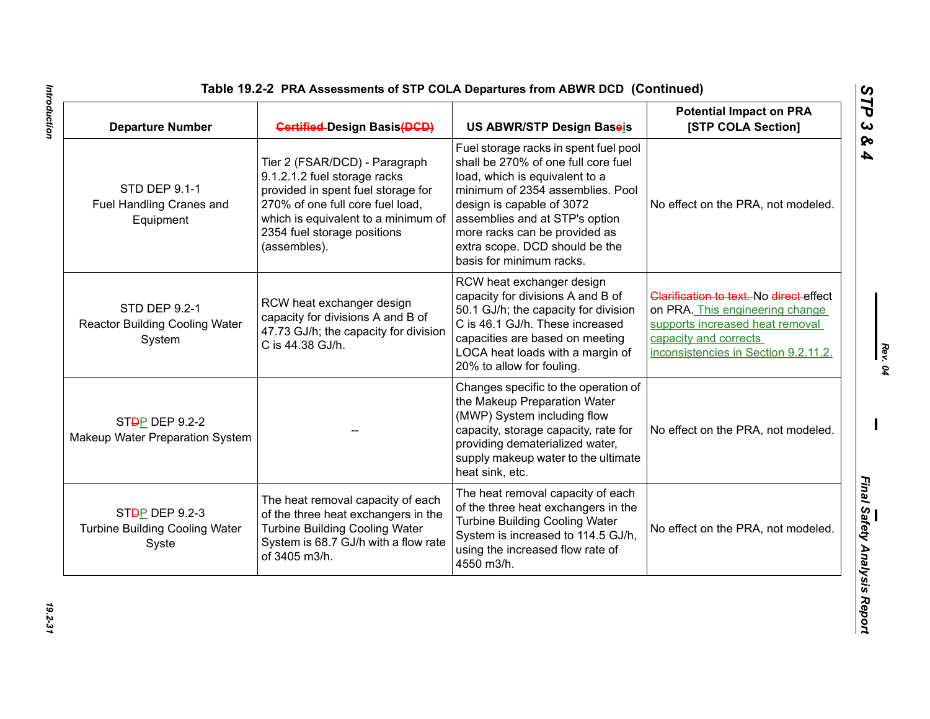| <b>Departure Number</b>                                                       | <b>Gertified-Design Basis(DGD)</b>                                                                                                                                                                                            | US ABWR/STP Design Baseis                                                                                                                                                                                                                                                                                        | <b>Potential Impact on PRA</b><br>[STP COLA Section]                                                                                                                           |
|-------------------------------------------------------------------------------|-------------------------------------------------------------------------------------------------------------------------------------------------------------------------------------------------------------------------------|------------------------------------------------------------------------------------------------------------------------------------------------------------------------------------------------------------------------------------------------------------------------------------------------------------------|--------------------------------------------------------------------------------------------------------------------------------------------------------------------------------|
| STD DEP 9.1-1<br>Fuel Handling Cranes and<br>Equipment                        | Tier 2 (FSAR/DCD) - Paragraph<br>9.1.2.1.2 fuel storage racks<br>provided in spent fuel storage for<br>270% of one full core fuel load,<br>which is equivalent to a minimum of<br>2354 fuel storage positions<br>(assembles). | Fuel storage racks in spent fuel pool<br>shall be 270% of one full core fuel<br>load, which is equivalent to a<br>minimum of 2354 assemblies. Pool<br>design is capable of 3072<br>assemblies and at STP's option<br>more racks can be provided as<br>extra scope. DCD should be the<br>basis for minimum racks. | No effect on the PRA, not modeled.                                                                                                                                             |
| STD DEP 9.2-1<br><b>Reactor Building Cooling Water</b><br>System              | RCW heat exchanger design<br>capacity for divisions A and B of<br>47.73 GJ/h; the capacity for division<br>C is 44.38 GJ/h.                                                                                                   | RCW heat exchanger design<br>capacity for divisions A and B of<br>50.1 GJ/h; the capacity for division<br>C is 46.1 GJ/h. These increased<br>capacities are based on meeting<br>LOCA heat loads with a margin of<br>20% to allow for fouling.                                                                    | Clarification to text. No direct effect<br>on PRA. This engineering change<br>supports increased heat removal<br>capacity and corrects<br>inconsistencies in Section 9.2.11.2. |
| ST <sub>D</sub> P DEP 9.2-2<br>Makeup Water Preparation System                |                                                                                                                                                                                                                               | Changes specific to the operation of<br>the Makeup Preparation Water<br>(MWP) System including flow<br>capacity, storage capacity, rate for<br>providing dematerialized water,<br>supply makeup water to the ultimate<br>heat sink, etc.                                                                         | No effect on the PRA, not modeled.                                                                                                                                             |
| ST <del>D</del> P DEP 9.2-3<br><b>Turbine Building Cooling Water</b><br>Syste | The heat removal capacity of each<br>of the three heat exchangers in the<br><b>Turbine Building Cooling Water</b><br>System is 68.7 GJ/h with a flow rate<br>of 3405 m3/h.                                                    | The heat removal capacity of each<br>of the three heat exchangers in the<br><b>Turbine Building Cooling Water</b><br>System is increased to 114.5 GJ/h,<br>using the increased flow rate of<br>4550 m3/h.                                                                                                        | No effect on the PRA, not modeled.                                                                                                                                             |

Introduction *Introduction 19.2-31*

*Rev. 04*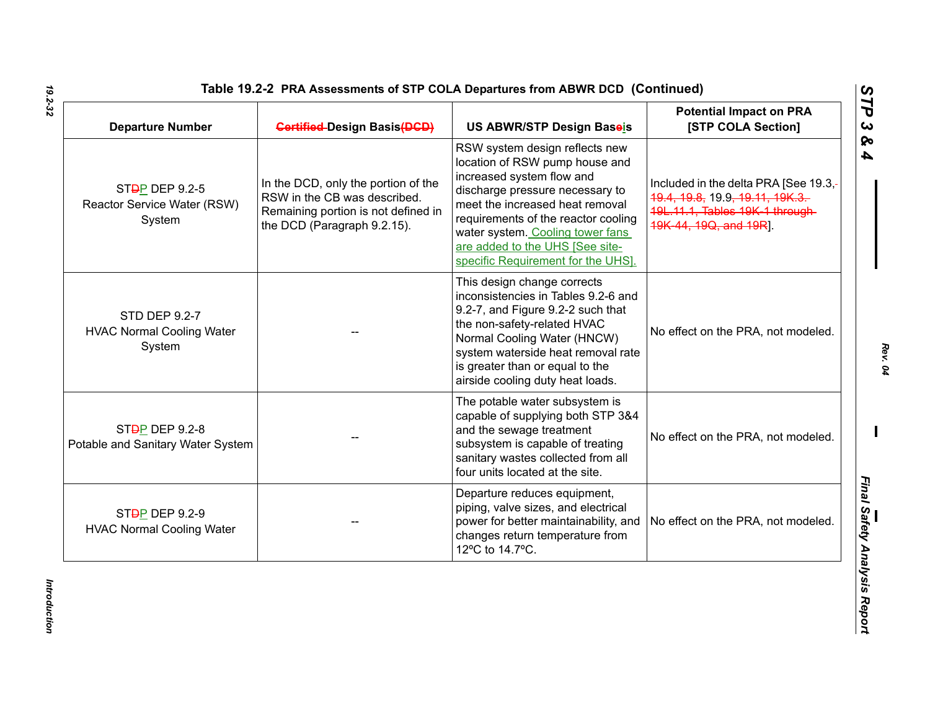| Table 19.2-2 PRA Assessments of STP COLA Departures from ABWR DCD (Continued) |  |
|-------------------------------------------------------------------------------|--|
|-------------------------------------------------------------------------------|--|

| <b>Departure Number</b>                                              | <b>Gertified-Design Basis(DGD)</b>                                                                                                        | US ABWR/STP Design Baseis                                                                                                                                                                                                                                                                                               | <b>Potential Impact on PRA</b><br>[STP COLA Section]                                                                                  |
|----------------------------------------------------------------------|-------------------------------------------------------------------------------------------------------------------------------------------|-------------------------------------------------------------------------------------------------------------------------------------------------------------------------------------------------------------------------------------------------------------------------------------------------------------------------|---------------------------------------------------------------------------------------------------------------------------------------|
| ST <sub>D</sub> P DEP 9.2-5<br>Reactor Service Water (RSW)<br>System | In the DCD, only the portion of the<br>RSW in the CB was described.<br>Remaining portion is not defined in<br>the DCD (Paragraph 9.2.15). | RSW system design reflects new<br>location of RSW pump house and<br>increased system flow and<br>discharge pressure necessary to<br>meet the increased heat removal<br>requirements of the reactor cooling<br>water system. Cooling tower fans<br>are added to the UHS [See site-<br>specific Requirement for the UHS]. | Included in the delta PRA [See 19.3,-<br>19.4, 19.8, 19.9, 19.11, 19K.3.<br>19L.11.1, Tables 19K-1 through-<br>19K 44, 19Q, and 19RJ. |
| <b>STD DEP 9.2-7</b><br><b>HVAC Normal Cooling Water</b><br>System   |                                                                                                                                           | This design change corrects<br>inconsistencies in Tables 9.2-6 and<br>9.2-7, and Figure 9.2-2 such that<br>the non-safety-related HVAC<br>Normal Cooling Water (HNCW)<br>system waterside heat removal rate<br>is greater than or equal to the<br>airside cooling duty heat loads.                                      | No effect on the PRA, not modeled.                                                                                                    |
| ST <sub>D</sub> P DEP 9.2-8<br>Potable and Sanitary Water System     |                                                                                                                                           | The potable water subsystem is<br>capable of supplying both STP 3&4<br>and the sewage treatment<br>subsystem is capable of treating<br>sanitary wastes collected from all<br>four units located at the site.                                                                                                            | No effect on the PRA, not modeled.                                                                                                    |
| ST <sub>D</sub> P DEP 9.2-9<br><b>HVAC Normal Cooling Water</b>      |                                                                                                                                           | Departure reduces equipment,<br>piping, valve sizes, and electrical<br>power for better maintainability, and<br>changes return temperature from<br>12°C to 14.7°C.                                                                                                                                                      | No effect on the PRA, not modeled.                                                                                                    |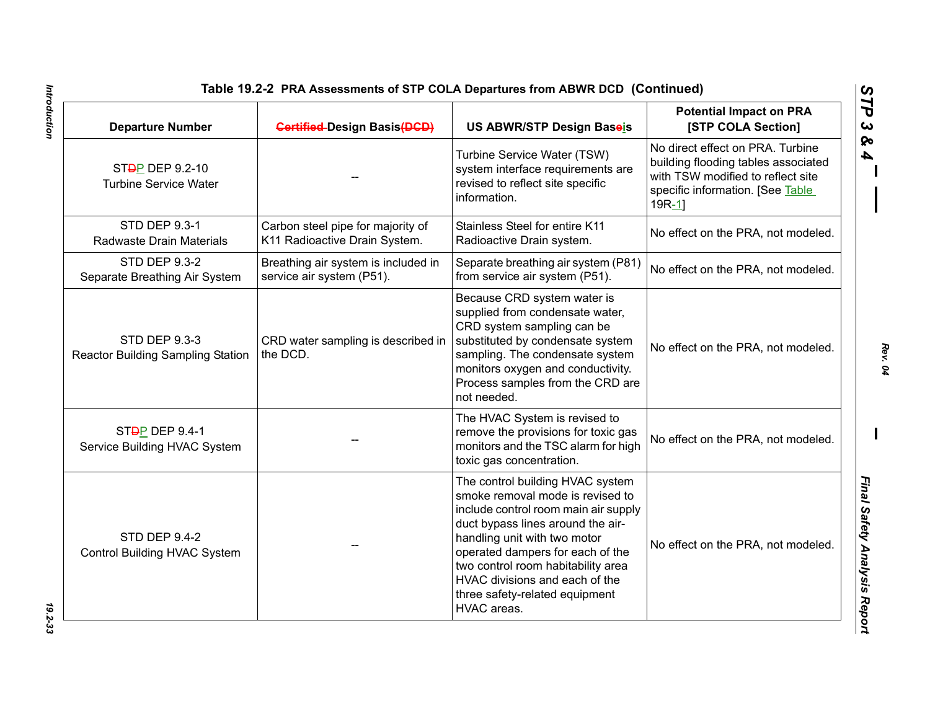| <b>Departure Number</b>                                          | <b>Gertified-Design Basis(DGD)</b>                                 | US ABWR/STP Design Baseis                                                                                                                                                                                                                                                                                                                      | <b>Potential Impact on PRA</b><br>[STP COLA Section]                                                                                                        |
|------------------------------------------------------------------|--------------------------------------------------------------------|------------------------------------------------------------------------------------------------------------------------------------------------------------------------------------------------------------------------------------------------------------------------------------------------------------------------------------------------|-------------------------------------------------------------------------------------------------------------------------------------------------------------|
| ST <sub>D</sub> P DEP 9.2-10<br><b>Turbine Service Water</b>     |                                                                    | Turbine Service Water (TSW)<br>system interface requirements are<br>revised to reflect site specific<br>information.                                                                                                                                                                                                                           | No direct effect on PRA. Turbine<br>building flooding tables associated<br>with TSW modified to reflect site<br>specific information. [See Table<br>$19R-1$ |
| STD DEP 9.3-1<br>Radwaste Drain Materials                        | Carbon steel pipe for majority of<br>K11 Radioactive Drain System. | Stainless Steel for entire K11<br>Radioactive Drain system.                                                                                                                                                                                                                                                                                    | No effect on the PRA, not modeled.                                                                                                                          |
| <b>STD DEP 9.3-2</b><br>Separate Breathing Air System            | Breathing air system is included in<br>service air system (P51).   | Separate breathing air system (P81)<br>from service air system (P51).                                                                                                                                                                                                                                                                          | No effect on the PRA, not modeled.                                                                                                                          |
| <b>STD DEP 9.3-3</b><br><b>Reactor Building Sampling Station</b> | CRD water sampling is described in<br>the DCD.                     | Because CRD system water is<br>supplied from condensate water,<br>CRD system sampling can be<br>substituted by condensate system<br>sampling. The condensate system<br>monitors oxygen and conductivity.<br>Process samples from the CRD are<br>not needed.                                                                                    | No effect on the PRA, not modeled.                                                                                                                          |
| ST <sub>D</sub> P DEP 9.4-1<br>Service Building HVAC System      |                                                                    | The HVAC System is revised to<br>remove the provisions for toxic gas<br>monitors and the TSC alarm for high<br>toxic gas concentration.                                                                                                                                                                                                        | No effect on the PRA, not modeled.                                                                                                                          |
| <b>STD DEP 9.4-2</b><br>Control Building HVAC System             |                                                                    | The control building HVAC system<br>smoke removal mode is revised to<br>include control room main air supply<br>duct bypass lines around the air-<br>handling unit with two motor<br>operated dampers for each of the<br>two control room habitability area<br>HVAC divisions and each of the<br>three safety-related equipment<br>HVAC areas. | No effect on the PRA, not modeled.                                                                                                                          |

Introduction *Introduction 19.2-33*

*Rev. 04*

*STP 3 & 4*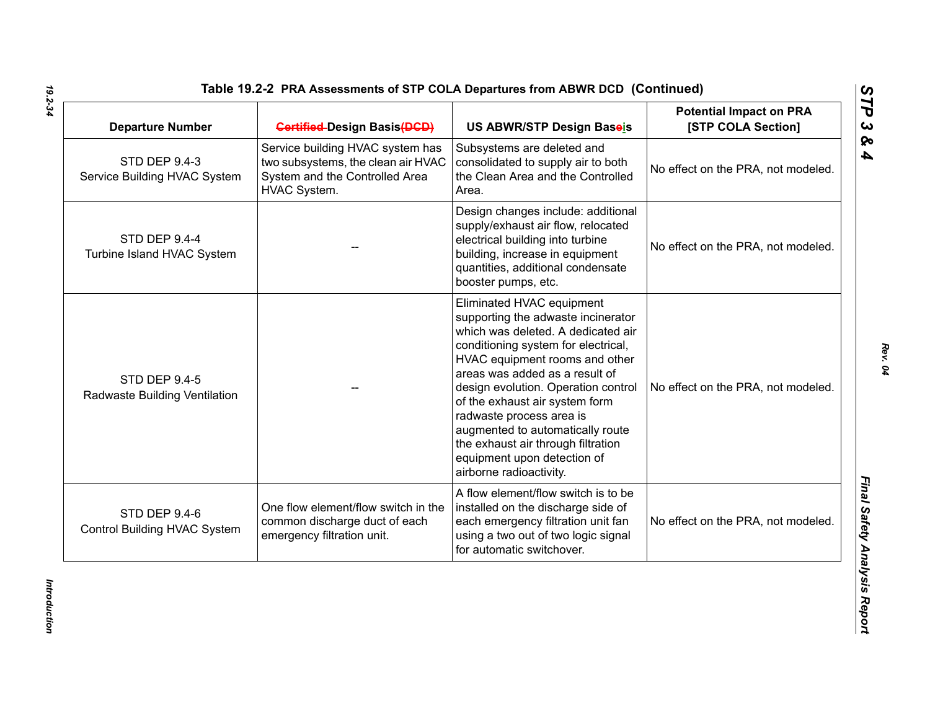| <b>Departure Number</b>                                     | <b>Gertified-Design Basis(DGD)</b>                                                                                       | US ABWR/STP Design Baseis                                                                                                                                                                                                                                                                                                                                                                                                                                 | <b>Potential Impact on PRA</b><br>[STP COLA Section] |
|-------------------------------------------------------------|--------------------------------------------------------------------------------------------------------------------------|-----------------------------------------------------------------------------------------------------------------------------------------------------------------------------------------------------------------------------------------------------------------------------------------------------------------------------------------------------------------------------------------------------------------------------------------------------------|------------------------------------------------------|
| <b>STD DEP 9.4-3</b><br>Service Building HVAC System        | Service building HVAC system has<br>two subsystems, the clean air HVAC<br>System and the Controlled Area<br>HVAC System. | Subsystems are deleted and<br>consolidated to supply air to both<br>the Clean Area and the Controlled<br>Area.                                                                                                                                                                                                                                                                                                                                            | No effect on the PRA, not modeled.                   |
| <b>STD DEP 9.4-4</b><br>Turbine Island HVAC System          |                                                                                                                          | Design changes include: additional<br>supply/exhaust air flow, relocated<br>electrical building into turbine<br>building, increase in equipment<br>quantities, additional condensate<br>booster pumps, etc.                                                                                                                                                                                                                                               | No effect on the PRA, not modeled.                   |
| <b>STD DEP 9.4-5</b><br>Radwaste Building Ventilation       |                                                                                                                          | Eliminated HVAC equipment<br>supporting the adwaste incinerator<br>which was deleted. A dedicated air<br>conditioning system for electrical,<br>HVAC equipment rooms and other<br>areas was added as a result of<br>design evolution. Operation control<br>of the exhaust air system form<br>radwaste process area is<br>augmented to automatically route<br>the exhaust air through filtration<br>equipment upon detection of<br>airborne radioactivity. | No effect on the PRA, not modeled.                   |
| <b>STD DEP 9.4-6</b><br><b>Control Building HVAC System</b> | One flow element/flow switch in the<br>common discharge duct of each<br>emergency filtration unit.                       | A flow element/flow switch is to be<br>installed on the discharge side of<br>each emergency filtration unit fan<br>using a two out of two logic signal<br>for automatic switchover.                                                                                                                                                                                                                                                                       | No effect on the PRA, not modeled.                   |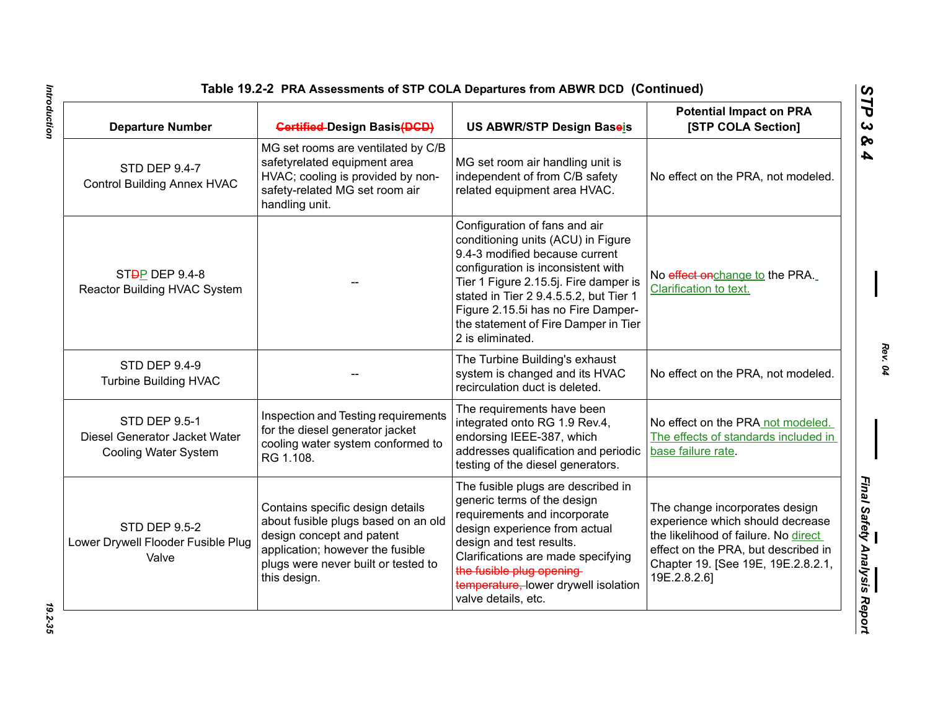## **Table 19.2-2 PRA Assessments of STP COLA Departures from ABWR DCD (Continued)**

| <b>Departure Number</b>                                                       | <b>Gertified-Design Basis(DGD)</b>                                                                                                                                                              | <b>US ABWR/STP Design Baseis</b>                                                                                                                                                                                                                                                                                                 | <b>Potential Impact on PRA</b><br>[STP COLA Section]                                                                                                                                                    |
|-------------------------------------------------------------------------------|-------------------------------------------------------------------------------------------------------------------------------------------------------------------------------------------------|----------------------------------------------------------------------------------------------------------------------------------------------------------------------------------------------------------------------------------------------------------------------------------------------------------------------------------|---------------------------------------------------------------------------------------------------------------------------------------------------------------------------------------------------------|
| <b>STD DEP 9.4-7</b><br><b>Control Building Annex HVAC</b>                    | MG set rooms are ventilated by C/B<br>safetyrelated equipment area<br>HVAC; cooling is provided by non-<br>safety-related MG set room air<br>handling unit.                                     | MG set room air handling unit is<br>independent of from C/B safety<br>related equipment area HVAC.                                                                                                                                                                                                                               | No effect on the PRA, not modeled.                                                                                                                                                                      |
| ST <del>D</del> P DEP 9.4-8<br>Reactor Building HVAC System                   |                                                                                                                                                                                                 | Configuration of fans and air<br>conditioning units (ACU) in Figure<br>9.4-3 modified because current<br>configuration is inconsistent with<br>Tier 1 Figure 2.15.5j. Fire damper is<br>stated in Tier 2 9.4.5.5.2, but Tier 1<br>Figure 2.15.5i has no Fire Damper-<br>the statement of Fire Damper in Tier<br>2 is eliminated. | No effect onchange to the PRA.<br>Clarification to text.                                                                                                                                                |
| <b>STD DEP 9.4-9</b><br><b>Turbine Building HVAC</b>                          |                                                                                                                                                                                                 | The Turbine Building's exhaust<br>system is changed and its HVAC<br>recirculation duct is deleted.                                                                                                                                                                                                                               | No effect on the PRA, not modeled.                                                                                                                                                                      |
| <b>STD DEP 9.5-1</b><br>Diesel Generator Jacket Water<br>Cooling Water System | Inspection and Testing requirements<br>for the diesel generator jacket<br>cooling water system conformed to<br>RG 1.108.                                                                        | The requirements have been<br>integrated onto RG 1.9 Rev.4,<br>endorsing IEEE-387, which<br>addresses qualification and periodic<br>testing of the diesel generators.                                                                                                                                                            | No effect on the PRA not modeled.<br>The effects of standards included in<br>base failure rate.                                                                                                         |
| <b>STD DEP 9.5-2</b><br>Lower Drywell Flooder Fusible Plug<br>Valve           | Contains specific design details<br>about fusible plugs based on an old<br>design concept and patent<br>application; however the fusible<br>plugs were never built or tested to<br>this design. | The fusible plugs are described in<br>generic terms of the design<br>requirements and incorporate<br>design experience from actual<br>design and test results.<br>Clarifications are made specifying<br>the fusible plug opening-<br>temperature, lower drywell isolation<br>valve details, etc.                                 | The change incorporates design<br>experience which should decrease<br>the likelihood of failure. No direct<br>effect on the PRA, but described in<br>Chapter 19. [See 19E, 19E.2.8.2.1,<br>19E.2.8.2.6] |

*Rev. 04*

*STP 3 & 4*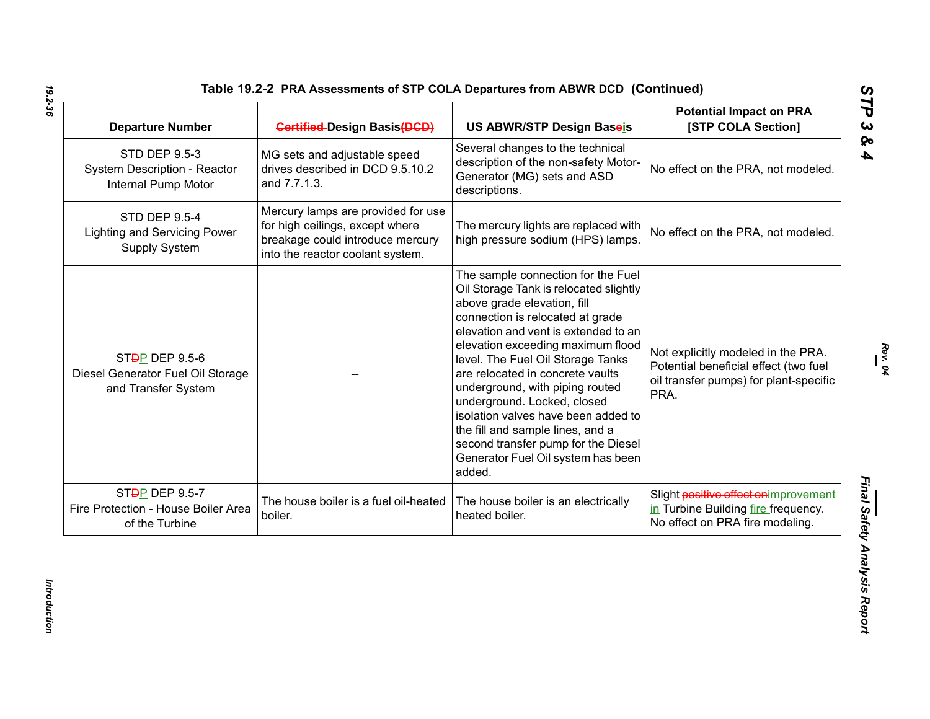| <b>Departure Number</b>                                                                 | <b>Gertified-Design Basis(DGD)</b>                                                                                                            | US ABWR/STP Design Baseis                                                                                                                                                                                                                                                                                                                                                                                                                                                                                                                 | <b>Potential Impact on PRA</b><br>[STP COLA Section]                                                                          |
|-----------------------------------------------------------------------------------------|-----------------------------------------------------------------------------------------------------------------------------------------------|-------------------------------------------------------------------------------------------------------------------------------------------------------------------------------------------------------------------------------------------------------------------------------------------------------------------------------------------------------------------------------------------------------------------------------------------------------------------------------------------------------------------------------------------|-------------------------------------------------------------------------------------------------------------------------------|
| <b>STD DEP 9.5-3</b><br>System Description - Reactor<br>Internal Pump Motor             | MG sets and adjustable speed<br>drives described in DCD 9.5.10.2<br>and 7.7.1.3.                                                              | Several changes to the technical<br>description of the non-safety Motor-<br>Generator (MG) sets and ASD<br>descriptions.                                                                                                                                                                                                                                                                                                                                                                                                                  | No effect on the PRA, not modeled.                                                                                            |
| <b>STD DEP 9.5-4</b><br><b>Lighting and Servicing Power</b><br>Supply System            | Mercury lamps are provided for use<br>for high ceilings, except where<br>breakage could introduce mercury<br>into the reactor coolant system. | The mercury lights are replaced with<br>high pressure sodium (HPS) lamps.                                                                                                                                                                                                                                                                                                                                                                                                                                                                 | No effect on the PRA, not modeled.                                                                                            |
| ST <sub>D</sub> P DEP 9.5-6<br>Diesel Generator Fuel Oil Storage<br>and Transfer System |                                                                                                                                               | The sample connection for the Fuel<br>Oil Storage Tank is relocated slightly<br>above grade elevation, fill<br>connection is relocated at grade<br>elevation and vent is extended to an<br>elevation exceeding maximum flood<br>level. The Fuel Oil Storage Tanks<br>are relocated in concrete vaults<br>underground, with piping routed<br>underground. Locked, closed<br>isolation valves have been added to<br>the fill and sample lines, and a<br>second transfer pump for the Diesel<br>Generator Fuel Oil system has been<br>added. | Not explicitly modeled in the PRA.<br>Potential beneficial effect (two fuel<br>oil transfer pumps) for plant-specific<br>PRA. |
| ST <del>D</del> P DEP 9.5-7<br>Fire Protection - House Boiler Area<br>of the Turbine    | The house boiler is a fuel oil-heated<br>boiler.                                                                                              | The house boiler is an electrically<br>heated boiler.                                                                                                                                                                                                                                                                                                                                                                                                                                                                                     | Slight positive effect on improvement<br>in Turbine Building fire frequency.<br>No effect on PRA fire modeling.               |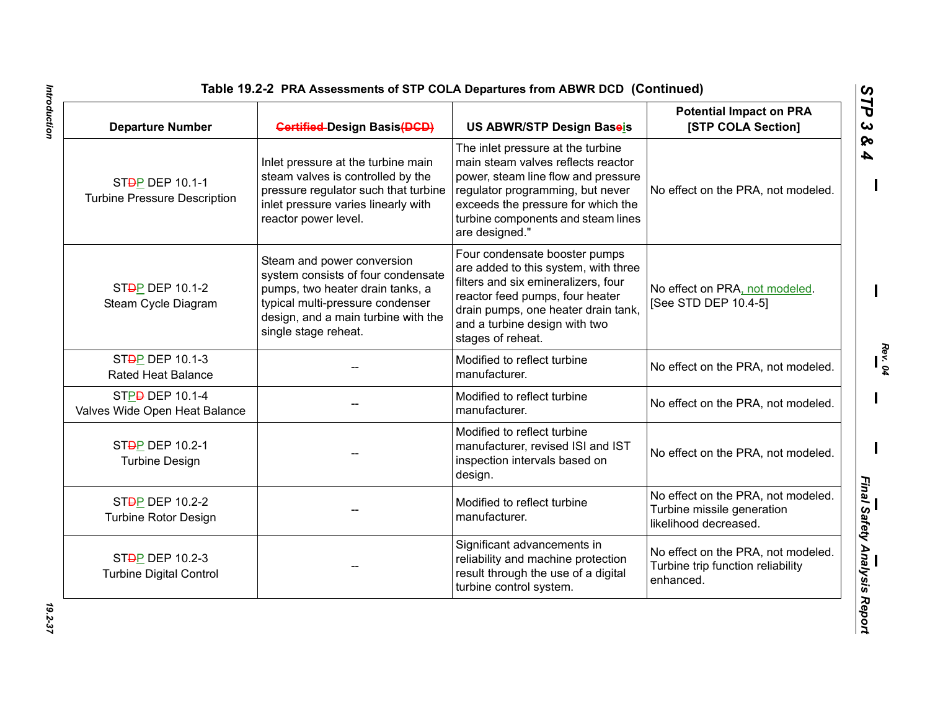## **Table 19.2-2 PRA Assessments of STP COLA Departures from ABWR DCD (Continued)**

| <b>Departure Number</b>                                             | <b>Gertified-Design Basis(DGD)</b>                                                                                                                                                                      | US ABWR/STP Design Baseis                                                                                                                                                                                                                        | <b>Potential Impact on PRA</b><br>[STP COLA Section]                                      |
|---------------------------------------------------------------------|---------------------------------------------------------------------------------------------------------------------------------------------------------------------------------------------------------|--------------------------------------------------------------------------------------------------------------------------------------------------------------------------------------------------------------------------------------------------|-------------------------------------------------------------------------------------------|
| ST <sub>D</sub> P DEP 10.1-1<br><b>Turbine Pressure Description</b> | Inlet pressure at the turbine main<br>steam valves is controlled by the<br>pressure regulator such that turbine<br>inlet pressure varies linearly with<br>reactor power level.                          | The inlet pressure at the turbine<br>main steam valves reflects reactor<br>power, steam line flow and pressure<br>regulator programming, but never<br>exceeds the pressure for which the<br>turbine components and steam lines<br>are designed." | No effect on the PRA, not modeled.                                                        |
| ST <sub>D</sub> P DEP 10.1-2<br>Steam Cycle Diagram                 | Steam and power conversion<br>system consists of four condensate<br>pumps, two heater drain tanks, a<br>typical multi-pressure condenser<br>design, and a main turbine with the<br>single stage reheat. | Four condensate booster pumps<br>are added to this system, with three<br>filters and six emineralizers, four<br>reactor feed pumps, four heater<br>drain pumps, one heater drain tank,<br>and a turbine design with two<br>stages of reheat.     | No effect on PRA, not modeled.<br>[See STD DEP 10.4-5]                                    |
| ST <sub>D</sub> P DEP 10.1-3<br><b>Rated Heat Balance</b>           |                                                                                                                                                                                                         | Modified to reflect turbine<br>manufacturer.                                                                                                                                                                                                     | No effect on the PRA, not modeled.                                                        |
| STPD DEP 10.1-4<br>Valves Wide Open Heat Balance                    |                                                                                                                                                                                                         | Modified to reflect turbine<br>manufacturer.                                                                                                                                                                                                     | No effect on the PRA, not modeled.                                                        |
| ST <sub>D</sub> P DEP 10.2-1<br><b>Turbine Design</b>               |                                                                                                                                                                                                         | Modified to reflect turbine<br>manufacturer, revised ISI and IST<br>inspection intervals based on<br>design.                                                                                                                                     | No effect on the PRA, not modeled.                                                        |
| ST <sub>D</sub> P DEP 10.2-2<br><b>Turbine Rotor Design</b>         |                                                                                                                                                                                                         | Modified to reflect turbine<br>manufacturer.                                                                                                                                                                                                     | No effect on the PRA, not modeled.<br>Turbine missile generation<br>likelihood decreased. |
| ST <sub>D</sub> P DEP 10.2-3<br><b>Turbine Digital Control</b>      |                                                                                                                                                                                                         | Significant advancements in<br>reliability and machine protection<br>result through the use of a digital<br>turbine control system.                                                                                                              | No effect on the PRA, not modeled.<br>Turbine trip function reliability<br>enhanced.      |

*Rev. 04*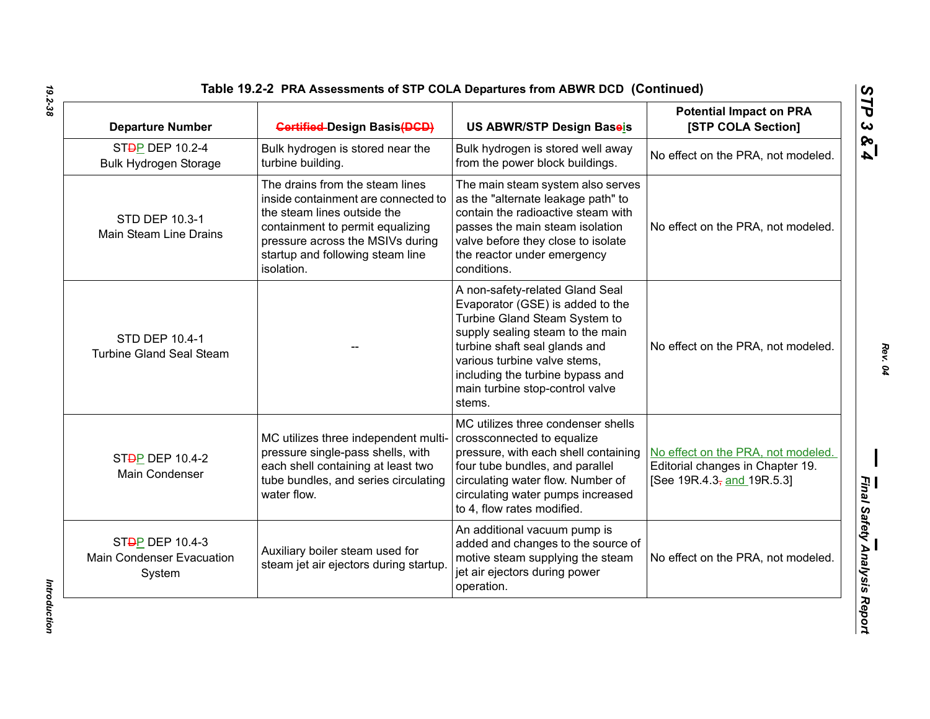| <b>Departure Number</b>                                                    | <b>Gertified-Design Basis(DGD)</b>                                                                                                                                                                                              | US ABWR/STP Design Baseis                                                                                                                                                                                                                                                                  | <b>Potential Impact on PRA</b><br>[STP COLA Section]                                                 |
|----------------------------------------------------------------------------|---------------------------------------------------------------------------------------------------------------------------------------------------------------------------------------------------------------------------------|--------------------------------------------------------------------------------------------------------------------------------------------------------------------------------------------------------------------------------------------------------------------------------------------|------------------------------------------------------------------------------------------------------|
| ST <sub>D</sub> P DEP 10.2-4<br><b>Bulk Hydrogen Storage</b>               | Bulk hydrogen is stored near the<br>turbine building.                                                                                                                                                                           | Bulk hydrogen is stored well away<br>from the power block buildings.                                                                                                                                                                                                                       | No effect on the PRA, not modeled.                                                                   |
| STD DEP 10.3-1<br>Main Steam Line Drains                                   | The drains from the steam lines<br>inside containment are connected to<br>the steam lines outside the<br>containment to permit equalizing<br>pressure across the MSIVs during<br>startup and following steam line<br>isolation. | The main steam system also serves<br>as the "alternate leakage path" to<br>contain the radioactive steam with<br>passes the main steam isolation<br>valve before they close to isolate<br>the reactor under emergency<br>conditions.                                                       | No effect on the PRA, not modeled.                                                                   |
| STD DEP 10.4-1<br><b>Turbine Gland Seal Steam</b>                          |                                                                                                                                                                                                                                 | A non-safety-related Gland Seal<br>Evaporator (GSE) is added to the<br>Turbine Gland Steam System to<br>supply sealing steam to the main<br>turbine shaft seal glands and<br>various turbine valve stems,<br>including the turbine bypass and<br>main turbine stop-control valve<br>stems. | No effect on the PRA, not modeled.                                                                   |
| ST <sub>D</sub> P DEP 10.4-2<br>Main Condenser                             | MC utilizes three independent multi-<br>pressure single-pass shells, with<br>each shell containing at least two<br>tube bundles, and series circulating<br>water flow.                                                          | MC utilizes three condenser shells<br>crossconnected to equalize<br>pressure, with each shell containing<br>four tube bundles, and parallel<br>circulating water flow. Number of<br>circulating water pumps increased<br>to 4, flow rates modified.                                        | No effect on the PRA, not modeled.<br>Editorial changes in Chapter 19.<br>[See 19R.4.3, and 19R.5.3] |
| ST <sub>D</sub> P DEP 10.4-3<br><b>Main Condenser Evacuation</b><br>System | Auxiliary boiler steam used for<br>steam jet air ejectors during startup.                                                                                                                                                       | An additional vacuum pump is<br>added and changes to the source of<br>motive steam supplying the steam<br>jet air ejectors during power<br>operation.                                                                                                                                      | No effect on the PRA, not modeled.                                                                   |

*STP 3 & 4*

Introduction *Introduction*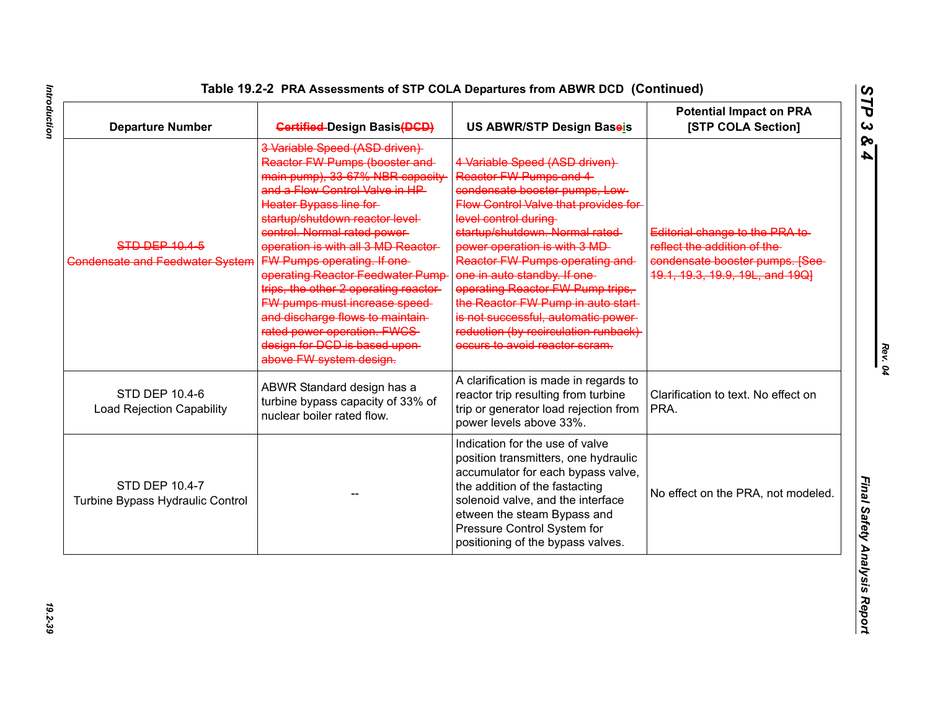| <b>Departure Number</b>                                   | <b>Gertified-Design Basis(DGD)</b>                                                                                                                                                                                                                                                                                                                                                                                                                                                                                                                           | <b>US ABWR/STP Design Baseis</b>                                                                                                                                                                                                                                                                                                                                                                                                                                                           | <b>Potential Impact on PRA</b><br>[STP COLA Section]                                                                                 |
|-----------------------------------------------------------|--------------------------------------------------------------------------------------------------------------------------------------------------------------------------------------------------------------------------------------------------------------------------------------------------------------------------------------------------------------------------------------------------------------------------------------------------------------------------------------------------------------------------------------------------------------|--------------------------------------------------------------------------------------------------------------------------------------------------------------------------------------------------------------------------------------------------------------------------------------------------------------------------------------------------------------------------------------------------------------------------------------------------------------------------------------------|--------------------------------------------------------------------------------------------------------------------------------------|
| <b>STD DEP 10.4-5</b><br>Condensate and Feedwater System  | 3 Variable Speed (ASD driven)<br>Reactor FW Pumps (booster and-<br>main pump), 33-67% NBR capacity<br>and a Flow Control Valve in HP<br>Heater Bypass line for<br>startup/shutdown reactor level-<br>control. Normal rated power-<br>operation is with all 3 MD Reactor-<br>FW Pumps operating. If one-<br>operating Reactor Feedwater Pump<br>trips, the other 2 operating reactor-<br><b>FW pumps must increase speed-</b><br>and discharge flows to maintain-<br>rated power operation. FWCS-<br>design for DCD is based upon-<br>above FW system design. | 4 Variable Speed (ASD driven)<br>Reactor FW Pumps and 4<br>condensate booster pumps, Low-<br>Flow Control Valve that provides for<br>level control during<br>startup/shutdown. Normal rated-<br>power operation is with 3 MD-<br>Reactor FW Pumps operating and<br>one in auto standby. If one-<br>operating Reactor FW Pump trips,<br>the Reactor FW Pump in auto start-<br>is not successful, automatic power-<br>reduction (by recirculation runback)<br>occurs to avoid reactor scram. | Editorial change to the PRA to-<br>reflect the addition of the<br>condensate booster pumps. [See-<br>19.1, 19.3, 19.9, 19L, and 19Q] |
| <b>STD DEP 10.4-6</b><br><b>Load Rejection Capability</b> | ABWR Standard design has a<br>turbine bypass capacity of 33% of<br>nuclear boiler rated flow.                                                                                                                                                                                                                                                                                                                                                                                                                                                                | A clarification is made in regards to<br>reactor trip resulting from turbine<br>trip or generator load rejection from<br>power levels above 33%.                                                                                                                                                                                                                                                                                                                                           | Clarification to text. No effect on<br>PRA.                                                                                          |
| <b>STD DEP 10.4-7</b><br>Turbine Bypass Hydraulic Control |                                                                                                                                                                                                                                                                                                                                                                                                                                                                                                                                                              | Indication for the use of valve<br>position transmitters, one hydraulic<br>accumulator for each bypass valve,<br>the addition of the fastacting<br>solenoid valve, and the interface<br>etween the steam Bypass and<br>Pressure Control System for<br>positioning of the bypass valves.                                                                                                                                                                                                    | No effect on the PRA, not modeled.                                                                                                   |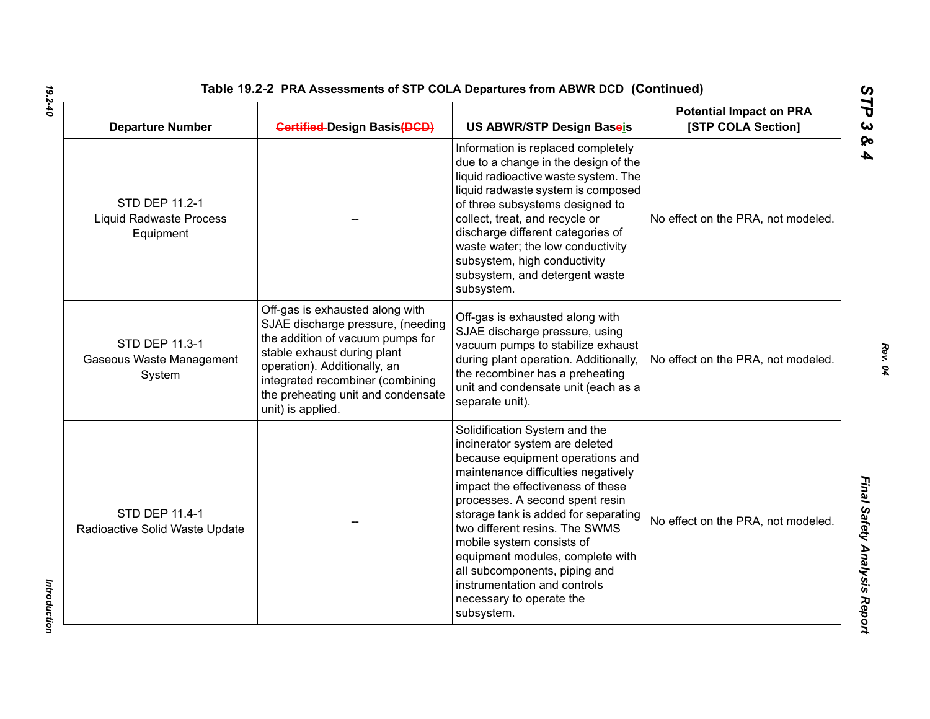| <b>Departure Number</b>                                       | <b>Gertified-Design Basis (DGD)</b>                                                                                                                                                                                                                                    | US ABWR/STP Design Baseis                                                                                                                                                                                                                                                                                                                                                                                                                                                | <b>Potential Impact on PRA</b><br>[STP COLA Section] |
|---------------------------------------------------------------|------------------------------------------------------------------------------------------------------------------------------------------------------------------------------------------------------------------------------------------------------------------------|--------------------------------------------------------------------------------------------------------------------------------------------------------------------------------------------------------------------------------------------------------------------------------------------------------------------------------------------------------------------------------------------------------------------------------------------------------------------------|------------------------------------------------------|
| STD DEP 11.2-1<br><b>Liquid Radwaste Process</b><br>Equipment |                                                                                                                                                                                                                                                                        | Information is replaced completely<br>due to a change in the design of the<br>liquid radioactive waste system. The<br>liquid radwaste system is composed<br>of three subsystems designed to<br>collect, treat, and recycle or<br>discharge different categories of<br>waste water; the low conductivity<br>subsystem, high conductivity<br>subsystem, and detergent waste<br>subsystem.                                                                                  | No effect on the PRA, not modeled.                   |
| STD DEP 11.3-1<br>Gaseous Waste Management<br>System          | Off-gas is exhausted along with<br>SJAE discharge pressure, (needing<br>the addition of vacuum pumps for<br>stable exhaust during plant<br>operation). Additionally, an<br>integrated recombiner (combining<br>the preheating unit and condensate<br>unit) is applied. | Off-gas is exhausted along with<br>SJAE discharge pressure, using<br>vacuum pumps to stabilize exhaust<br>during plant operation. Additionally,<br>the recombiner has a preheating<br>unit and condensate unit (each as a<br>separate unit).                                                                                                                                                                                                                             | No effect on the PRA, not modeled.                   |
| <b>STD DEP 11.4-1</b><br>Radioactive Solid Waste Update       |                                                                                                                                                                                                                                                                        | Solidification System and the<br>incinerator system are deleted<br>because equipment operations and<br>maintenance difficulties negatively<br>impact the effectiveness of these<br>processes. A second spent resin<br>storage tank is added for separating<br>two different resins. The SWMS<br>mobile system consists of<br>equipment modules, complete with<br>all subcomponents, piping and<br>instrumentation and controls<br>necessary to operate the<br>subsystem. | No effect on the PRA, not modeled.                   |

*STP 3 & 4*

**Introduction** *Introduction*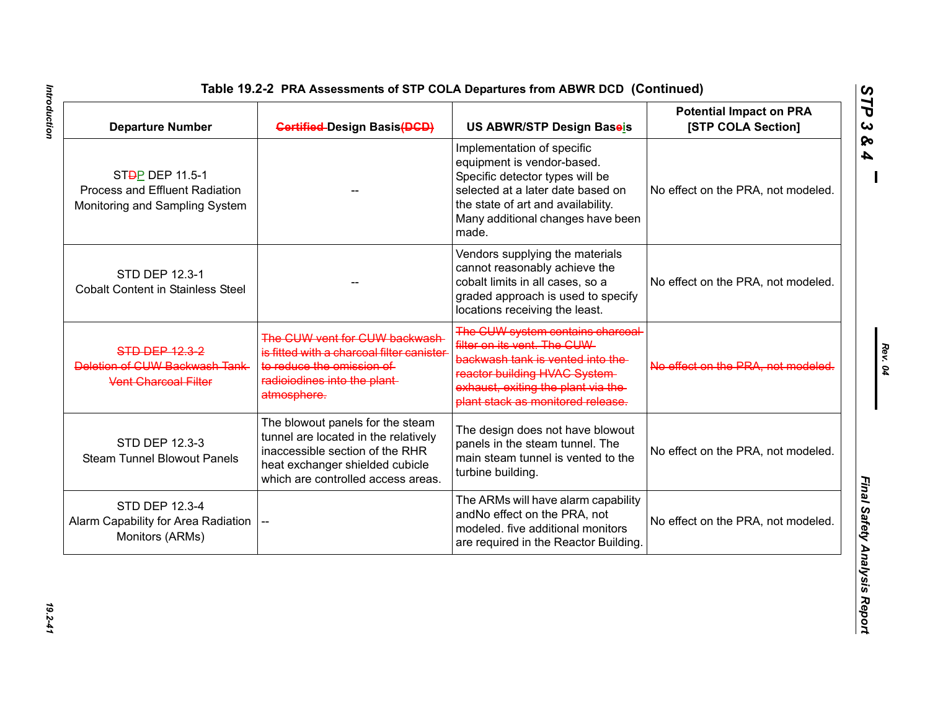| <b>Departure Number</b>                                                                          | <b>Gertified-Design Basis(DGD)</b>                                                                                                                                                   | US ABWR/STP Design Baseis                                                                                                                                                                                            | <b>Potential Impact on PRA</b><br>[STP COLA Section] |
|--------------------------------------------------------------------------------------------------|--------------------------------------------------------------------------------------------------------------------------------------------------------------------------------------|----------------------------------------------------------------------------------------------------------------------------------------------------------------------------------------------------------------------|------------------------------------------------------|
| ST <del>D</del> P DEP 11.5-1<br>Process and Effluent Radiation<br>Monitoring and Sampling System |                                                                                                                                                                                      | Implementation of specific<br>equipment is vendor-based.<br>Specific detector types will be<br>selected at a later date based on<br>the state of art and availability.<br>Many additional changes have been<br>made. | No effect on the PRA, not modeled.                   |
| STD DEP 12.3-1<br><b>Cobalt Content in Stainless Steel</b>                                       |                                                                                                                                                                                      | Vendors supplying the materials<br>cannot reasonably achieve the<br>cobalt limits in all cases, so a<br>graded approach is used to specify<br>locations receiving the least.                                         | No effect on the PRA, not modeled.                   |
| <b>STD DEP 12.3-2</b><br>Deletion of CUW Backwash Tank<br><b>Vent Charcoal Filter</b>            | The CUW vent for CUW backwash<br>is fitted with a charcoal filter canister<br>to reduce the omission of<br>radioiodines into the plant-<br>atmosphere.                               | The CUW system contains charcoal<br>filter on its vent. The CUW-<br>backwash tank is vented into the<br>reactor building HVAC System<br>exhaust, exiting the plant via the-<br>plant stack as monitored release.     | No effect on the PRA, not modeled.                   |
| STD DEP 12.3-3<br><b>Steam Tunnel Blowout Panels</b>                                             | The blowout panels for the steam<br>tunnel are located in the relatively<br>inaccessible section of the RHR<br>heat exchanger shielded cubicle<br>which are controlled access areas. | The design does not have blowout<br>panels in the steam tunnel. The<br>main steam tunnel is vented to the<br>turbine building.                                                                                       | No effect on the PRA, not modeled.                   |
| <b>STD DEP 12.3-4</b><br>Alarm Capability for Area Radiation  <br>Monitors (ARMs)                |                                                                                                                                                                                      | The ARMs will have alarm capability<br>andNo effect on the PRA, not<br>modeled. five additional monitors<br>are required in the Reactor Building.                                                                    | No effect on the PRA, not modeled.                   |

*Rev. 04*

*STP 3 & 4*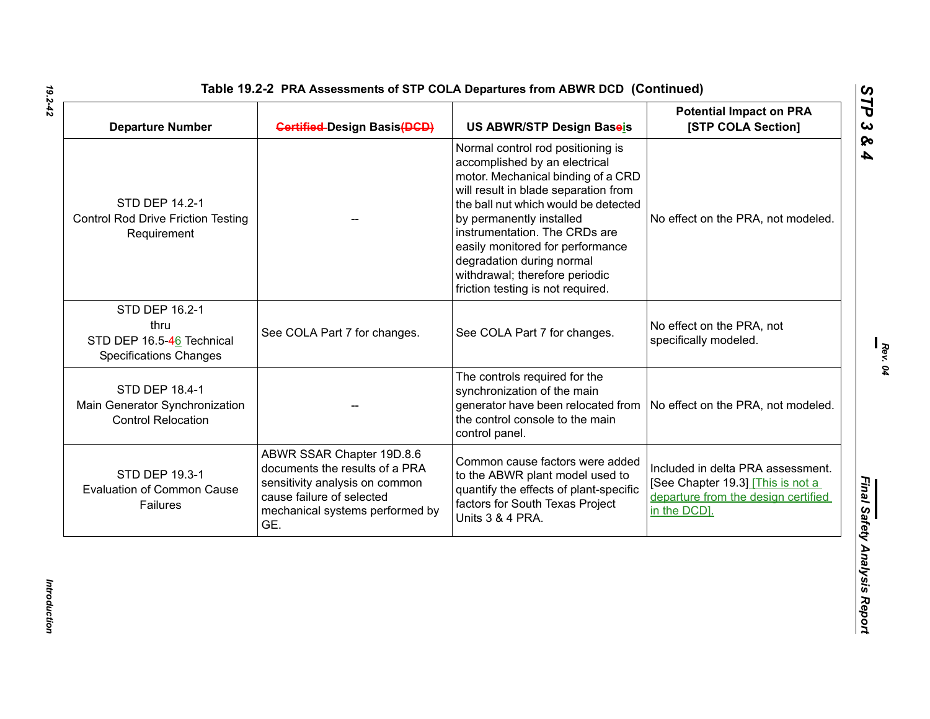| <b>Departure Number</b>                                                              | <b>Gertified-Design Basis(DGD)</b>                                                                                                                                   | US ABWR/STP Design Baseis                                                                                                                                                                                                                                                                                                                                                                     | <b>Potential Impact on PRA</b><br>[STP COLA Section]                                                                         |
|--------------------------------------------------------------------------------------|----------------------------------------------------------------------------------------------------------------------------------------------------------------------|-----------------------------------------------------------------------------------------------------------------------------------------------------------------------------------------------------------------------------------------------------------------------------------------------------------------------------------------------------------------------------------------------|------------------------------------------------------------------------------------------------------------------------------|
| <b>STD DEP 14.2-1</b><br><b>Control Rod Drive Friction Testing</b><br>Requirement    |                                                                                                                                                                      | Normal control rod positioning is<br>accomplished by an electrical<br>motor. Mechanical binding of a CRD<br>will result in blade separation from<br>the ball nut which would be detected<br>by permanently installed<br>instrumentation. The CRDs are<br>easily monitored for performance<br>degradation during normal<br>withdrawal; therefore periodic<br>friction testing is not required. | No effect on the PRA, not modeled.                                                                                           |
| STD DEP 16.2-1<br>thru<br>STD DEP 16.5-46 Technical<br><b>Specifications Changes</b> | See COLA Part 7 for changes.                                                                                                                                         | See COLA Part 7 for changes.                                                                                                                                                                                                                                                                                                                                                                  | No effect on the PRA, not<br>specifically modeled.                                                                           |
| <b>STD DEP 18.4-1</b><br>Main Generator Synchronization<br><b>Control Relocation</b> |                                                                                                                                                                      | The controls required for the<br>synchronization of the main<br>generator have been relocated from<br>the control console to the main<br>control panel.                                                                                                                                                                                                                                       | No effect on the PRA, not modeled.                                                                                           |
| STD DEP 19.3-1<br><b>Evaluation of Common Cause</b><br>Failures                      | ABWR SSAR Chapter 19D.8.6<br>documents the results of a PRA<br>sensitivity analysis on common<br>cause failure of selected<br>mechanical systems performed by<br>GE. | Common cause factors were added<br>to the ABWR plant model used to<br>quantify the effects of plant-specific<br>factors for South Texas Project<br>Units 3 & 4 PRA.                                                                                                                                                                                                                           | Included in delta PRA assessment.<br>[See Chapter 19.3] This is not a<br>departure from the design certified<br>in the DCD]. |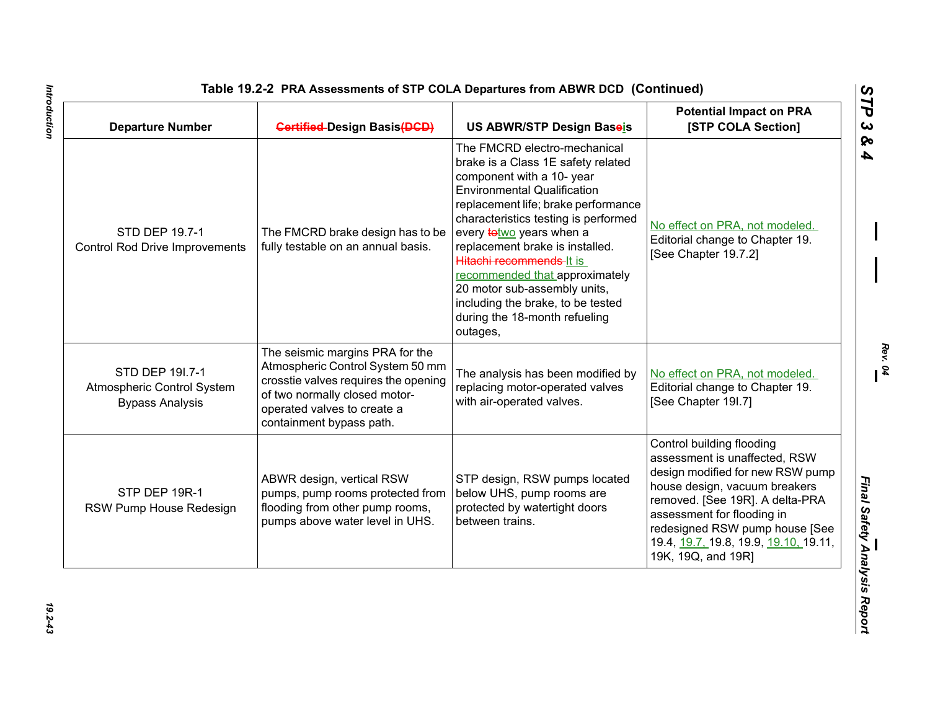| Table 19.2-2 PRA Assessments of STP COLA Departures from ABWR DCD (Continued) |                                     |                                    |                                                             |  |
|-------------------------------------------------------------------------------|-------------------------------------|------------------------------------|-------------------------------------------------------------|--|
| <b>Departure Number</b>                                                       | <b>Gertified-Design Basis (DGD)</b> | US ABWR/STP Design Baseis          | <b>Potential Impact on PRA</b><br><b>[STP COLA Section]</b> |  |
|                                                                               |                                     | The FMCRD electro-mechanical       |                                                             |  |
|                                                                               |                                     | brake is a Class 1E safety related |                                                             |  |
|                                                                               |                                     | component with a 10- year          |                                                             |  |
|                                                                               |                                     | $\Box$ Environmental Qualification |                                                             |  |

| <b>Departure Number</b>                                                 | <b>Gertified-Design Basis (DGD)</b>                                                                                                                                                                     | US ABWR/STP Design Baseis                                                                                                                                                                                                                                                                                                                                                                                                                                                  | <b>Potential Impact on PRA</b><br>[STP COLA Section]                                                                                                                                                                                                                                              |
|-------------------------------------------------------------------------|---------------------------------------------------------------------------------------------------------------------------------------------------------------------------------------------------------|----------------------------------------------------------------------------------------------------------------------------------------------------------------------------------------------------------------------------------------------------------------------------------------------------------------------------------------------------------------------------------------------------------------------------------------------------------------------------|---------------------------------------------------------------------------------------------------------------------------------------------------------------------------------------------------------------------------------------------------------------------------------------------------|
| STD DEP 19.7-1<br><b>Control Rod Drive Improvements</b>                 | The FMCRD brake design has to be<br>fully testable on an annual basis.                                                                                                                                  | The FMCRD electro-mechanical<br>brake is a Class 1E safety related<br>component with a 10- year<br><b>Environmental Qualification</b><br>replacement life; brake performance<br>characteristics testing is performed<br>every <b>totwo</b> years when a<br>replacement brake is installed.<br>Hitachi recommends-It is<br>recommended that approximately<br>20 motor sub-assembly units,<br>including the brake, to be tested<br>during the 18-month refueling<br>outages, | No effect on PRA, not modeled.<br>Editorial change to Chapter 19.<br>[See Chapter 19.7.2]                                                                                                                                                                                                         |
| STD DEP 191.7-1<br>Atmospheric Control System<br><b>Bypass Analysis</b> | The seismic margins PRA for the<br>Atmospheric Control System 50 mm<br>crosstie valves requires the opening<br>of two normally closed motor-<br>operated valves to create a<br>containment bypass path. | The analysis has been modified by<br>replacing motor-operated valves<br>with air-operated valves.                                                                                                                                                                                                                                                                                                                                                                          | No effect on PRA, not modeled.<br>Editorial change to Chapter 19.<br>[See Chapter 19I.7]                                                                                                                                                                                                          |
| STP DEP 19R-1<br>RSW Pump House Redesign                                | ABWR design, vertical RSW<br>pumps, pump rooms protected from<br>flooding from other pump rooms,<br>pumps above water level in UHS.                                                                     | STP design, RSW pumps located<br>below UHS, pump rooms are<br>protected by watertight doors<br>between trains.                                                                                                                                                                                                                                                                                                                                                             | Control building flooding<br>assessment is unaffected, RSW<br>design modified for new RSW pump<br>house design, vacuum breakers<br>removed. [See 19R]. A delta-PRA<br>assessment for flooding in<br>redesigned RSW pump house [See<br>19.4, 19.7, 19.8, 19.9, 19.10, 19.11,<br>19K, 19Q, and 19R] |

Introduction *Introduction 19.2-43*

*Rev. 04*

*STP 3 & 4*

 $19.2 - 4.3$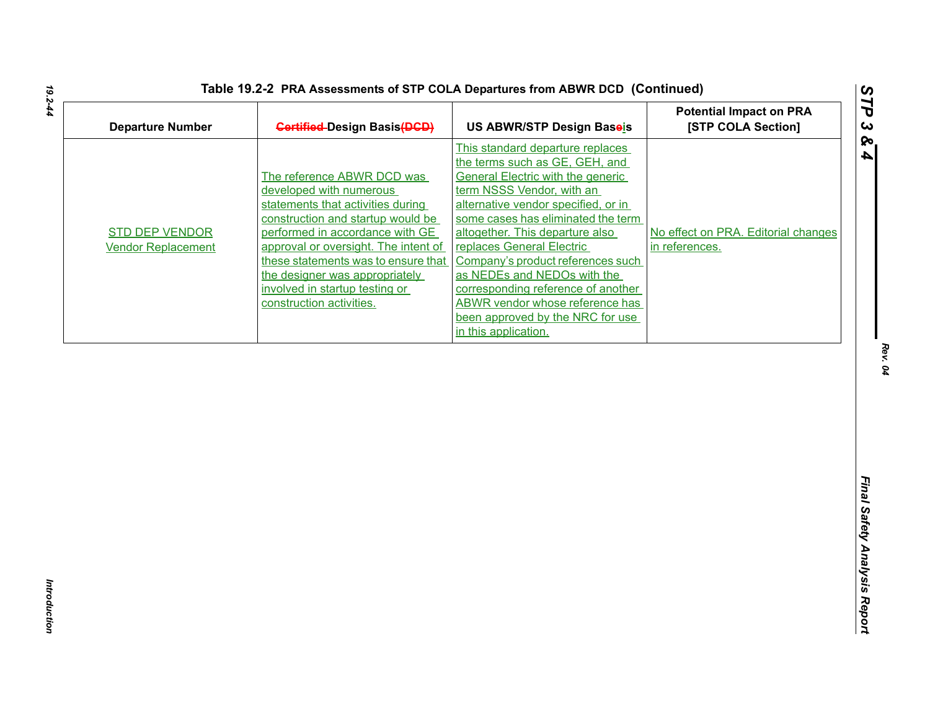| <b>Departure Number</b>                            | <b>Gertified-Design Basis (DGD)</b>                                                                                                                                                                                                                                                                                                               | US ABWR/STP Design Baseis                                                                                                                                                                                                                                                                                                                                                                                                                                                                                | <b>Potential Impact on PRA</b><br>[STP COLA Section]  |
|----------------------------------------------------|---------------------------------------------------------------------------------------------------------------------------------------------------------------------------------------------------------------------------------------------------------------------------------------------------------------------------------------------------|----------------------------------------------------------------------------------------------------------------------------------------------------------------------------------------------------------------------------------------------------------------------------------------------------------------------------------------------------------------------------------------------------------------------------------------------------------------------------------------------------------|-------------------------------------------------------|
| <b>STD DEP VENDOR</b><br><b>Vendor Replacement</b> | The reference ABWR DCD was<br>developed with numerous<br>statements that activities during<br>construction and startup would be<br>performed in accordance with GE<br>approval or oversight. The intent of<br>these statements was to ensure that<br>the designer was appropriately<br>involved in startup testing or<br>construction activities. | This standard departure replaces<br>the terms such as GE, GEH, and<br><b>General Electric with the generic</b><br>term NSSS Vendor, with an<br>alternative vendor specified, or in<br>some cases has eliminated the term<br>altogether. This departure also<br>replaces General Electric<br>Company's product references such<br>as NEDEs and NEDOs with the<br>corresponding reference of another<br><b>ABWR vendor whose reference has</b><br>been approved by the NRC for use<br>in this application. | No effect on PRA. Editorial changes<br>in references. |
|                                                    |                                                                                                                                                                                                                                                                                                                                                   |                                                                                                                                                                                                                                                                                                                                                                                                                                                                                                          |                                                       |